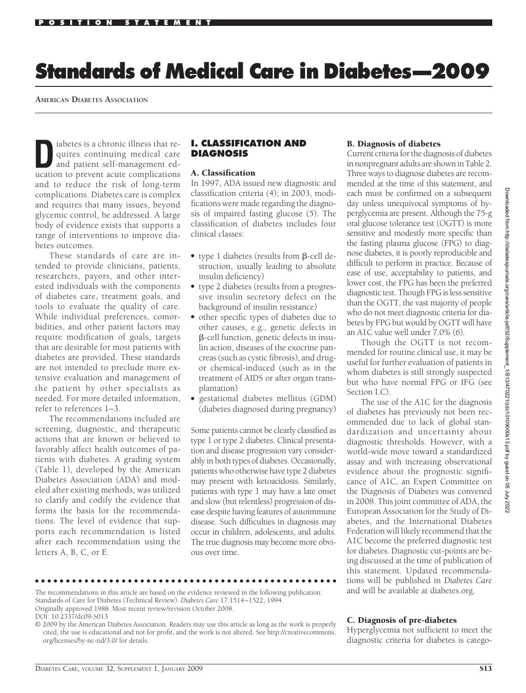# **Standards of Medical Care in Diabetes—2009**

**AMERICAN DIABETES ASSOCIATION**

**D**iabetes is a chronic illness that requires continuing medical care<br>and patient self-management edquires continuing medical care ucation to prevent acute complications and to reduce the risk of long-term complications. Diabetes care is complex and requires that many issues, beyond glycemic control, be addressed. A large body of evidence exists that supports a range of interventions to improve diabetes outcomes.

These standards of care are intended to provide clinicians, patients, researchers, payors, and other interested individuals with the components of diabetes care, treatment goals, and tools to evaluate the quality of care. While individual preferences, comorbidities, and other patient factors may require modification of goals, targets that are desirable for most patients with diabetes are provided. These standards are not intended to preclude more extensive evaluation and management of the patient by other specialists as needed. For more detailed information, refer to references 1–3.

The recommendations included are screening, diagnostic, and therapeutic actions that are known or believed to favorably affect health outcomes of patients with diabetes. A grading system (Table 1), developed by the American Diabetes Association (ADA) and modeled after existing methods, was utilized to clarify and codify the evidence that forms the basis for the recommendations. The level of evidence that supports each recommendation is listed after each recommendation using the letters A, B, C, or E.

### **I. CLASSIFICATION AND DIAGNOSIS**

#### A. Classification

In 1997, ADA issued new diagnostic and classification criteria (4); in 2003, modifications were made regarding the diagnosis of impaired fasting glucose (5). The classification of diabetes includes four clinical classes:

- type 1 diabetes (results from  $\beta$ -cell destruction, usually leading to absolute insulin deficiency)
- type 2 diabetes (results from a progressive insulin secretory defect on the background of insulin resistance)
- other specific types of diabetes due to other causes, e.g., genetic defects in -cell function, genetic defects in insulin action, diseases of the exocrine pancreas (such as cystic fibrosis), and drugor chemical-induced (such as in the treatment of AIDS or after organ transplantation)
- gestational diabetes mellitus (GDM) (diabetes diagnosed during pregnancy)

Some patients cannot be clearly classified as type 1 or type 2 diabetes. Clinical presentation and disease progression vary considerably in both types of diabetes. Occasionally, patients who otherwise have type 2 diabetes may present with ketoacidosis. Similarly, patients with type 1 may have a late onset and slow (but relentless) progression of disease despite having features of autoimmune disease. Such difficulties in diagnosis may occur in children, adolescents, and adults. The true diagnosis may become more obvious over time.

#### ●●●●●●●●●●●●●●●●●●●●●●●●●●●●●●●●●●●●●●●●●●●●●●●●●

The recommendations in this article are based on the evidence reviewed in the following publication: Standards of Care for Diabetes (Technical Review). *Diabetes Care* 17:1514 –1522, 1994. Originally approved 1988. Most recent review/revision October 2008. DOI: 10.2337/dc09-S013

© 2009 by the American Diabetes Association. Readers may use this article as long as the work is properly cited, the use is educational and not for profit, and the work is not altered. See http://creativecommons. org/licenses/by-nc-nd/3.0/ for details.

#### B. Diagnosis of diabetes

Current criteria for the diagnosis of diabetes in nonpregnant adults are shown in Table 2. Three ways to diagnose diabetes are recommended at the time of this statement, and each must be confirmed on a subsequent day unless unequivocal symptoms of hyperglycemia are present. Although the 75-g oral glucose tolerance test (OGTT) is more sensitive and modestly more specific than the fasting plasma glucose (FPG) to diagnose diabetes, it is poorly reproducible and difficult to perform in practice. Because of ease of use, acceptability to patients, and lower cost, the FPG has been the preferred diagnostic test. Though FPG is less sensitive than the OGTT, the vast majority of people who do not meet diagnostic criteria for diabetes by FPG but would by OGTT will have an A1C value well under 7.0% (6).

Though the OGTT is not recommended for routine clinical use, it may be useful for further evaluation of patients in whom diabetes is still strongly suspected but who have normal FPG or IFG (see Section I.C).

The use of the A1C for the diagnosis of diabetes has previously not been recommended due to lack of global standardization and uncertainty about diagnostic thresholds. However, with a world-wide move toward a standardized assay and with increasing observational evidence about the prognostic significance of A1C, an Expert Committee on the Diagnosis of Diabetes was convened in 2008. This joint committee of ADA, the European Association for the Study of Diabetes, and the International Diabetes Federation will likely recommend that the A1C become the preferred diagnostic test for diabetes. Diagnostic cut-points are being discussed at the time of publication of this statement. Updated recommendations will be published in *Diabetes Care* and will be available at diabetes.org.

#### C. Diagnosis of pre-diabetes

Hyperglycemia not sufficient to meet the diagnostic criteria for diabetes is catego-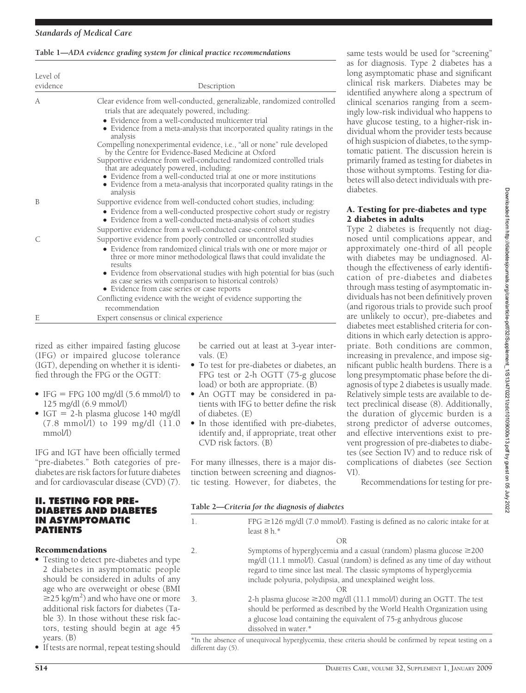#### **Table 1—***ADA evidence grading system for clinical practice recommendations*

| Level of<br>evidence | Description                                                                                                                                                                                                                                                                                                                                                                                                                                                                                                                                                                                                                                                                     |  |  |  |
|----------------------|---------------------------------------------------------------------------------------------------------------------------------------------------------------------------------------------------------------------------------------------------------------------------------------------------------------------------------------------------------------------------------------------------------------------------------------------------------------------------------------------------------------------------------------------------------------------------------------------------------------------------------------------------------------------------------|--|--|--|
| A                    | Clear evidence from well-conducted, generalizable, randomized controlled<br>trials that are adequately powered, including:<br>• Evidence from a well-conducted multicenter trial<br>• Evidence from a meta-analysis that incorporated quality ratings in the<br>analysis<br>Compelling nonexperimental evidence, i.e., "all or none" rule developed<br>by the Centre for Evidence-Based Medicine at Oxford<br>Supportive evidence from well-conducted randomized controlled trials<br>that are adequately powered, including:<br>• Evidence from a well-conducted trial at one or more institutions<br>• Evidence from a meta-analysis that incorporated quality ratings in the |  |  |  |
| B                    | analysis<br>Supportive evidence from well-conducted cohort studies, including:<br>• Evidence from a well-conducted prospective cohort study or registry<br>• Evidence from a well-conducted meta-analysis of cohort studies                                                                                                                                                                                                                                                                                                                                                                                                                                                     |  |  |  |
| $\subset$            | Supportive evidence from a well-conducted case-control study<br>Supportive evidence from poorly controlled or uncontrolled studies<br>• Evidence from randomized clinical trials with one or more major or<br>three or more minor methodological flaws that could invalidate the                                                                                                                                                                                                                                                                                                                                                                                                |  |  |  |
|                      | results<br>• Evidence from observational studies with high potential for bias (such<br>as case series with comparison to historical controls)<br>• Evidence from case series or case reports<br>Conflicting evidence with the weight of evidence supporting the<br>recommendation                                                                                                                                                                                                                                                                                                                                                                                               |  |  |  |
| E                    | Expert consensus or clinical experience                                                                                                                                                                                                                                                                                                                                                                                                                                                                                                                                                                                                                                         |  |  |  |

rized as either impaired fasting glucose (IFG) or impaired glucose tolerance (IGT), depending on whether it is identified through the FPG or the OGTT:

- IFG = FPG 100 mg/dl  $(5.6 \text{ mmol/l})$  to 125 mg/dl (6.9 mmol/l)
- IGT = 2-h plasma glucose 140 mg/dl (7.8 mmol/l) to 199 mg/dl (11.0 mmol/l)

IFG and IGT have been officially termed "pre-diabetes." Both categories of prediabetes are risk factors for future diabetes and for cardiovascular disease (CVD) (7).

#### **II. TESTING FOR PRE-DIABETES AND DIABETES IN ASYMPTOMATIC PATIENTS**

#### Recommendations

- Testing to detect pre-diabetes and type 2 diabetes in asymptomatic people should be considered in adults of any age who are overweight or obese (BMI  $\geq$ 25 kg/m<sup>2</sup>) and who have one or more additional risk factors for diabetes (Table 3). In those without these risk factors, testing should begin at age 45 years. (B)
- If tests are normal, repeat testing should

be carried out at least at 3-year intervals. (E)

- To test for pre-diabetes or diabetes, an FPG test or 2-h OGTT (75-g glucose load) or both are appropriate. (B)
- An OGTT may be considered in patients with IFG to better define the risk of diabetes. (E)
- In those identified with pre-diabetes, identify and, if appropriate, treat other CVD risk factors. (B)

For many illnesses, there is a major distinction between screening and diagnostic testing. However, for diabetes, the

#### **Table 2—***Criteria for the diagnosis of diabetes*

1. FPG  $\geq$  126 mg/dl (7.0 mmol/l). Fasting is defined as no caloric intake for at least 8 h.\* OR 2. Symptoms of hyperglycemia and a casual (random) plasma glucose 200 mg/dl (11.1 mmol/l). Casual (random) is defined as any time of day without regard to time since last meal. The classic symptoms of hyperglycemia include polyuria, polydipsia, and unexplained weight loss. OR 3. 2-h plasma glucose 200 mg/dl (11.1 mmol/l) during an OGTT. The test should be performed as described by the World Health Organization using a glucose load containing the equivalent of 75-g anhydrous glucose dissolved in water.\*

\*In the absence of unequivocal hyperglycemia, these criteria should be confirmed by repeat testing on a different day (5).

same tests would be used for "screening" as for diagnosis. Type 2 diabetes has a long asymptomatic phase and significant clinical risk markers. Diabetes may be identified anywhere along a spectrum of clinical scenarios ranging from a seemingly low-risk individual who happens to have glucose testing, to a higher-risk individual whom the provider tests because of high suspicion of diabetes, to the symptomatic patient. The discussion herein is primarily framed as testing for diabetes in those without symptoms. Testing for diabetes will also detect individuals with prediabetes.

### A. Testing for pre-diabetes and type 2 diabetes in adults

Type 2 diabetes is frequently not diagnosed until complications appear, and approximately one-third of all people with diabetes may be undiagnosed. Although the effectiveness of early identification of pre-diabetes and diabetes through mass testing of asymptomatic individuals has not been definitively proven (and rigorous trials to provide such proof are unlikely to occur), pre-diabetes and diabetes meet established criteria for conditions in which early detection is appropriate. Both conditions are common, increasing in prevalence, and impose significant public health burdens. There is a long presymptomatic phase before the diagnosis of type 2 diabetes is usually made. Relatively simple tests are available to detect preclinical disease (8). Additionally, the duration of glycemic burden is a strong predictor of adverse outcomes, and effective interventions exist to prevent progression of pre-diabetes to diabetes (see Section IV) and to reduce risk of complications of diabetes (see Section VI).

Recommendations for testing for pre-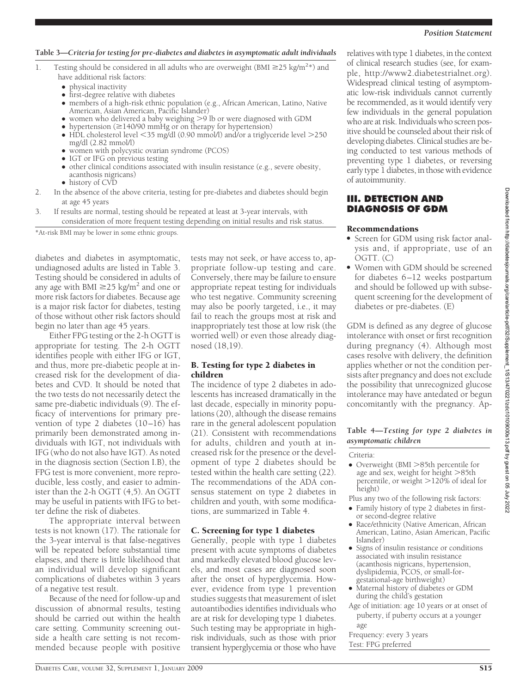# *Position Statement*

# **Table 3—***Criteria for testing for pre-diabetes and diabetes in asymptomatic adult individuals*

- 1. Testing should be considered in all adults who are overweight (BMI  $\geq$  25 kg/m<sup>2</sup>\*) and have additional risk factors:
	- physical inactivity
	- first-degree relative with diabetes
	- members of a high-risk ethnic population (e.g., African American, Latino, Native American, Asian American, Pacific Islander)
	- women who delivered a baby weighing >9 lb or were diagnosed with GDM
	- hypertension ( $\geq$ 140/90 mmHg or on therapy for hypertension)
	- HDL cholesterol level  $\leq$ 35 mg/dl (0.90 mmol/l) and/or a triglyceride level  $>$ 250 mg/dl (2.82 mmol/l)
	- women with polycystic ovarian syndrome (PCOS)
	- IGT or IFG on previous testing
	- other clinical conditions associated with insulin resistance (e.g., severe obesity, acanthosis nigricans)
	- history of CVD
- 2. In the absence of the above criteria, testing for pre-diabetes and diabetes should begin at age 45 years
- 3. If results are normal, testing should be repeated at least at 3-year intervals, with consideration of more frequent testing depending on initial results and risk status.

\*At-risk BMI may be lower in some ethnic groups.

diabetes and diabetes in asymptomatic, undiagnosed adults are listed in Table 3. Testing should be considered in adults of any age with BMI  $\geq$ 25 kg/m<sup>2</sup> and one or more risk factors for diabetes. Because age is a major risk factor for diabetes, testing of those without other risk factors should begin no later than age 45 years.

Either FPG testing or the 2-h OGTT is appropriate for testing. The 2-h OGTT identifies people with either IFG or IGT, and thus, more pre-diabetic people at increased risk for the development of diabetes and CVD. It should be noted that the two tests do not necessarily detect the same pre-diabetic individuals (9). The efficacy of interventions for primary prevention of type 2 diabetes  $(10-16)$  has primarily been demonstrated among individuals with IGT, not individuals with IFG (who do not also have IGT). As noted in the diagnosis section (Section I.B), the FPG test is more convenient, more reproducible, less costly, and easier to administer than the 2-h OGTT (4,5). An OGTT may be useful in patients with IFG to better define the risk of diabetes.

The appropriate interval between tests is not known (17). The rationale for the 3-year interval is that false-negatives will be repeated before substantial time elapses, and there is little likelihood that an individual will develop significant complications of diabetes within 3 years of a negative test result.

Because of the need for follow-up and discussion of abnormal results, testing should be carried out within the health care setting. Community screening outside a health care setting is not recommended because people with positive

tests may not seek, or have access to, appropriate follow-up testing and care. Conversely, there may be failure to ensure appropriate repeat testing for individuals who test negative. Community screening may also be poorly targeted, i.e., it may fail to reach the groups most at risk and inappropriately test those at low risk (the worried well) or even those already diagnosed (18,19).

# B. Testing for type 2 diabetes in children

The incidence of type 2 diabetes in adolescents has increased dramatically in the last decade, especially in minority populations (20), although the disease remains rare in the general adolescent population (21). Consistent with recommendations for adults, children and youth at increased risk for the presence or the development of type 2 diabetes should be tested within the health care setting (22). The recommendations of the ADA consensus statement on type 2 diabetes in children and youth, with some modifications, are summarized in Table 4.

# C. Screening for type 1 diabetes

Generally, people with type 1 diabetes present with acute symptoms of diabetes and markedly elevated blood glucose levels, and most cases are diagnosed soon after the onset of hyperglycemia. However, evidence from type 1 prevention studies suggests that measurement of islet autoantibodies identifies individuals who are at risk for developing type 1 diabetes. Such testing may be appropriate in highrisk individuals, such as those with prior transient hyperglycemia or those who have

relatives with type 1 diabetes, in the context of clinical research studies (see, for example, http://www2.diabetestrialnet.org). Widespread clinical testing of asymptomatic low-risk individuals cannot currently be recommended, as it would identify very few individuals in the general population who are at risk. Individuals who screen positive should be counseled about their risk of developing diabetes. Clinical studies are being conducted to test various methods of preventing type 1 diabetes, or reversing early type 1 diabetes, in those with evidence of autoimmunity.

# **III. DETECTION AND DIAGNOSIS OF GDM**

# Recommendations

- Screen for GDM using risk factor analysis and, if appropriate, use of an OGTT. (C)
- Women with GDM should be screened for diabetes 6 –12 weeks postpartum and should be followed up with subsequent screening for the development of diabetes or pre-diabetes. (E)

GDM is defined as any degree of glucose intolerance with onset or first recognition during pregnancy (4). Although most cases resolve with delivery, the definition applies whether or not the condition persists after pregnancy and does not exclude the possibility that unrecognized glucose intolerance may have antedated or begun concomitantly with the pregnancy. Ap-

### **Table 4—***Testing for type 2 diabetes in asymptomatic children*

Criteria:

• Overweight (BMI >85th percentile for age and sex, weight for height  $>85$ th percentile, or weight  $>120\%$  of ideal for height)

Plus any two of the following risk factors:

- Family history of type 2 diabetes in firstor second-degree relative
- Race/ethnicity (Native American, African American, Latino, Asian American, Pacific Islander)
- Signs of insulin resistance or conditions associated with insulin resistance (acanthosis nigricans, hypertension, dyslipidemia, PCOS, or small-forgestational-age birthweight)
- Maternal history of diabetes or GDM during the child's gestation
- Age of initiation: age 10 years or at onset of puberty, if puberty occurs at a younger age

Frequency: every 3 years

Test: FPG preferred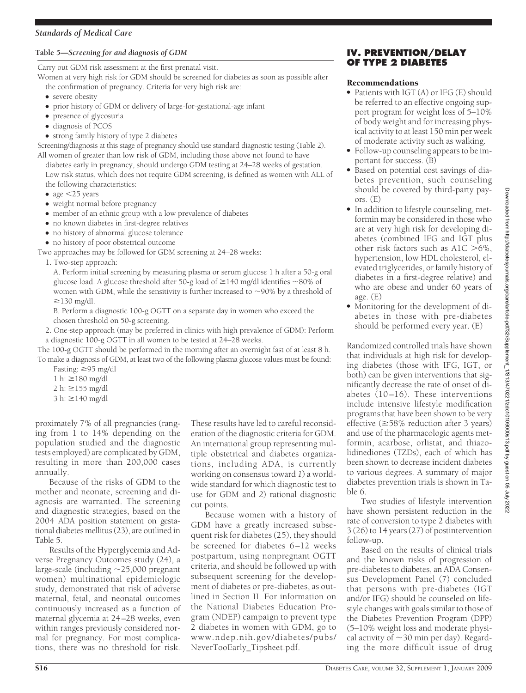### **Table 5—***Screening for and diagnosis of GDM*

Carry out GDM risk assessment at the first prenatal visit.

Women at very high risk for GDM should be screened for diabetes as soon as possible after the confirmation of pregnancy. Criteria for very high risk are:

- severe obesity
- prior history of GDM or delivery of large-for-gestational-age infant
- presence of glycosuria
- diagnosis of PCOS
- strong family history of type 2 diabetes

Screening/diagnosis at this stage of pregnancy should use standard diagnostic testing (Table 2). All women of greater than low risk of GDM, including those above not found to have

diabetes early in pregnancy, should undergo GDM testing at 24–28 weeks of gestation. Low risk status, which does not require GDM screening, is defined as women with ALL of the following characteristics:

- age  $\leq$  25 years
- weight normal before pregnancy
- member of an ethnic group with a low prevalence of diabetes
- no known diabetes in first-degree relatives
- no history of abnormal glucose tolerance
- no history of poor obstetrical outcome

Two approaches may be followed for GDM screening at 24–28 weeks:

1. Two-step approach:

A. Perform initial screening by measuring plasma or serum glucose 1 h after a 50-g oral glucose load. A glucose threshold after 50-g load of  $\geq$ 140 mg/dl identifies ~80% of women with GDM, while the sensitivity is further increased to  $\sim$ 90% by a threshold of  $\geq$ 130 mg/dl.

B. Perform a diagnostic 100-g OGTT on a separate day in women who exceed the chosen threshold on 50-g screening.

2. One-step approach (may be preferred in clinics with high prevalence of GDM): Perform a diagnostic 100-g OGTT in all women to be tested at 24–28 weeks.

The 100-g OGTT should be performed in the morning after an overnight fast of at least 8 h. To make a diagnosis of GDM, at least two of the following plasma glucose values must be found:

Fasting:  $\geq$ 95 mg/dl  $1 h: \geq 180$  mg/dl  $2 h: \geq 155$  mg/dl  $3 h: \geq 140$  mg/dl

proximately 7% of all pregnancies (ranging from 1 to 14% depending on the population studied and the diagnostic tests employed) are complicated by GDM, resulting in more than 200,000 cases annually.

Because of the risks of GDM to the mother and neonate, screening and diagnosis are warranted. The screening and diagnostic strategies, based on the 2004 ADA position statement on gestational diabetes mellitus (23), are outlined in Table 5.

Results of the Hyperglycemia and Adverse Pregnancy Outcomes study (24), a large-scale (including 25,000 pregnant women) multinational epidemiologic study, demonstrated that risk of adverse maternal, fetal, and neonatal outcomes continuously increased as a function of maternal glycemia at 24 –28 weeks, even within ranges previously considered normal for pregnancy. For most complications, there was no threshold for risk.

These results have led to careful reconsideration of the diagnostic criteria for GDM. An international group representing multiple obstetrical and diabetes organizations, including ADA, is currently working on consensus toward *1*) a worldwide standard for which diagnostic test to use for GDM and *2*) rational diagnostic cut points.

Because women with a history of GDM have a greatly increased subsequent risk for diabetes (25), they should be screened for diabetes 6 –12 weeks postpartum, using nonpregnant OGTT criteria, and should be followed up with subsequent screening for the development of diabetes or pre-diabetes, as outlined in Section II. For information on the National Diabetes Education Program (NDEP) campaign to prevent type 2 diabetes in women with GDM, go to www.ndep.nih.gov/diabetes/pubs/ NeverTooEarly\_Tipsheet.pdf.

# **IV. PREVENTION/DELAY OF TYPE 2 DIABETES**

### Recommendations

- Patients with IGT (A) or IFG (E) should be referred to an effective ongoing support program for weight loss of 5–10% of body weight and for increasing physical activity to at least 150 min per week of moderate activity such as walking.
- Follow-up counseling appears to be important for success. (B)
- Based on potential cost savings of diabetes prevention, such counseling should be covered by third-party payors. (E)
- In addition to lifestyle counseling, metformin may be considered in those who are at very high risk for developing diabetes (combined IFG and IGT plus other risk factors such as A1C  $>6\%$ , hypertension, low HDL cholesterol, elevated triglycerides, or family history of diabetes in a first-degree relative) and who are obese and under 60 years of age. (E)
- Monitoring for the development of diabetes in those with pre-diabetes should be performed every year. (E)

Randomized controlled trials have shown that individuals at high risk for developing diabetes (those with IFG, IGT, or both) can be given interventions that significantly decrease the rate of onset of diabetes  $(10-16)$ . These interventions include intensive lifestyle modification programs that have been shown to be very effective  $(\geq 58\%$  reduction after 3 years) and use of the pharmacologic agents metformin, acarbose, orlistat, and thiazolidinediones (TZDs), each of which has been shown to decrease incident diabetes to various degrees. A summary of major diabetes prevention trials is shown in Table 6.

Two studies of lifestyle intervention have shown persistent reduction in the rate of conversion to type 2 diabetes with 3 (26) to 14 years (27) of postintervention follow-up.

Based on the results of clinical trials and the known risks of progression of pre-diabetes to diabetes, an ADA Consensus Development Panel (7) concluded that persons with pre-diabetes (IGT and/or IFG) should be counseled on lifestyle changes with goals similar to those of the Diabetes Prevention Program (DPP) (5–10% weight loss and moderate physical activity of  $\sim$ 30 min per day). Regarding the more difficult issue of drug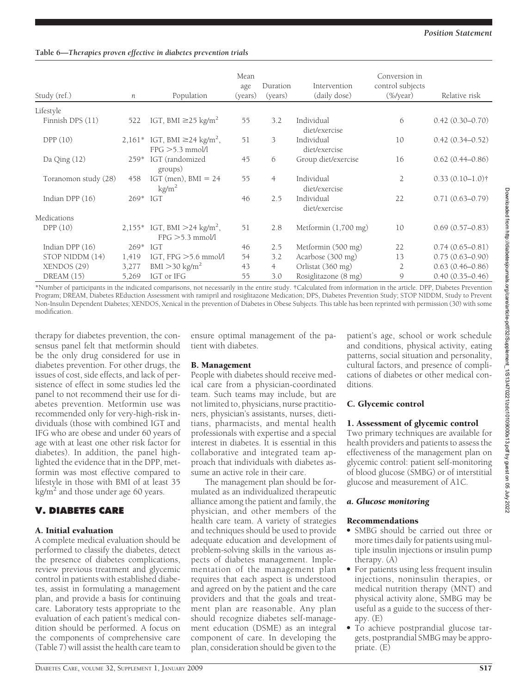# **Table 6—***Therapies proven effective in diabetes prevention trials*

| Study (ref.)         | $\boldsymbol{n}$ | Population                                                   | Mean<br>age<br>(years) | Duration<br>(years) | Intervention<br>(daily dose) | Conversion in<br>control subjects<br>$(\%$ /year) | Relative risk        |
|----------------------|------------------|--------------------------------------------------------------|------------------------|---------------------|------------------------------|---------------------------------------------------|----------------------|
| Lifestyle            |                  |                                                              |                        |                     |                              |                                                   |                      |
| Finnish DPS (11)     | 522              | IGT, BMI $\geq$ 25 kg/m <sup>2</sup>                         | 55                     | 3.2                 | Individual<br>diet/exercise  | 6                                                 | $0.42(0.30 - 0.70)$  |
| DPP(10)              | $2,161*$         | IGT, BMI $\geq$ 24 kg/m <sup>2</sup> ,<br>$FPG > 5.3$ mmol/l | 51                     | 3                   | Individual<br>diet/exercise  | 10                                                | $0.42(0.34 - 0.52)$  |
| Da Qing $(12)$       | $259*$           | IGT (randomized<br>groups)                                   | 45                     | 6                   | Group diet/exercise          | 16                                                | $0.62(0.44 - 0.86)$  |
| Toranomon study (28) | 458              | IGT (men), $BMI = 24$<br>$\text{kg/m}^2$                     | 55                     | $\overline{4}$      | Individual<br>diet/exercise  | 2                                                 | $0.33(0.10 - 1.0)$ † |
| Indian DPP (16)      | $269*$           | IGT                                                          | 46                     | 2.5                 | Individual<br>diet/exercise  | 22                                                | $0.71(0.63 - 0.79)$  |
| Medications          |                  |                                                              |                        |                     |                              |                                                   |                      |
| DPP(10)              | $2,155*$         | IGT, BMI $>24$ kg/m <sup>2</sup> ,<br>$FPG > 5.3$ mmol/l     | 51                     | 2.8                 | Metformin $(1,700$ mg)       | 10                                                | $0.69(0.57-0.83)$    |
| Indian DPP (16)      | $269*$           | <b>IGT</b>                                                   | 46                     | 2.5                 | Metformin (500 mg)           | 22                                                | $0.74(0.65 - 0.81)$  |
| STOP NIDDM (14)      | 1,419            | IGT, FPG $>5.6$ mmol/l                                       | 54                     | 3.2                 | Acarbose (300 mg)            | 13                                                | $0.75(0.63 - 0.90)$  |
| XENDOS (29)          | 3,277            | BMI $>$ 30 kg/m <sup>2</sup>                                 | 43                     | $\overline{4}$      | Orlistat (360 mg)            | 2                                                 | $0.63(0.46 - 0.86)$  |
| DREAM (15)           | 5,269            | IGT or IFG                                                   | 55                     | 3.0                 | Rosiglitazone (8 mg)         | 9                                                 | $0.40(0.35 - 0.46)$  |

\*Number of participants in the indicated comparisons, not necessarily in the entire study. †Calculated from information in the article. DPP, Diabetes Prevention Program; DREAM, Diabetes REduction Assessment with ramipril and rosiglitazone Medication; DPS, Diabetes Prevention Study; STOP NIDDM, Study to Prevent Non-Insulin Dependent Diabetes; XENDOS, Xenical in the prevention of Diabetes in Obese Subjects. This table has been reprinted with permission (30) with some modification.

therapy for diabetes prevention, the consensus panel felt that metformin should be the only drug considered for use in diabetes prevention. For other drugs, the issues of cost, side effects, and lack of persistence of effect in some studies led the panel to not recommend their use for diabetes prevention. Metformin use was recommended only for very-high-risk individuals (those with combined IGT and IFG who are obese and under 60 years of age with at least one other risk factor for diabetes). In addition, the panel highlighted the evidence that in the DPP, metformin was most effective compared to lifestyle in those with BMI of at least 35  $kg/m<sup>2</sup>$  and those under age 60 years.

# **V. DIABETES CARE**

# A. Initial evaluation

A complete medical evaluation should be performed to classify the diabetes, detect the presence of diabetes complications, review previous treatment and glycemic control in patients with established diabetes, assist in formulating a management plan, and provide a basis for continuing care. Laboratory tests appropriate to the evaluation of each patient's medical condition should be performed. A focus on the components of comprehensive care (Table 7) will assist the health care team to

ensure optimal management of the patient with diabetes.

# B. Management

People with diabetes should receive medical care from a physician-coordinated team. Such teams may include, but are not limited to, physicians, nurse practitioners, physician's assistants, nurses, dietitians, pharmacists, and mental health professionals with expertise and a special interest in diabetes. It is essential in this collaborative and integrated team approach that individuals with diabetes assume an active role in their care.

The management plan should be formulated as an individualized therapeutic alliance among the patient and family, the physician, and other members of the health care team. A variety of strategies and techniques should be used to provide adequate education and development of problem-solving skills in the various aspects of diabetes management. Implementation of the management plan requires that each aspect is understood and agreed on by the patient and the care providers and that the goals and treatment plan are reasonable. Any plan should recognize diabetes self-management education (DSME) as an integral component of care. In developing the plan, consideration should be given to the

patient's age, school or work schedule and conditions, physical activity, eating patterns, social situation and personality, cultural factors, and presence of complications of diabetes or other medical conditions.

# C. Glycemic control

# 1. Assessment of glycemic control

Two primary techniques are available for health providers and patients to assess the effectiveness of the management plan on glycemic control: patient self-monitoring of blood glucose (SMBG) or of interstitial glucose and measurement of A1C.

# *a. Glucose monitoring*

# Recommendations

- SMBG should be carried out three or more times daily for patients using multiple insulin injections or insulin pump therapy. (A)
- For patients using less frequent insulin injections, noninsulin therapies, or medical nutrition therapy (MNT) and physical activity alone, SMBG may be useful as a guide to the success of therapy. (E)
- To achieve postprandial glucose targets, postprandial SMBG may be appropriate. (E)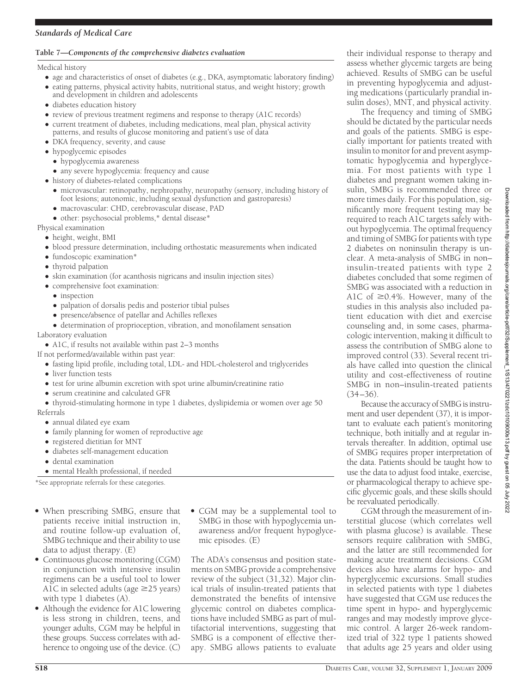#### **Table 7—***Components of the comprehensive diabetes evaluation*

Medical history

- age and characteristics of onset of diabetes (e.g., DKA, asymptomatic laboratory finding) ● eating patterns, physical activity habits, nutritional status, and weight history; growth
- and development in children and adolescents
- diabetes education history
- review of previous treatment regimens and response to therapy (A1C records)
- current treatment of diabetes, including medications, meal plan, physical activity patterns, and results of glucose monitoring and patient's use of data
- DKA frequency, severity, and cause
- hypoglycemic episodes
	- hypoglycemia awareness
	- any severe hypoglycemia: frequency and cause
- history of diabetes-related complications
	- microvascular: retinopathy, nephropathy, neuropathy (sensory, including history of foot lesions; autonomic, including sexual dysfunction and gastroparesis)
- macrovascular: CHD, cerebrovascular disease, PAD
- other: psychosocial problems,\* dental disease\*

Physical examination

- height, weight, BMI
- blood pressure determination, including orthostatic measurements when indicated
- fundoscopic examination\*
- thyroid palpation
- skin examination (for acanthosis nigricans and insulin injection sites)
- comprehensive foot examination:
	- inspection
	- palpation of dorsalis pedis and posterior tibial pulses
	- presence/absence of patellar and Achilles reflexes
- determination of proprioception, vibration, and monofilament sensation

Laboratory evaluation

- A1C, if results not available within past 2–3 months
- If not performed/available within past year:
	- fasting lipid profile, including total, LDL- and HDL-cholesterol and triglycerides
	- liver function tests
	- test for urine albumin excretion with spot urine albumin/creatinine ratio
	- serum creatinine and calculated GFR
- thyroid-stimulating hormone in type 1 diabetes, dyslipidemia or women over age 50 Referrals
	- annual dilated eye exam
	- family planning for women of reproductive age
	- registered dietitian for MNT
	- diabetes self-management education
	- dental examination

● mental Health professional, if needed \*See appropriate referrals for these categories.

- 
- When prescribing SMBG, ensure that patients receive initial instruction in, and routine follow-up evaluation of, SMBG technique and their ability to use data to adjust therapy. (E)
- Continuous glucose monitoring (CGM) in conjunction with intensive insulin regimens can be a useful tool to lower A1C in selected adults (age  $\geq$ 25 years) with type 1 diabetes (A).
- Although the evidence for A1C lowering is less strong in children, teens, and younger adults, CGM may be helpful in these groups. Success correlates with adherence to ongoing use of the device. (C)
- CGM may be a supplemental tool to SMBG in those with hypoglycemia unawareness and/or frequent hypoglycemic episodes. (E)

The ADA's consensus and position statements on SMBG provide a comprehensive review of the subject (31,32). Major clinical trials of insulin-treated patients that demonstrated the benefits of intensive glycemic control on diabetes complications have included SMBG as part of multifactorial interventions, suggesting that SMBG is a component of effective therapy. SMBG allows patients to evaluate

their individual response to therapy and assess whether glycemic targets are being achieved. Results of SMBG can be useful in preventing hypoglycemia and adjusting medications (particularly prandial insulin doses), MNT, and physical activity.

The frequency and timing of SMBG should be dictated by the particular needs and goals of the patients. SMBG is especially important for patients treated with insulin to monitor for and prevent asymptomatic hypoglycemia and hyperglycemia. For most patients with type 1 diabetes and pregnant women taking insulin, SMBG is recommended three or more times daily. For this population, significantly more frequent testing may be required to reach A1C targets safely without hypoglycemia. The optimal frequency and timing of SMBG for patients with type 2 diabetes on noninsulin therapy is unclear. A meta-analysis of SMBG in non– insulin-treated patients with type 2 diabetes concluded that some regimen of SMBG was associated with a reduction in A1C of  $\geq$ 0.4%. However, many of the studies in this analysis also included patient education with diet and exercise counseling and, in some cases, pharmacologic intervention, making it difficult to assess the contribution of SMBG alone to improved control (33). Several recent trials have called into question the clinical utility and cost-effectiveness of routine SMBG in non–insulin-treated patients  $(34 - 36)$ .

Because the accuracy of SMBG is instrument and user dependent (37), it is important to evaluate each patient's monitoring technique, both initially and at regular intervals thereafter. In addition, optimal use of SMBG requires proper interpretation of the data. Patients should be taught how to use the data to adjust food intake, exercise, or pharmacological therapy to achieve specific glycemic goals, and these skills should be reevaluated periodically.

CGM through the measurement of interstitial glucose (which correlates well with plasma glucose) is available. These sensors require calibration with SMBG, and the latter are still recommended for making acute treatment decisions. CGM devices also have alarms for hypo- and hyperglycemic excursions. Small studies in selected patients with type 1 diabetes have suggested that CGM use reduces the time spent in hypo- and hyperglycemic ranges and may modestly improve glycemic control. A larger 26-week randomized trial of 322 type 1 patients showed that adults age 25 years and older using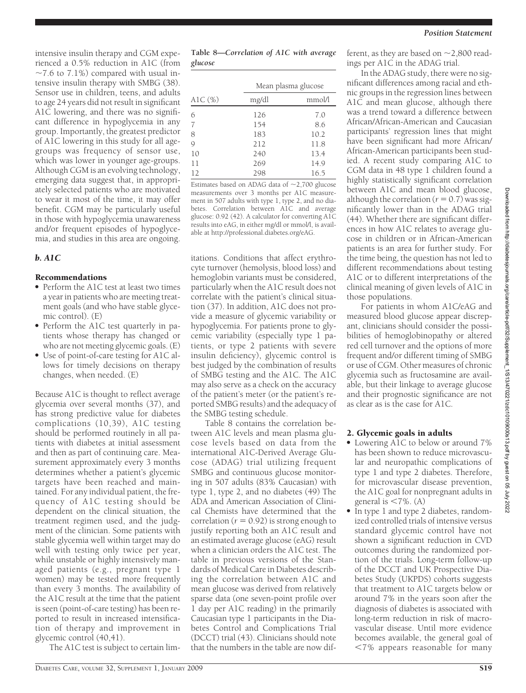intensive insulin therapy and CGM experienced a 0.5% reduction in A1C (from  $\sim$ 7.6 to 7.1%) compared with usual intensive insulin therapy with SMBG (38). Sensor use in children, teens, and adults to age 24 years did not result in significant A1C lowering, and there was no significant difference in hypoglycemia in any group. Importantly, the greatest predictor of A1C lowering in this study for all agegroups was frequency of sensor use, which was lower in younger age-groups. Although CGM is an evolving technology, emerging data suggest that, in appropriately selected patients who are motivated to wear it most of the time, it may offer benefit. CGM may be particularly useful in those with hypoglycemia unawareness and/or frequent episodes of hypoglycemia, and studies in this area are ongoing.

# *b. A1C*

### Recommendations

- Perform the A1C test at least two times a year in patients who are meeting treatment goals (and who have stable glycemic control). (E)
- Perform the A1C test quarterly in patients whose therapy has changed or who are not meeting glycemic goals. (E)
- Use of point-of-care testing for A1C allows for timely decisions on therapy changes, when needed. (E)

Because A1C is thought to reflect average glycemia over several months (37), and has strong predictive value for diabetes complications (10,39), A1C testing should be performed routinely in all patients with diabetes at initial assessment and then as part of continuing care. Measurement approximately every 3 months determines whether a patient's glycemic targets have been reached and maintained. For any individual patient, the frequency of A1C testing should be dependent on the clinical situation, the treatment regimen used, and the judgment of the clinician. Some patients with stable glycemia well within target may do well with testing only twice per year, while unstable or highly intensively managed patients (e.g., pregnant type 1 women) may be tested more frequently than every 3 months. The availability of the A1C result at the time that the patient is seen (point-of-care testing) has been reported to result in increased intensification of therapy and improvement in glycemic control (40,41).

The A1C test is subject to certain lim-

**Table 8—***Correlation of A1C with average glucose*

|                |       | Mean plasma glucose |  |  |
|----------------|-------|---------------------|--|--|
| Alc $(\%)$     | mg/dl | mmol/l              |  |  |
| 6              | 126   | 7.0                 |  |  |
| $\overline{7}$ | 154   | 8.6                 |  |  |
| 8              | 183   | 10.2                |  |  |
| 9              | 212   | 11.8                |  |  |
| 10             | 240   | 13.4                |  |  |
| 11             | 269   | 14.9                |  |  |
| 12             | 298   | 16.5                |  |  |

Estimates based on ADAG data of  $\sim$ 2,700 glucose measurements over 3 months per A1C measurement in 507 adults with type 1, type 2, and no diabetes. Correlation between A1C and average glucose: 0.92 (42). A calculator for converting A1C results into eAG, in either mg/dl or mmol/l, is available at http://professional.diabetes.org/eAG.

itations. Conditions that affect erythrocyte turnover (hemolysis, blood loss) and hemoglobin variants must be considered, particularly when the A1C result does not correlate with the patient's clinical situation (37). In addition, A1C does not provide a measure of glycemic variability or hypoglycemia. For patients prone to glycemic variability (especially type 1 patients, or type 2 patients with severe insulin deficiency), glycemic control is best judged by the combination of results of SMBG testing and the A1C. The A1C may also serve as a check on the accuracy of the patient's meter (or the patient's reported SMBG results) and the adequacy of the SMBG testing schedule.

Table 8 contains the correlation between A1C levels and mean plasma glucose levels based on data from the international A1C-Derived Average Glucose (ADAG) trial utilizing frequent SMBG and continuous glucose monitoring in 507 adults (83% Caucasian) with type 1, type 2, and no diabetes (49) The ADA and American Association of Clinical Chemists have determined that the correlation ( $r = 0.92$ ) is strong enough to justify reporting both an A1C result and an estimated average glucose (eAG) result when a clinician orders the A1C test. The table in previous versions of the Standards of Medical Care in Diabetes describing the correlation between A1C and mean glucose was derived from relatively sparse data (one seven-point profile over 1 day per A1C reading) in the primarily Caucasian type 1 participants in the Diabetes Control and Complications Trial (DCCT) trial (43). Clinicians should note that the numbers in the table are now different, as they are based on  $\sim$  2,800 readings per A1C in the ADAG trial.

In the ADAG study, there were no significant differences among racial and ethnic groups in the regression lines between A1C and mean glucose, although there was a trend toward a difference between African/African-American and Caucasian participants' regression lines that might have been significant had more African/ African-American participants been studied. A recent study comparing A1C to CGM data in 48 type 1 children found a highly statistically significant correlation between A1C and mean blood glucose, although the correlation  $(r = 0.7)$  was significantly lower than in the ADAG trial (44). Whether there are significant differences in how A1C relates to average glucose in children or in African-American patients is an area for further study. For the time being, the question has not led to different recommendations about testing A1C or to different interpretations of the clinical meaning of given levels of A1C in those populations.

For patients in whom A1C/eAG and measured blood glucose appear discrepant, clinicians should consider the possibilities of hemoglobinopathy or altered red cell turnover and the options of more frequent and/or different timing of SMBG or use of CGM. Other measures of chronic glycemia such as fructosamine are available, but their linkage to average glucose and their prognostic significance are not as clear as is the case for A1C.

### 2. Glycemic goals in adults

- Lowering A1C to below or around 7% has been shown to reduce microvascular and neuropathic complications of type 1 and type 2 diabetes. Therefore, for microvascular disease prevention, the A1C goal for nonpregnant adults in general is  $\langle 7\%$ . (A)
- In type 1 and type 2 diabetes, randomized controlled trials of intensive versus standard glycemic control have not shown a significant reduction in CVD outcomes during the randomized portion of the trials. Long-term follow-up of the DCCT and UK Prospective Diabetes Study (UKPDS) cohorts suggests that treatment to A1C targets below or around 7% in the years soon after the diagnosis of diabetes is associated with long-term reduction in risk of macrovascular disease. Until more evidence becomes available, the general goal of 7% appears reasonable for many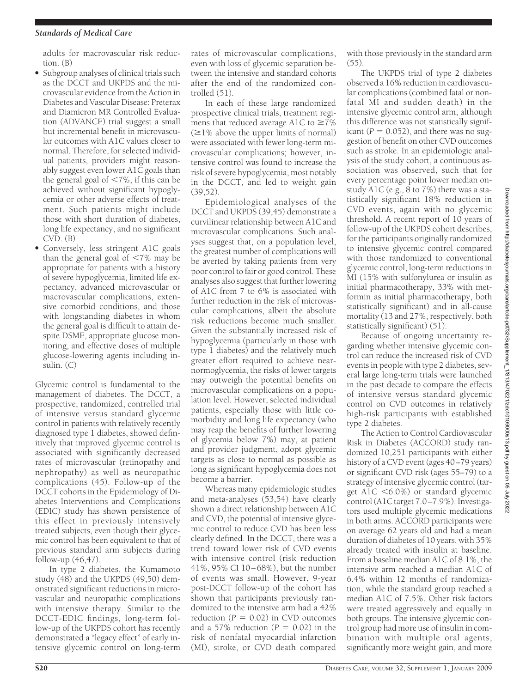adults for macrovascular risk reduction. (B)

- Subgroup analyses of clinical trials such as the DCCT and UKPDS and the microvascular evidence from the Action in Diabetes and Vascular Disease: Preterax and Diamicron MR Controlled Evaluation (ADVANCE) trial suggest a small but incremental benefit in microvascular outcomes with A1C values closer to normal. Therefore, for selected individual patients, providers might reasonably suggest even lower A1C goals than the general goal of  $\leq 7\%$ , if this can be achieved without significant hypoglycemia or other adverse effects of treatment. Such patients might include those with short duration of diabetes, long life expectancy, and no significant CVD. (B)
- Conversely, less stringent A1C goals than the general goal of  $\langle 7\%$  may be appropriate for patients with a history of severe hypoglycemia, limited life expectancy, advanced microvascular or macrovascular complications, extensive comorbid conditions, and those with longstanding diabetes in whom the general goal is difficult to attain despite DSME, appropriate glucose monitoring, and effective doses of multiple glucose-lowering agents including insulin. (C)

Glycemic control is fundamental to the management of diabetes. The DCCT, a prospective, randomized, controlled trial of intensive versus standard glycemic control in patients with relatively recently diagnosed type 1 diabetes, showed definitively that improved glycemic control is associated with significantly decreased rates of microvascular (retinopathy and nephropathy) as well as neuropathic complications (45). Follow-up of the DCCT cohorts in the Epidemiology of Diabetes Interventions and Complications (EDIC) study has shown persistence of this effect in previously intensively treated subjects, even though their glycemic control has been equivalent to that of previous standard arm subjects during follow-up (46,47).

In type 2 diabetes, the Kumamoto study (48) and the UKPDS (49,50) demonstrated significant reductions in microvascular and neuropathic complications with intensive therapy. Similar to the DCCT-EDIC findings, long-term follow-up of the UKPDS cohort has recently demonstrated a "legacy effect" of early intensive glycemic control on long-term

rates of microvascular complications, even with loss of glycemic separation between the intensive and standard cohorts after the end of the randomized controlled (51).

In each of these large randomized prospective clinical trials, treatment regimens that reduced average A1C to  $\geq 7\%$  $(\geq 1\%$  above the upper limits of normal) were associated with fewer long-term microvascular complications; however, intensive control was found to increase the risk of severe hypoglycemia, most notably in the DCCT, and led to weight gain (39,52).

Epidemiological analyses of the DCCT and UKPDS (39,45) demonstrate a curvilinear relationship between A1C and microvascular complications. Such analyses suggest that, on a population level, the greatest number of complications will be averted by taking patients from very poor control to fair or good control. These analyses also suggest that further lowering of A1C from 7 to 6% is associated with further reduction in the risk of microvascular complications, albeit the absolute risk reductions become much smaller. Given the substantially increased risk of hypoglycemia (particularly in those with type 1 diabetes) and the relatively much greater effort required to achieve nearnormoglycemia, the risks of lower targets may outweigh the potential benefits on microvascular complications on a population level. However, selected individual patients, especially those with little comorbidity and long life expectancy (who may reap the benefits of further lowering of glycemia below 7%) may, at patient and provider judgment, adopt glycemic targets as close to normal as possible as long as significant hypoglycemia does not become a barrier.

Whereas many epidemiologic studies and meta-analyses (53,54) have clearly shown a direct relationship between A1C and CVD, the potential of intensive glycemic control to reduce CVD has been less clearly defined. In the DCCT, there was a trend toward lower risk of CVD events with intensive control (risk reduction 41%, 95% CI 10 – 68%), but the number of events was small. However, 9-year post-DCCT follow-up of the cohort has shown that participants previously randomized to the intensive arm had a 42% reduction  $(P = 0.02)$  in CVD outcomes and a 57% reduction  $(P = 0.02)$  in the risk of nonfatal myocardial infarction (MI), stroke, or CVD death compared

with those previously in the standard arm  $(55)$ 

The UKPDS trial of type 2 diabetes observed a 16% reduction in cardiovascular complications (combined fatal or nonfatal MI and sudden death) in the intensive glycemic control arm, although this difference was not statistically significant  $(P = 0.052)$ , and there was no suggestion of benefit on other CVD outcomes such as stroke. In an epidemiologic analysis of the study cohort, a continuous association was observed, such that for every percentage point lower median onstudy A1C (e.g., 8 to 7%) there was a statistically significant 18% reduction in CVD events, again with no glycemic threshold. A recent report of 10 years of follow-up of the UKPDS cohort describes, for the participants originally randomized to intensive glycemic control compared with those randomized to conventional glycemic control, long-term reductions in MI (15% with sulfonylurea or insulin as initial pharmacotherapy, 33% with metformin as initial pharmacotherapy, both statistically significant) and in all-cause mortality (13 and 27%, respectively, both statistically significant)  $(51)$ .

Because of ongoing uncertainty regarding whether intensive glycemic control can reduce the increased risk of CVD events in people with type 2 diabetes, several large long-term trials were launched in the past decade to compare the effects of intensive versus standard glycemic control on CVD outcomes in relatively high-risk participants with established type 2 diabetes.

The Action to Control Cardiovascular Risk in Diabetes (ACCORD) study randomized 10,251 participants with either history of a CVD event (ages 40–79 years) or significant CVD risk (ages 55–79) to a strategy of intensive glycemic control (target A1C  $\leq 6.0\%$ ) or standard glycemic control (A1C target 7.0 –7.9%). Investigators used multiple glycemic medications in both arms. ACCORD participants were on average 62 years old and had a mean duration of diabetes of 10 years, with 35% already treated with insulin at baseline. From a baseline median A1C of 8.1%, the intensive arm reached a median A1C of 6.4% within 12 months of randomization, while the standard group reached a median A1C of 7.5%. Other risk factors were treated aggressively and equally in both groups. The intensive glycemic control group had more use of insulin in combination with multiple oral agents, significantly more weight gain, and more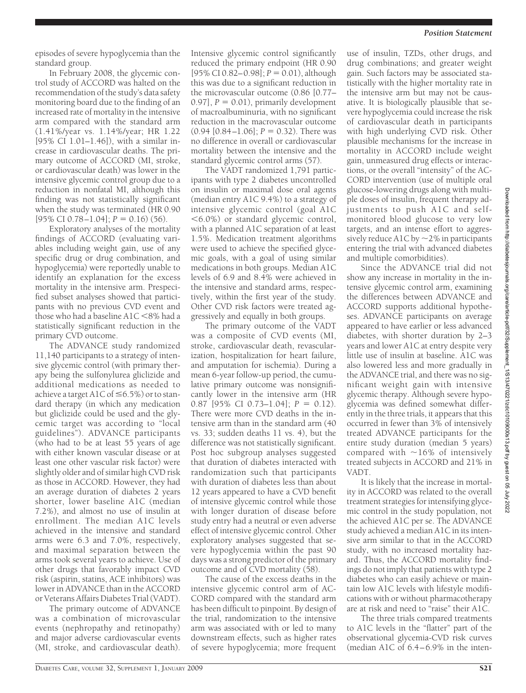episodes of severe hypoglycemia than the standard group.

In February 2008, the glycemic control study of ACCORD was halted on the recommendation of the study's data safety monitoring board due to the finding of an increased rate of mortality in the intensive arm compared with the standard arm (1.41%/year vs. 1.14%/year; HR 1.22 [95% CI 1.01–1.46]), with a similar increase in cardiovascular deaths. The primary outcome of ACCORD (MI, stroke, or cardiovascular death) was lower in the intensive glycemic control group due to a reduction in nonfatal MI, although this finding was not statistically significant when the study was terminated (HR 0.90  $[95\% \text{ CI } 0.78 - 1.04]$ ;  $P = 0.16$ ) (56).

Exploratory analyses of the mortality findings of ACCORD (evaluating variables including weight gain, use of any specific drug or drug combination, and hypoglycemia) were reportedly unable to identify an explanation for the excess mortality in the intensive arm. Prespecified subset analyses showed that participants with no previous CVD event and those who had a baseline  $A1C < 8\%$  had a statistically significant reduction in the primary CVD outcome.

The ADVANCE study randomized 11,140 participants to a strategy of intensive glycemic control (with primary therapy being the sulfonylurea gliclizide and additional medications as needed to achieve a target A1C of  $\leq$ 6.5%) or to standard therapy (in which any medication but gliclizide could be used and the glycemic target was according to "local guidelines"). ADVANCE participants (who had to be at least 55 years of age with either known vascular disease or at least one other vascular risk factor) were slightly older and of similar high CVD risk as those in ACCORD. However, they had an average duration of diabetes 2 years shorter, lower baseline A1C (median 7.2%), and almost no use of insulin at enrollment. The median A1C levels achieved in the intensive and standard arms were 6.3 and 7.0%, respectively, and maximal separation between the arms took several years to achieve. Use of other drugs that favorably impact CVD risk (aspirin, statins, ACE inhibitors) was lower in ADVANCE than in the ACCORD or Veterans Affairs Diabetes Trial (VADT).

The primary outcome of ADVANCE was a combination of microvascular events (nephropathy and retinopathy) and major adverse cardiovascular events (MI, stroke, and cardiovascular death).

Intensive glycemic control significantly reduced the primary endpoint (HR 0.90  $[95\% \text{ CI } 0.82 - 0.98]$ ;  $P = 0.01$ ), although this was due to a significant reduction in the microvascular outcome (0.86 [0.77–  $[0.97]$ ,  $P = 0.01$ ), primarily development of macroalbuminuria, with no significant reduction in the macrovascular outcome  $(0.94 \ [0.84 - 1.06]; P = 0.32)$ . There was no difference in overall or cardiovascular mortality between the intensive and the standard glycemic control arms (57).

The VADT randomized 1,791 participants with type 2 diabetes uncontrolled on insulin or maximal dose oral agents (median entry A1C 9.4%) to a strategy of intensive glycemic control (goal A1C 6.0%) or standard glycemic control, with a planned A1C separation of at least 1.5%. Medication treatment algorithms were used to achieve the specified glycemic goals, with a goal of using similar medications in both groups. Median A1C levels of 6.9 and 8.4% were achieved in the intensive and standard arms, respectively, within the first year of the study. Other CVD risk factors were treated aggressively and equally in both groups.

The primary outcome of the VADT was a composite of CVD events (MI, stroke, cardiovascular death, revascularization, hospitalization for heart failure, and amputation for ischemia). During a mean 6-year follow-up period, the cumulative primary outcome was nonsignificantly lower in the intensive arm (HR  $0.87$  [95% CI 0.73-1.04];  $P = 0.12$ ). There were more CVD deaths in the intensive arm than in the standard arm (40 vs. 33; sudden deaths 11 vs. 4), but the difference was not statistically significant. Post hoc subgroup analyses suggested that duration of diabetes interacted with randomization such that participants with duration of diabetes less than about 12 years appeared to have a CVD benefit of intensive glycemic control while those with longer duration of disease before study entry had a neutral or even adverse effect of intensive glycemic control. Other exploratory analyses suggested that severe hypoglycemia within the past 90 days was a strong predictor of the primary outcome and of CVD mortality (58).

The cause of the excess deaths in the intensive glycemic control arm of AC-CORD compared with the standard arm has been difficult to pinpoint. By design of the trial, randomization to the intensive arm was associated with or led to many downstream effects, such as higher rates of severe hypoglycemia; more frequent

use of insulin, TZDs, other drugs, and drug combinations; and greater weight gain. Such factors may be associated statistically with the higher mortality rate in the intensive arm but may not be causative. It is biologically plausible that severe hypoglycemia could increase the risk of cardiovascular death in participants with high underlying CVD risk. Other plausible mechanisms for the increase in mortality in ACCORD include weight gain, unmeasured drug effects or interactions, or the overall "intensity" of the AC-CORD intervention (use of multiple oral glucose-lowering drugs along with multiple doses of insulin, frequent therapy adjustments to push A1C and selfmonitored blood glucose to very low targets, and an intense effort to aggressively reduce A1C by  $\sim$  2% in participants entering the trial with advanced diabetes and multiple comorbidities).

Since the ADVANCE trial did not show any increase in mortality in the intensive glycemic control arm, examining the differences between ADVANCE and ACCORD supports additional hypotheses. ADVANCE participants on average appeared to have earlier or less advanced diabetes, with shorter duration by 2–3 years and lower A1C at entry despite very little use of insulin at baseline. A1C was also lowered less and more gradually in the ADVANCE trial, and there was no significant weight gain with intensive glycemic therapy. Although severe hypoglycemia was defined somewhat differently in the three trials, it appears that this occurred in fewer than 3% of intensively treated ADVANCE participants for the entire study duration (median 5 years) compared with  $\sim$ 16% of intensively treated subjects in ACCORD and 21% in VADT.

It is likely that the increase in mortality in ACCORD was related to the overall treatment strategies for intensifying glycemic control in the study population, not the achieved A1C per se. The ADVANCE study achieved a median A1C in its intensive arm similar to that in the ACCORD study, with no increased mortality hazard. Thus, the ACCORD mortality findings do not imply that patients with type 2 diabetes who can easily achieve or maintain low A1C levels with lifestyle modifications with or without pharmacotherapy are at risk and need to "raise" their A1C.

The three trials compared treatments to A1C levels in the "flatter" part of the observational glycemia-CVD risk curves (median A1C of 6.4 – 6.9% in the inten-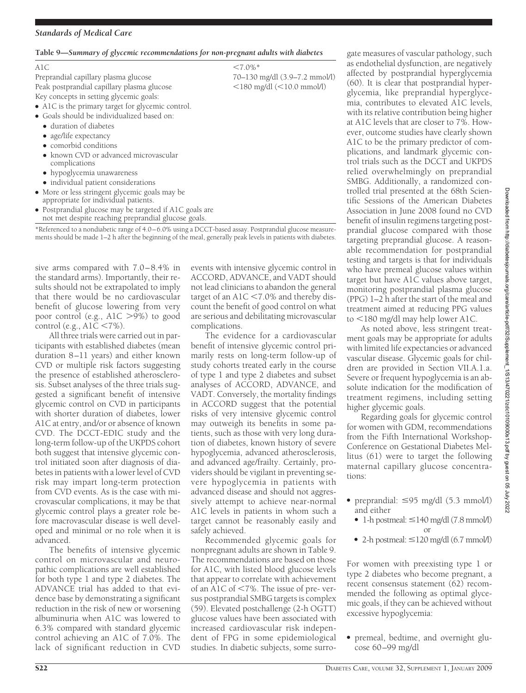#### **Table 9—***Summary of glycemic recommendations for non-pregnant adults with diabetes*

| AlC                                                                                                            | $<7.0\%*$                                                         |
|----------------------------------------------------------------------------------------------------------------|-------------------------------------------------------------------|
| Preprandial capillary plasma glucose                                                                           | 70–130 mg/dl (3.9–7.2 mmol/l)                                     |
| Peak postprandial capillary plasma glucose                                                                     | $\langle 180 \text{ mg/dl} (\langle 10.0 \text{ mmol/l} \rangle)$ |
| Key concepts in setting glycemic goals:                                                                        |                                                                   |
| • ALC is the primary target for glycemic control.                                                              |                                                                   |
| • Goals should be individualized based on:                                                                     |                                                                   |
| • duration of diabetes                                                                                         |                                                                   |
| • age/life expectancy                                                                                          |                                                                   |
| • comorbid conditions                                                                                          |                                                                   |
| $\bullet$ known CVD or advanced microvascular<br>complications                                                 |                                                                   |
| $\bullet$ hypoglycemia unawareness                                                                             |                                                                   |
| • individual patient considerations                                                                            |                                                                   |
| • More or less stringent glycemic goals may be<br>appropriate for individual patients.                         |                                                                   |
| • Postprandial glucose may be targeted if A1C goals are<br>not met despite reaching preprandial glucose goals. |                                                                   |

\*Referenced to a nondiabetic range of 4.0 – 6.0% using a DCCT-based assay. Postprandial glucose measurements should be made 1–2 h after the beginning of the meal, generally peak levels in patients with diabetes.

sive arms compared with 7.0 – 8.4% in the standard arms). Importantly, their results should not be extrapolated to imply that there would be no cardiovascular benefit of glucose lowering from very poor control (e.g.,  $AIC > 9\%$ ) to good control (e.g.,  $A1\overline{C} \le 7\%$ ).

All three trials were carried out in participants with established diabetes (mean duration 8-11 years) and either known CVD or multiple risk factors suggesting the presence of established atherosclerosis. Subset analyses of the three trials suggested a significant benefit of intensive glycemic control on CVD in participants with shorter duration of diabetes, lower A1C at entry, and/or or absence of known CVD. The DCCT-EDIC study and the long-term follow-up of the UKPDS cohort both suggest that intensive glycemic control initiated soon after diagnosis of diabetes in patients with a lower level of CVD risk may impart long-term protection from CVD events. As is the case with microvascular complications, it may be that glycemic control plays a greater role before macrovascular disease is well developed and minimal or no role when it is advanced.

The benefits of intensive glycemic control on microvascular and neuropathic complications are well established for both type 1 and type 2 diabetes. The ADVANCE trial has added to that evidence base by demonstrating a significant reduction in the risk of new or worsening albuminuria when A1C was lowered to 6.3% compared with standard glycemic control achieving an A1C of 7.0%. The lack of significant reduction in CVD

events with intensive glycemic control in ACCORD, ADVANCE, and VADT should not lead clinicians to abandon the general target of an A1C  $< 7.0\%$  and thereby discount the benefit of good control on what are serious and debilitating microvascular complications.

The evidence for a cardiovascular benefit of intensive glycemic control primarily rests on long-term follow-up of study cohorts treated early in the course of type 1 and type 2 diabetes and subset analyses of ACCORD, ADVANCE, and VADT. Conversely, the mortality findings in ACCORD suggest that the potential risks of very intensive glycemic control may outweigh its benefits in some patients, such as those with very long duration of diabetes, known history of severe hypoglycemia, advanced atherosclerosis, and advanced age/frailty. Certainly, providers should be vigilant in preventing severe hypoglycemia in patients with advanced disease and should not aggressively attempt to achieve near-normal A1C levels in patients in whom such a target cannot be reasonably easily and safely achieved.

Recommended glycemic goals for nonpregnant adults are shown in Table 9. The recommendations are based on those for A1C, with listed blood glucose levels that appear to correlate with achievement of an A1C of  $\leq 7\%$ . The issue of pre-versus postprandial SMBG targets is complex (59). Elevated postchallenge (2-h OGTT) glucose values have been associated with increased cardiovascular risk independent of FPG in some epidemiological studies. In diabetic subjects, some surro-

gate measures of vascular pathology, such as endothelial dysfunction, are negatively affected by postprandial hyperglycemia (60). It is clear that postprandial hyperglycemia, like preprandial hyperglycemia, contributes to elevated A1C levels, with its relative contribution being higher at A1C levels that are closer to 7%. However, outcome studies have clearly shown A1C to be the primary predictor of complications, and landmark glycemic control trials such as the DCCT and UKPDS relied overwhelmingly on preprandial SMBG. Additionally, a randomized controlled trial presented at the 68th Scientific Sessions of the American Diabetes Association in June 2008 found no CVD benefit of insulin regimens targeting postprandial glucose compared with those targeting preprandial glucose. A reasonable recommendation for postprandial testing and targets is that for individuals who have premeal glucose values within target but have A1C values above target, monitoring postprandial plasma glucose (PPG) 1–2 h after the start of the meal and treatment aimed at reducing PPG values to  $\leq$ 180 mg/dl may help lower A1C.

As noted above, less stringent treatment goals may be appropriate for adults with limited life expectancies or advanced vascular disease. Glycemic goals for children are provided in Section VII.A.1.a. Severe or frequent hypoglycemia is an absolute indication for the modification of treatment regimens, including setting higher glycemic goals.

Regarding goals for glycemic control for women with GDM, recommendations from the Fifth International Workshop-Conference on Gestational Diabetes Mellitus (61) were to target the following maternal capillary glucose concentrations:

- preprandial:  $\leq 95$  mg/dl (5.3 mmol/l) and either
	- 1-h postmeal:  $≤140$  mg/dl (7.8 mmol/l) or
	- 2-h postmeal:  $≤120$  mg/dl (6.7 mmol/l)

For women with preexisting type 1 or type 2 diabetes who become pregnant, a recent consensus statement (62) recommended the following as optimal glycemic goals, if they can be achieved without excessive hypoglycemia:

● premeal, bedtime, and overnight glucose 60 –99 mg/dl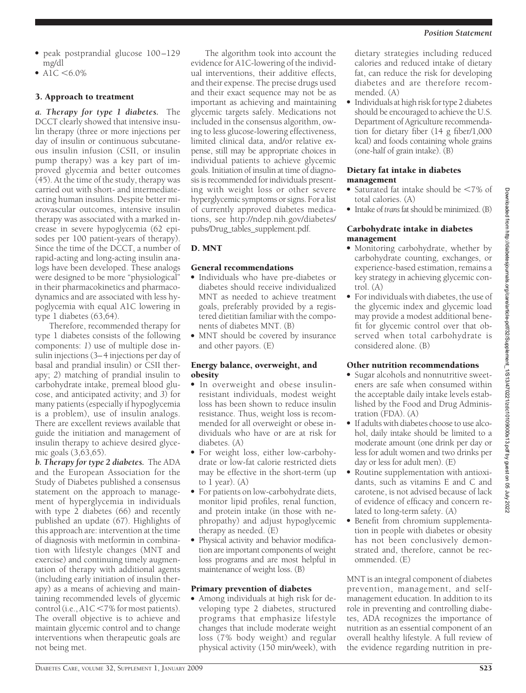- peak postprandial glucose 100 –129 mg/dl
- $A1C < 6.0\%$

# 3. Approach to treatment

*a. Therapy for type 1 diabetes.* The DCCT clearly showed that intensive insulin therapy (three or more injections per day of insulin or continuous subcutaneous insulin infusion (CSII, or insulin pump therapy) was a key part of improved glycemia and better outcomes (45). At the time of the study, therapy was carried out with short- and intermediateacting human insulins. Despite better microvascular outcomes, intensive insulin therapy was associated with a marked increase in severe hypoglycemia (62 episodes per 100 patient-years of therapy). Since the time of the DCCT, a number of rapid-acting and long-acting insulin analogs have been developed. These analogs were designed to be more "physiological" in their pharmacokinetics and pharmacodynamics and are associated with less hypoglycemia with equal A1C lowering in type 1 diabetes (63,64).

Therefore, recommended therapy for type 1 diabetes consists of the following components: *1*) use of multiple dose insulin injections (3– 4 injections per day of basal and prandial insulin) or CSII therapy; *2*) matching of prandial insulin to carbohydrate intake, premeal blood glucose, and anticipated activity; and *3*) for many patients (especially if hypoglycemia is a problem), use of insulin analogs. There are excellent reviews available that guide the initiation and management of insulin therapy to achieve desired glycemic goals (3,63,65).

*b. Therapy for type 2 diabetes.* The ADA and the European Association for the Study of Diabetes published a consensus statement on the approach to management of hyperglycemia in individuals with type 2 diabetes (66) and recently published an update (67). Highlights of this approach are: intervention at the time of diagnosis with metformin in combination with lifestyle changes (MNT and exercise) and continuing timely augmentation of therapy with additional agents (including early initiation of insulin therapy) as a means of achieving and maintaining recommended levels of glycemic  $control(i.e., A1C < 7\%$  for most patients). The overall objective is to achieve and maintain glycemic control and to change interventions when therapeutic goals are not being met.

The algorithm took into account the evidence for A1C-lowering of the individual interventions, their additive effects, and their expense. The precise drugs used and their exact sequence may not be as important as achieving and maintaining glycemic targets safely. Medications not included in the consensus algorithm, owing to less glucose-lowering effectiveness, limited clinical data, and/or relative expense, still may be appropriate choices in individual patients to achieve glycemic goals. Initiation of insulin at time of diagnosis is recommended for individuals presenting with weight loss or other severe hyperglycemic symptoms or signs. For a list of currently approved diabetes medications, see http://ndep.nih.gov/diabetes/ pubs/Drug\_tables\_supplement.pdf.

# D. MNT

# General recommendations

- Individuals who have pre-diabetes or diabetes should receive individualized MNT as needed to achieve treatment goals, preferably provided by a registered dietitian familiar with the components of diabetes MNT. (B)
- MNT should be covered by insurance and other payors. (E)

# Energy balance, overweight, and obesity

- In overweight and obese insulinresistant individuals, modest weight loss has been shown to reduce insulin resistance. Thus, weight loss is recommended for all overweight or obese individuals who have or are at risk for diabetes. (A)
- For weight loss, either low-carbohydrate or low-fat calorie restricted diets may be effective in the short-term (up to  $1$  year).  $(A)$
- For patients on low-carbohydrate diets, monitor lipid profiles, renal function, and protein intake (in those with nephropathy) and adjust hypoglycemic therapy as needed. (E)
- Physical activity and behavior modification are important components of weight loss programs and are most helpful in maintenance of weight loss. (B)

# Primary prevention of diabetes

● Among individuals at high risk for developing type 2 diabetes, structured programs that emphasize lifestyle changes that include moderate weight loss (7% body weight) and regular physical activity (150 min/week), with

dietary strategies including reduced calories and reduced intake of dietary fat, can reduce the risk for developing diabetes and are therefore recommended. (A)

• Individuals at high risk for type 2 diabetes should be encouraged to achieve the U.S. Department of Agriculture recommendation for dietary fiber (14 g fiber/1,000 kcal) and foods containing whole grains (one-half of grain intake). (B)

# Dietary fat intake in diabetes management

- Saturated fat intake should be  $\leq 7\%$  of total calories. (A)
- Intake of *trans*fat should be minimized. (B)

### Carbohydrate intake in diabetes management

- Monitoring carbohydrate, whether by carbohydrate counting, exchanges, or experience-based estimation, remains a key strategy in achieving glycemic control. (A)
- For individuals with diabetes, the use of the glycemic index and glycemic load may provide a modest additional benefit for glycemic control over that observed when total carbohydrate is considered alone. (B)

# Other nutrition recommendations

- Sugar alcohols and nonnutritive sweeteners are safe when consumed within the acceptable daily intake levels established by the Food and Drug Administration (FDA). (A)
- If adults with diabetes choose to use alcohol, daily intake should be limited to a moderate amount (one drink per day or less for adult women and two drinks per day or less for adult men). (E)
- Routine supplementation with antioxidants, such as vitamins E and C and carotene, is not advised because of lack of evidence of efficacy and concern related to long-term safety. (A)
- Benefit from chromium supplementation in people with diabetes or obesity has not been conclusively demonstrated and, therefore, cannot be recommended. (E)

MNT is an integral component of diabetes prevention, management, and selfmanagement education. In addition to its role in preventing and controlling diabetes, ADA recognizes the importance of nutrition as an essential component of an overall healthy lifestyle. A full review of the evidence regarding nutrition in pre-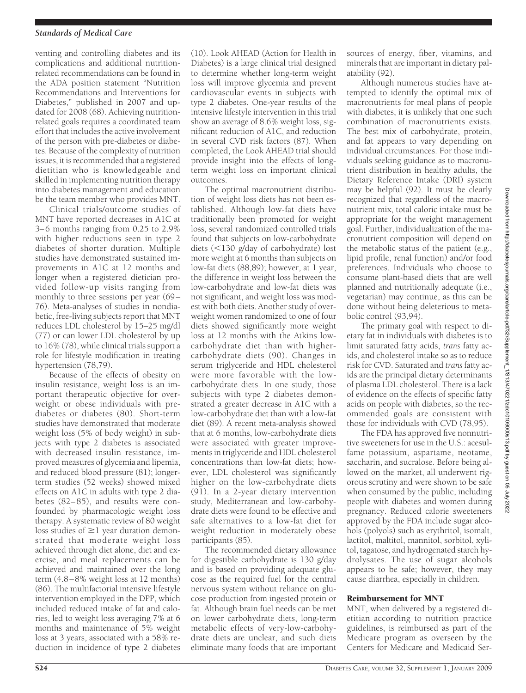venting and controlling diabetes and its complications and additional nutritionrelated recommendations can be found in the ADA position statement "Nutrition Recommendations and Interventions for Diabetes," published in 2007 and updated for 2008 (68). Achieving nutritionrelated goals requires a coordinated team effort that includes the active involvement of the person with pre-diabetes or diabetes. Because of the complexity of nutrition issues, it is recommended that a registered dietitian who is knowledgeable and skilled in implementing nutrition therapy into diabetes management and education be the team member who provides MNT.

Clinical trials/outcome studies of MNT have reported decreases in A1C at 3– 6 months ranging from 0.25 to 2.9% with higher reductions seen in type 2 diabetes of shorter duration. Multiple studies have demonstrated sustained improvements in A1C at 12 months and longer when a registered dietician provided follow-up visits ranging from monthly to three sessions per year (69 – 76). Meta-analyses of studies in nondiabetic, free-living subjects report that MNT reduces LDL cholesterol by 15–25 mg/dl (77) or can lower LDL cholesterol by up to 16% (78), while clinical trials support a role for lifestyle modification in treating hypertension (78,79).

Because of the effects of obesity on insulin resistance, weight loss is an important therapeutic objective for overweight or obese individuals with prediabetes or diabetes (80). Short-term studies have demonstrated that moderate weight loss (5% of body weight) in subjects with type 2 diabetes is associated with decreased insulin resistance, improved measures of glycemia and lipemia, and reduced blood pressure (81); longerterm studies (52 weeks) showed mixed effects on A1C in adults with type 2 diabetes (82– 85), and results were confounded by pharmacologic weight loss therapy. A systematic review of 80 weight loss studies of  $\geq$ 1 year duration demonstrated that moderate weight loss achieved through diet alone, diet and exercise, and meal replacements can be achieved and maintained over the long term (4.8 – 8% weight loss at 12 months) (86). The multifactorial intensive lifestyle intervention employed in the DPP, which included reduced intake of fat and calories, led to weight loss averaging 7% at 6 months and maintenance of 5% weight loss at 3 years, associated with a 58% reduction in incidence of type 2 diabetes

(10). Look AHEAD (Action for Health in Diabetes) is a large clinical trial designed to determine whether long-term weight loss will improve glycemia and prevent cardiovascular events in subjects with type 2 diabetes. One-year results of the intensive lifestyle intervention in this trial show an average of 8.6% weight loss, significant reduction of A1C, and reduction in several CVD risk factors (87). When completed, the Look AHEAD trial should provide insight into the effects of longterm weight loss on important clinical outcomes.

The optimal macronutrient distribution of weight loss diets has not been established. Although low-fat diets have traditionally been promoted for weight loss, several randomized controlled trials found that subjects on low-carbohydrate diets  $($  130 g/day of carbohydrate) lost more weight at 6 months than subjects on low-fat diets (88,89); however, at 1 year, the difference in weight loss between the low-carbohydrate and low-fat diets was not significant, and weight loss was modest with both diets. Another study of overweight women randomized to one of four diets showed significantly more weight loss at 12 months with the Atkins lowcarbohydrate diet than with highercarbohydrate diets (90). Changes in serum triglyceride and HDL cholesterol were more favorable with the lowcarbohydrate diets. In one study, those subjects with type 2 diabetes demonstrated a greater decrease in A1C with a low-carbohydrate diet than with a low-fat diet (89). A recent meta-analysis showed that at 6 months, low-carbohydrate diets were associated with greater improvements in triglyceride and HDL cholesterol concentrations than low-fat diets; however, LDL cholesterol was significantly higher on the low-carbohydrate diets (91). In a 2-year dietary intervention study, Mediterranean and low-carbohydrate diets were found to be effective and safe alternatives to a low-fat diet for weight reduction in moderately obese participants (85).

The recommended dietary allowance for digestible carbohydrate is 130 g/day and is based on providing adequate glucose as the required fuel for the central nervous system without reliance on glucose production from ingested protein or fat. Although brain fuel needs can be met on lower carbohydrate diets, long-term metabolic effects of very-low-carbohydrate diets are unclear, and such diets eliminate many foods that are important

sources of energy, fiber, vitamins, and minerals that are important in dietary palatability (92).

Although numerous studies have attempted to identify the optimal mix of macronutrients for meal plans of people with diabetes, it is unlikely that one such combination of macronutrients exists. The best mix of carbohydrate, protein, and fat appears to vary depending on individual circumstances. For those individuals seeking guidance as to macronutrient distribution in healthy adults, the Dietary Reference Intake (DRI) system may be helpful (92). It must be clearly recognized that regardless of the macronutrient mix, total caloric intake must be appropriate for the weight management goal. Further, individualization of the macronutrient composition will depend on the metabolic status of the patient (e.g., lipid profile, renal function) and/or food preferences. Individuals who choose to consume plant-based diets that are well planned and nutritionally adequate (i.e., vegetarian) may continue, as this can be done without being deleterious to metabolic control (93,94).

The primary goal with respect to dietary fat in individuals with diabetes is to limit saturated fatty acids, *trans* fatty acids, and cholesterol intake so as to reduce risk for CVD. Saturated and *trans* fatty acids are the principal dietary determinants of plasma LDL cholesterol. There is a lack of evidence on the effects of specific fatty acids on people with diabetes, so the recommended goals are consistent with those for individuals with CVD (78,95).

The FDA has approved five nonnutritive sweeteners for use in the U.S.: acesulfame potassium, aspartame, neotame, saccharin, and sucralose. Before being allowed on the market, all underwent rigorous scrutiny and were shown to be safe when consumed by the public, including people with diabetes and women during pregnancy. Reduced calorie sweeteners approved by the FDA include sugar alcohols (polyols) such as erythritol, isomalt, lactitol, maltitol, mannitol, sorbitol, xylitol, tagatose, and hydrogenated starch hydrolysates. The use of sugar alcohols appears to be safe; however, they may cause diarrhea, especially in children.

### Reimbursement for MNT

MNT, when delivered by a registered dietitian according to nutrition practice guidelines, is reimbursed as part of the Medicare program as overseen by the Centers for Medicare and Medicaid Ser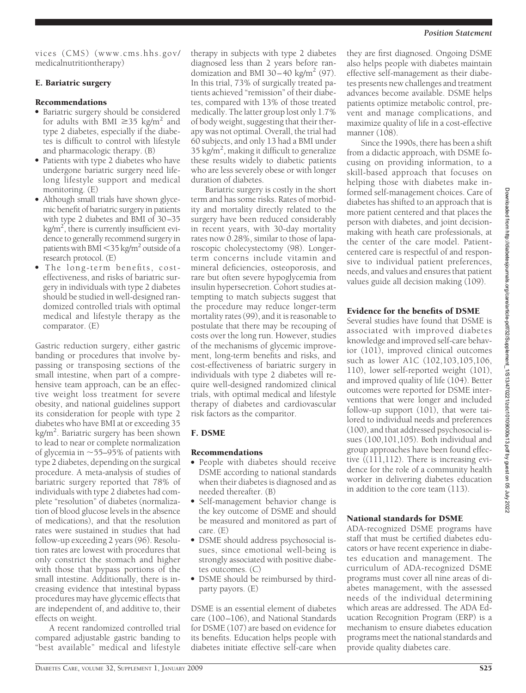vices (CMS) (www.cms.hhs.gov/ medicalnutritiontherapy)

# E. Bariatric surgery

### Recommendations

- Bariatric surgery should be considered for adults with BMI  $\geq$ 35 kg/m<sup>2</sup> and type 2 diabetes, especially if the diabetes is difficult to control with lifestyle and pharmacologic therapy. (B)
- Patients with type 2 diabetes who have undergone bariatric surgery need lifelong lifestyle support and medical monitoring. (E)
- Although small trials have shown glycemic benefit of bariatric surgery in patients with type 2 diabetes and BMI of 30–35 kg/m<sup>2'</sup>, there is currently insufficient evidence to generally recommend surgery in patients with BMI $\leq$ 35 kg/m<sup>2</sup> outside of a research protocol. (E)
- The long-term benefits, costeffectiveness, and risks of bariatric surgery in individuals with type 2 diabetes should be studied in well-designed randomized controlled trials with optimal medical and lifestyle therapy as the comparator. (E)

Gastric reduction surgery, either gastric banding or procedures that involve bypassing or transposing sections of the small intestine, when part of a comprehensive team approach, can be an effective weight loss treatment for severe obesity, and national guidelines support its consideration for people with type 2 diabetes who have BMI at or exceeding 35 kg/m2 . Bariatric surgery has been shown to lead to near or complete normalization of glycemia in  $~155-95\%$  of patients with type 2 diabetes, depending on the surgical procedure. A meta-analysis of studies of bariatric surgery reported that 78% of individuals with type 2 diabetes had complete "resolution" of diabetes (normalization of blood glucose levels in the absence of medications), and that the resolution rates were sustained in studies that had follow-up exceeding 2 years (96). Resolution rates are lowest with procedures that only constrict the stomach and higher with those that bypass portions of the small intestine. Additionally, there is increasing evidence that intestinal bypass procedures may have glycemic effects that are independent of, and additive to, their effects on weight.

A recent randomized controlled trial compared adjustable gastric banding to "best available" medical and lifestyle

therapy in subjects with type 2 diabetes diagnosed less than 2 years before randomization and BMI  $30-40$  kg/m<sup>2</sup> (97). In this trial, 73% of surgically treated patients achieved "remission" of their diabetes, compared with 13% of those treated medically. The latter group lost only 1.7% of body weight, suggesting that their therapy was not optimal. Overall, the trial had 60 subjects, and only 13 had a BMI under 35 kg/m<sup>2</sup>, making it difficult to generalize these results widely to diabetic patients who are less severely obese or with longer duration of diabetes.

Bariatric surgery is costly in the short term and has some risks. Rates of morbidity and mortality directly related to the surgery have been reduced considerably in recent years, with 30-day mortality rates now 0.28%, similar to those of laparoscopic cholecystectomy (98). Longerterm concerns include vitamin and mineral deficiencies, osteoporosis, and rare but often severe hypoglycemia from insulin hypersecretion. Cohort studies attempting to match subjects suggest that the procedure may reduce longer-term mortality rates (99), and it is reasonable to postulate that there may be recouping of costs over the long run. However, studies of the mechanisms of glycemic improvement, long-term benefits and risks, and cost-effectiveness of bariatric surgery in individuals with type 2 diabetes will require well-designed randomized clinical trials, with optimal medical and lifestyle therapy of diabetes and cardiovascular risk factors as the comparitor.

# F. DSME

# Recommendations

- People with diabetes should receive DSME according to national standards when their diabetes is diagnosed and as needed thereafter. (B)
- Self-management behavior change is the key outcome of DSME and should be measured and monitored as part of care. (E)
- DSME should address psychosocial issues, since emotional well-being is strongly associated with positive diabetes outcomes. (C)
- DSME should be reimbursed by thirdparty payors. (E)

DSME is an essential element of diabetes care (100 –106), and National Standards for DSME (107) are based on evidence for its benefits. Education helps people with diabetes initiate effective self-care when

they are first diagnosed. Ongoing DSME also helps people with diabetes maintain effective self-management as their diabetes presents new challenges and treatment advances become available. DSME helps patients optimize metabolic control, prevent and manage complications, and maximize quality of life in a cost-effective manner (108).

Since the 1990s, there has been a shift from a didactic approach, with DSME focusing on providing information, to a skill-based approach that focuses on helping those with diabetes make informed self-management choices. Care of diabetes has shifted to an approach that is more patient centered and that places the person with diabetes, and joint decisionmaking with heath care professionals, at the center of the care model. Patientcentered care is respectful of and responsive to individual patient preferences, needs, and values and ensures that patient values guide all decision making (109).

# Evidence for the benefits of DSME

Several studies have found that DSME is associated with improved diabetes knowledge and improved self-care behavior (101), improved clinical outcomes such as lower A1C (102,103,105,106, 110), lower self-reported weight (101), and improved quality of life (104). Better outcomes were reported for DSME interventions that were longer and included follow-up support  $(101)$ , that were tailored to individual needs and preferences (100), and that addressed psychosocial issues (100,101,105). Both individual and group approaches have been found effective ((111,112). There is increasing evidence for the role of a community health worker in delivering diabetes education in addition to the core team (113).

# National standards for DSME

ADA-recognized DSME programs have staff that must be certified diabetes educators or have recent experience in diabetes education and management. The curriculum of ADA-recognized DSME programs must cover all nine areas of diabetes management, with the assessed needs of the individual determining which areas are addressed. The ADA Education Recognition Program (ERP) is a mechanism to ensure diabetes education programs meet the national standards and provide quality diabetes care.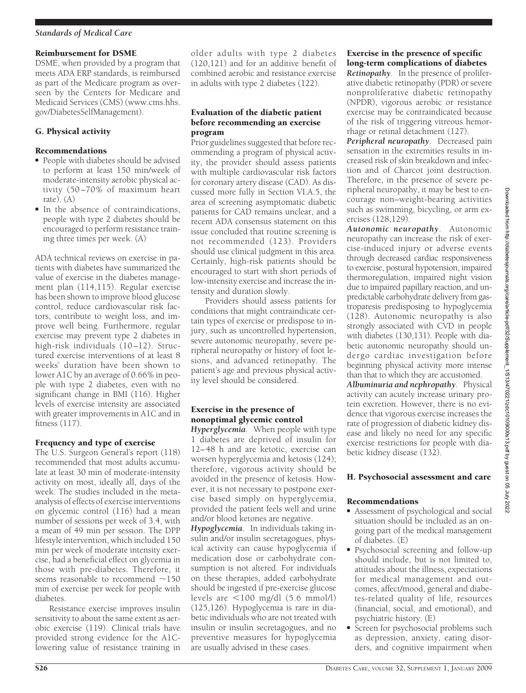# Reimbursement for DSME

DSME, when provided by a program that meets ADA ERP standards, is reimbursed as part of the Medicare program as overseen by the Centers for Medicare and Medicaid Services (CMS) (www.cms.hhs. gov/DiabetesSelfManagement).

# G. Physical activity

# Recommendations

- People with diabetes should be advised to perform at least 150 min/week of moderate-intensity aerobic physical activity (50 –70% of maximum heart rate). (A)
- In the absence of contraindications, people with type 2 diabetes should be encouraged to perform resistance training three times per week. (A)

ADA technical reviews on exercise in patients with diabetes have summarized the value of exercise in the diabetes management plan (114,115). Regular exercise has been shown to improve blood glucose control, reduce cardiovascular risk factors, contribute to weight loss, and improve well being. Furthermore, regular exercise may prevent type 2 diabetes in high-risk individuals (10-12). Structured exercise interventions of at least 8 weeks' duration have been shown to lower A1C by an average of 0.66% in people with type 2 diabetes, even with no significant change in BMI (116). Higher levels of exercise intensity are associated with greater improvements in A1C and in fitness (117).

# Frequency and type of exercise

The U.S. Surgeon General's report (118) recommended that most adults accumulate at least 30 min of moderate-intensity activity on most, ideally all, days of the week. The studies included in the metaanalysis of effects of exercise interventions on glycemic control (116) had a mean number of sessions per week of 3.4, with a mean of 49 min per session. The DPP lifestyle intervention, which included 150 min per week of moderate intensity exercise, had a beneficial effect on glycemia in those with pre-diabetes. Therefore, it seems reasonable to recommend  $\sim$ 150 min of exercise per week for people with diabetes.

Resistance exercise improves insulin sensitivity to about the same extent as aerobic exercise (119). Clinical trials have provided strong evidence for the A1Clowering value of resistance training in

older adults with type 2 diabetes (120,121) and for an additive benefit of combined aerobic and resistance exercise in adults with type 2 diabetes (122).

### Evaluation of the diabetic patient before recommending an exercise program

Prior guidelines suggested that before recommending a program of physical activity, the provider should assess patients with multiple cardiovascular risk factors for coronary artery disease (CAD). As discussed more fully in Section VI.A.5, the area of screening asymptomatic diabetic patients for CAD remains unclear, and a recent ADA consensus statement on this issue concluded that routine screening is not recommended (123). Providers should use clinical judgment in this area. Certainly, high-risk patients should be encouraged to start with short periods of low-intensity exercise and increase the intensity and duration slowly.

Providers should assess patients for conditions that might contraindicate certain types of exercise or predispose to injury, such as uncontrolled hypertension, severe autonomic neuropathy, severe peripheral neuropathy or history of foot lesions, and advanced retinopathy. The patient's age and previous physical activity level should be considered.

# Exercise in the presence of nonoptimal glycemic control

*Hyperglycemia*. When people with type 1 diabetes are deprived of insulin for 12– 48 h and are ketotic, exercise can worsen hyperglycemia and ketosis (124); therefore, vigorous activity should be avoided in the presence of ketosis. However, it is not necessary to postpone exercise based simply on hyperglycemia, provided the patient feels well and urine and/or blood ketones are negative.

*Hypoglycemia*. In individuals taking insulin and/or insulin secretagogues, physical activity can cause hypoglycemia if medication dose or carbohydrate consumption is not altered. For individuals on these therapies, added carbohydrate should be ingested if pre-exercise glucose levels are  $\leq 100$  mg/dl (5.6 mmol/l) (125,126). Hypoglycemia is rare in diabetic individuals who are not treated with insulin or insulin secretagogues, and no preventive measures for hypoglycemia are usually advised in these cases.

# Exercise in the presence of specific long-term complications of diabetes

*Retinopathy*. In the presence of proliferative diabetic retinopathy (PDR) or severe nonproliferative diabetic retinopathy (NPDR), vigorous aerobic or resistance exercise may be contraindicated because of the risk of triggering vitreous hemorrhage or retinal detachment (127).

*Peripheral neuropathy*. Decreased pain sensation in the extremities results in increased risk of skin breakdown and infection and of Charcot joint destruction. Therefore, in the presence of severe peripheral neuropathy, it may be best to encourage non–weight-bearing activities such as swimming, bicycling, or arm exercises (128,129).

*Autonomic neuropathy*. Autonomic neuropathy can increase the risk of exercise-induced injury or adverse events through decreased cardiac responsiveness to exercise, postural hypotension, impaired thermoregulation, impaired night vision due to impaired papillary reaction, and unpredictable carbohydrate delivery from gastroparesis predisposing to hypoglycemia (128). Autonomic neuropathy is also strongly associated with CVD in people with diabetes (130,131). People with diabetic autonomic neuropathy should undergo cardiac investigation before beginning physical activity more intense than that to which they are accustomed.

*Albuminuria and nephropathy*. Physical activity can acutely increase urinary protein excretion. However, there is no evidence that vigorous exercise increases the rate of progression of diabetic kidney disease and likely no need for any specific exercise restrictions for people with diabetic kidney disease (132).

# H. Psychosocial assessment and care

# Recommendations

- Assessment of psychological and social situation should be included as an ongoing part of the medical management of diabetes. (E)
- Psychosocial screening and follow-up should include, but is not limited to, attitudes about the illness, expectations for medical management and outcomes, affect/mood, general and diabetes-related quality of life, resources (financial, social, and emotional), and psychiatric history. (E)
- Screen for psychosocial problems such as depression, anxiety, eating disorders, and cognitive impairment when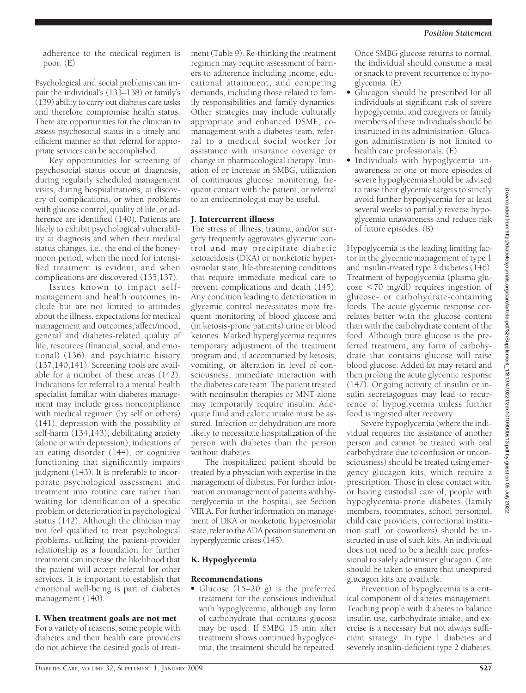adherence to the medical regimen is poor. (E)

Psychological and social problems can impair the individual's (133–138) or family's (139) ability to carry out diabetes care tasks and therefore compromise health status. There are opportunities for the clinician to assess psychosocial status in a timely and efficient manner so that referral for appropriate services can be accomplished.

Key opportunities for screening of psychosocial status occur at diagnosis, during regularly scheduled management visits, during hospitalizations, at discovery of complications, or when problems with glucose control, quality of life, or adherence are identified (140). Patients are likely to exhibit psychological vulnerability at diagnosis and when their medical status changes, i.e., the end of the honeymoon period, when the need for intensified treatment is evident, and when complications are discovered (135,137).

Issues known to impact selfmanagement and health outcomes include but are not limited to attitudes about the illness, expectations for medical management and outcomes, affect/mood, general and diabetes-related quality of life, resources (financial, social, and emotional) (136), and psychiatric history (137,140,141). Screening tools are available for a number of these areas (142). Indications for referral to a mental health specialist familiar with diabetes management may include gross noncompliance with medical regimen (by self or others) (141), depression with the possibility of self-harm (134,143), debilitating anxiety (alone or with depression), indications of an eating disorder (144), or cognitive functioning that significantly impairs judgment (143). It is preferable to incorporate psychological assessment and treatment into routine care rather than waiting for identification of a specific problem or deterioration in psychological status (142). Although the clinician may not feel qualified to treat psychological problems, utilizing the patient-provider relationship as a foundation for further treatment can increase the likelihood that the patient will accept referral for other services. It is important to establish that emotional well-being is part of diabetes management (140).

### I. When treatment goals are not met

For a variety of reasons, some people with diabetes and their health care providers do not achieve the desired goals of treatment (Table 9). Re-thinking the treatment regimen may require assessment of barriers to adherence including income, educational attainment, and competing demands, including those related to family responsibilities and family dynamics. Other strategies may include culturally appropriate and enhanced DSME, comanagement with a diabetes team, referral to a medical social worker for assistance with insurance coverage or change in pharmacological therapy. Initiation of or increase in SMBG, utilization of continuous glucose monitoring, frequent contact with the patient, or referral to an endocrinologist may be useful.

# J. Intercurrent illness

The stress of illness, trauma, and/or surgery frequently aggravates glycemic control and may precipitate diabetic ketoacidosis (DKA) or nonketotic hyperosmolar state, life-threatening conditions that require immediate medical care to prevent complications and death (145). Any condition leading to deterioration in glycemic control necessitates more frequent monitoring of blood glucose and (in ketosis-prone patients) urine or blood ketones. Marked hyperglycemia requires temporary adjustment of the treatment program and, if accompanied by ketosis, vomiting, or alteration in level of consciousness, immediate interaction with the diabetes care team. The patient treated with noninsulin therapies or MNT alone may temporarily require insulin. Adequate fluid and caloric intake must be assured. Infection or dehydration are more likely to necessitate hospitalization of the person with diabetes than the person without diabetes.

The hospitalized patient should be treated by a physician with expertise in the management of diabetes. For further information on management of patients with hyperglycemia in the hospital, see Section VIII.A. For further information on management of DKA or nonketotic hyperosmolar state, refer to the ADA position statement on hyperglycemic crises (145).

# K. Hypoglycemia

# Recommendations

• Glucose  $(15-20 \text{ g})$  is the preferred treatment for the conscious individual with hypoglycemia, although any form of carbohydrate that contains glucose may be used. If SMBG 15 min after treatment shows continued hypoglycemia, the treatment should be repeated.

Once SMBG glucose returns to normal, the individual should consume a meal or snack to prevent recurrence of hypoglycemia. (E)

- Glucagon should be prescribed for all individuals at significant risk of severe hypoglycemia, and caregivers or family members of these individuals should be instructed in its administration. Glucagon administration is not limited to health care professionals. (E)
- Individuals with hypoglycemia unawareness or one or more episodes of severe hypoglycemia should be advised to raise their glycemic targets to strictly avoid further hypoglycemia for at least several weeks to partially reverse hypoglycemia unawareness and reduce risk of future episodes. (B)

Hypoglycemia is the leading limiting factor in the glycemic management of type 1 and insulin-treated type 2 diabetes (146). Treatment of hypoglycemia (plasma glu- $\cos\epsilon$  <70 mg/dl) requires ingestion of glucose- or carbohydrate-containing foods. The acute glycemic response correlates better with the glucose content than with the carbohydrate content of the food. Although pure glucose is the preferred treatment, any form of carbohydrate that contains glucose will raise blood glucose. Added fat may retard and then prolong the acute glycemic response (147). Ongoing activity of insulin or insulin secretagogues may lead to recurrence of hypoglycemia unless further food is ingested after recovery.

Severe hypoglycemia (where the individual requires the assistance of another person and cannot be treated with oral carbohydrate due to confusion or unconsciousness) should be treated using emergency glucagon kits, which require a prescription. Those in close contact with, or having custodial care of, people with hypoglycemia-prone diabetes (family members, roommates, school personnel, child care providers, correctional institution staff, or coworkers) should be instructed in use of such kits. An individual does not need to be a health care professional to safely administer glucagon. Care should be taken to ensure that unexpired glucagon kits are available.

Prevention of hypoglycemia is a critical component of diabetes management. Teaching people with diabetes to balance insulin use, carbohydrate intake, and exercise is a necessary but not always sufficient strategy. In type 1 diabetes and severely insulin-deficient type 2 diabetes,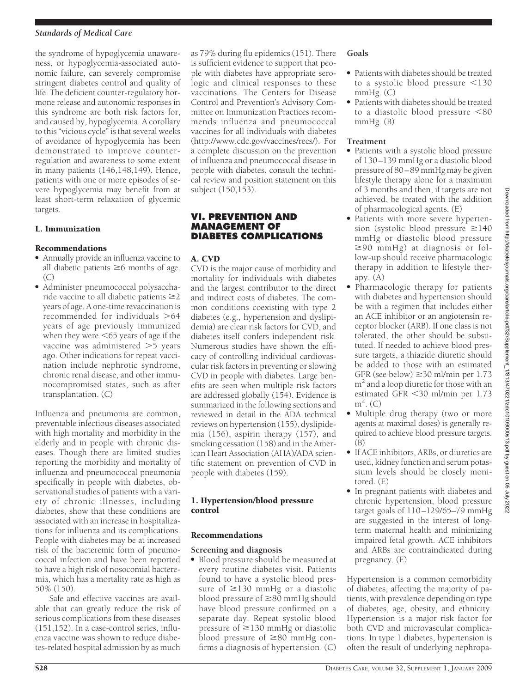the syndrome of hypoglycemia unawareness, or hypoglycemia-associated autonomic failure, can severely compromise stringent diabetes control and quality of life. The deficient counter-regulatory hormone release and autonomic responses in this syndrome are both risk factors for, and caused by, hypoglycemia. A corollary to this "vicious cycle" is that several weeks of avoidance of hypoglycemia has been demonstrated to improve counterregulation and awareness to some extent in many patients (146,148,149). Hence, patients with one or more episodes of severe hypoglycemia may benefit from at least short-term relaxation of glycemic targets.

# L. Immunization

### Recommendations

- Annually provide an influenza vaccine to all diabetic patients  $\geq 6$  months of age.  $(C)$
- Administer pneumococcal polysaccharide vaccine to all diabetic patients  $\geq$ 2 years of age. A one-time revaccination is recommended for individuals  $>64$ years of age previously immunized when they were  $\leq 65$  years of age if the vaccine was administered >5 years ago. Other indications for repeat vaccination include nephrotic syndrome, chronic renal disease, and other immunocompromised states, such as after transplantation. (C)

Influenza and pneumonia are common, preventable infectious diseases associated with high mortality and morbidity in the elderly and in people with chronic diseases. Though there are limited studies reporting the morbidity and mortality of influenza and pneumococcal pneumonia specifically in people with diabetes, observational studies of patients with a variety of chronic illnesses, including diabetes, show that these conditions are associated with an increase in hospitalizations for influenza and its complications. People with diabetes may be at increased risk of the bacteremic form of pneumococcal infection and have been reported to have a high risk of nosocomial bacteremia, which has a mortality rate as high as 50% (150).

Safe and effective vaccines are available that can greatly reduce the risk of serious complications from these diseases (151,152). In a case-control series, influenza vaccine was shown to reduce diabetes-related hospital admission by as much

as 79% during flu epidemics (151). There is sufficient evidence to support that people with diabetes have appropriate serologic and clinical responses to these vaccinations. The Centers for Disease Control and Prevention's Advisory Committee on Immunization Practices recommends influenza and pneumococcal vaccines for all individuals with diabetes (http://www.cdc.gov/vaccines/recs/). For a complete discussion on the prevention of influenza and pneumococcal disease in people with diabetes, consult the technical review and position statement on this subject (150,153).

### **VI. PREVENTION AND MANAGEMENT OF DIABETES COMPLICATIONS**

# A. CVD

CVD is the major cause of morbidity and mortality for individuals with diabetes and the largest contributor to the direct and indirect costs of diabetes. The common conditions coexisting with type 2 diabetes (e.g., hypertension and dyslipidemia) are clear risk factors for CVD, and diabetes itself confers independent risk. Numerous studies have shown the efficacy of controlling individual cardiovascular risk factors in preventing or slowing CVD in people with diabetes. Large benefits are seen when multiple risk factors are addressed globally (154). Evidence is summarized in the following sections and reviewed in detail in the ADA technical reviews on hypertension (155), dyslipidemia (156), aspirin therapy (157), and smoking cessation (158) and in the American Heart Association (AHA)/ADA scientific statement on prevention of CVD in people with diabetes (159).

### 1. Hypertension/blood pressure control

# Recommendations

# **Screening and diagnosis**

● Blood pressure should be measured at every routine diabetes visit. Patients found to have a systolic blood pressure of  $\geq$ 130 mmHg or a diastolic blood pressure of  $\geq$ 80 mmHg should have blood pressure confirmed on a separate day. Repeat systolic blood pressure of  $\geq$ 130 mmHg or diastolic blood pressure of  $\geq 80$  mmHg confirms a diagnosis of hypertension. (C)

### **Goals**

- Patients with diabetes should be treated to a systolic blood pressure  $\leq 130$ mmHg. (C)
- Patients with diabetes should be treated to a diastolic blood pressure  $\leq 80$ mmHg. (B)

# **Treatment**

- Patients with a systolic blood pressure of 130 –139 mmHg or a diastolic blood pressure of 80 – 89 mmHg may be given lifestyle therapy alone for a maximum of 3 months and then, if targets are not achieved, be treated with the addition of pharmacological agents. (E)
- Patients with more severe hypertension (systolic blood pressure  $\geq$ 140 mmHg or diastolic blood pressure  $\geq$ 90 mmHg) at diagnosis or follow-up should receive pharmacologic therapy in addition to lifestyle therapy. (A)
- Pharmacologic therapy for patients with diabetes and hypertension should be with a regimen that includes either an ACE inhibitor or an angiotensin receptor blocker (ARB). If one class is not tolerated, the other should be substituted. If needed to achieve blood pressure targets, a thiazide diuretic should be added to those with an estimated GFR (see below)  $\geq$ 30 ml/min per 1.73  $m<sup>2</sup>$  and a loop diuretic for those with an estimated GFR 30 ml/min per 1.73  $m^2$ . (C)
- Multiple drug therapy (two or more agents at maximal doses) is generally required to achieve blood pressure targets. (B)
- If ACE inhibitors, ARBs, or diuretics are used, kidney function and serum potassium levels should be closely monitored. (E)
- In pregnant patients with diabetes and chronic hypertension, blood pressure target goals of 110 –129/65–79 mmHg are suggested in the interest of longterm maternal health and minimizing impaired fetal growth. ACE inhibitors and ARBs are contraindicated during pregnancy. (E)

Hypertension is a common comorbidity of diabetes, affecting the majority of patients, with prevalence depending on type of diabetes, age, obesity, and ethnicity. Hypertension is a major risk factor for both CVD and microvascular complications. In type 1 diabetes, hypertension is often the result of underlying nephropa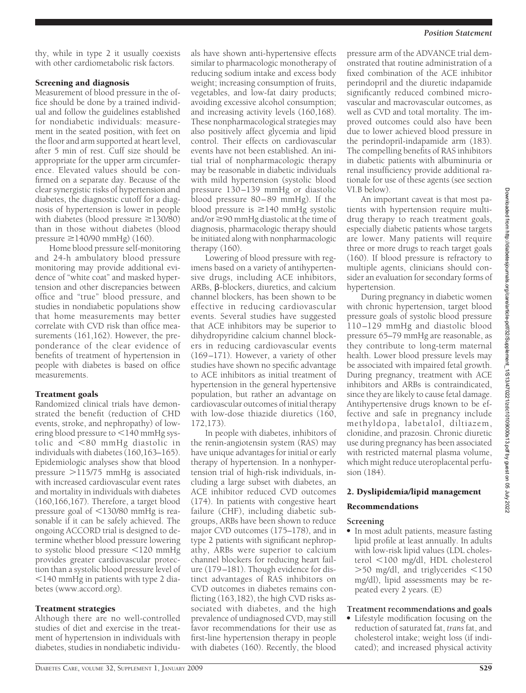thy, while in type 2 it usually coexists with other cardiometabolic risk factors.

#### Screening and diagnosis

Measurement of blood pressure in the office should be done by a trained individual and follow the guidelines established for nondiabetic individuals: measurement in the seated position, with feet on the floor and arm supported at heart level, after 5 min of rest. Cuff size should be appropriate for the upper arm circumference. Elevated values should be confirmed on a separate day. Because of the clear synergistic risks of hypertension and diabetes, the diagnostic cutoff for a diagnosis of hypertension is lower in people with diabetes (blood pressure  $\geq$ 130/80) than in those without diabetes (blood pressure  $\geq$ 140/90 mmHg) (160).

Home blood pressure self-monitoring and 24-h ambulatory blood pressure monitoring may provide additional evidence of "white coat" and masked hypertension and other discrepancies between office and "true" blood pressure, and studies in nondiabetic populations show that home measurements may better correlate with CVD risk than office measurements (161,162). However, the preponderance of the clear evidence of benefits of treatment of hypertension in people with diabetes is based on office measurements.

### Treatment goals

Randomized clinical trials have demonstrated the benefit (reduction of CHD events, stroke, and nephropathy) of lowering blood pressure to <140 mmHg systolic and 80 mmHg diastolic in individuals with diabetes (160,163–165). Epidemiologic analyses show that blood pressure  $>$ 115/75 mmHg is associated with increased cardiovascular event rates and mortality in individuals with diabetes (160,166,167). Therefore, a target blood pressure goal of  $\leq$ 130/80 mmHg is reasonable if it can be safely achieved. The ongoing ACCORD trial is designed to determine whether blood pressure lowering to systolic blood pressure  $120$  mmHg provides greater cardiovascular protection than a systolic blood pressure level of  $140$  mmHg in patients with type 2 diabetes (www.accord.org).

### Treatment strategies

Although there are no well-controlled studies of diet and exercise in the treatment of hypertension in individuals with diabetes, studies in nondiabetic individuals have shown anti-hypertensive effects similar to pharmacologic monotherapy of reducing sodium intake and excess body weight; increasing consumption of fruits, vegetables, and low-fat dairy products; avoiding excessive alcohol consumption; and increasing activity levels (160,168). These nonpharmacological strategies may also positively affect glycemia and lipid control. Their effects on cardiovascular events have not been established. An initial trial of nonpharmacologic therapy may be reasonable in diabetic individuals with mild hypertension (systolic blood pressure 130-139 mmHg or diastolic blood pressure 80–89 mmHg). If the blood pressure is  $\geq$ 140 mmHg systolic and/or  $\geq$ 90 mmHg diastolic at the time of diagnosis, pharmacologic therapy should be initiated along with nonpharmacologic therapy (160).

Lowering of blood pressure with regimens based on a variety of antihypertensive drugs, including ACE inhibitors, ARBs,  $\beta$ -blockers, diuretics, and calcium channel blockers, has been shown to be effective in reducing cardiovascular events. Several studies have suggested that ACE inhibitors may be superior to dihydropyridine calcium channel blockers in reducing cardiovascular events (169 –171). However, a variety of other studies have shown no specific advantage to ACE inhibitors as initial treatment of hypertension in the general hypertensive population, but rather an advantage on cardiovascular outcomes of initial therapy with low-dose thiazide diuretics (160, 172,173).

In people with diabetes, inhibitors of the renin-angiotensin system (RAS) may have unique advantages for initial or early therapy of hypertension. In a nonhypertension trial of high-risk individuals, including a large subset with diabetes, an ACE inhibitor reduced CVD outcomes (174). In patients with congestive heart failure (CHF), including diabetic subgroups, ARBs have been shown to reduce major CVD outcomes (175–178), and in type 2 patients with significant nephropathy, ARBs were superior to calcium channel blockers for reducing heart failure (179 –181). Though evidence for distinct advantages of RAS inhibitors on CVD outcomes in diabetes remains conflicting (163,182), the high CVD risks associated with diabetes, and the high prevalence of undiagnosed CVD, may still favor recommendations for their use as first-line hypertension therapy in people with diabetes (160). Recently, the blood

pressure arm of the ADVANCE trial demonstrated that routine administration of a fixed combination of the ACE inhibitor perindopril and the diuretic indapamide significantly reduced combined microvascular and macrovascular outcomes, as well as CVD and total mortality. The improved outcomes could also have been due to lower achieved blood pressure in the perindopril-indapamide arm (183). The compelling benefits of RAS inhibitors in diabetic patients with albuminuria or renal insufficiency provide additional rationale for use of these agents (see section VI.B below).

An important caveat is that most patients with hypertension require multidrug therapy to reach treatment goals, especially diabetic patients whose targets are lower. Many patients will require three or more drugs to reach target goals (160). If blood pressure is refractory to multiple agents, clinicians should consider an evaluation for secondary forms of hypertension.

During pregnancy in diabetic women with chronic hypertension, target blood pressure goals of systolic blood pressure 110 –129 mmHg and diastolic blood pressure 65–79 mmHg are reasonable, as they contribute to long-term maternal health. Lower blood pressure levels may be associated with impaired fetal growth. During pregnancy, treatment with ACE inhibitors and ARBs is contraindicated, since they are likely to cause fetal damage. Antihypertensive drugs known to be effective and safe in pregnancy include methyldopa, labetalol, diltiazem, clonidine, and prazosin. Chronic diuretic use during pregnancy has been associated with restricted maternal plasma volume, which might reduce uteroplacental perfusion (184).

# 2. Dyslipidemia/lipid management

### Recommendations

### **Screening**

• In most adult patients, measure fasting lipid profile at least annually. In adults with low-risk lipid values (LDL cholesterol 100 mg/dl, HDL cholesterol  $>$  50 mg/dl, and triglycerides  $<$ 150 mg/dl), lipid assessments may be repeated every 2 years. (E)

# **Treatment recommendations and goals**

● Lifestyle modification focusing on the reduction of saturated fat, *trans* fat, and cholesterol intake; weight loss (if indicated); and increased physical activity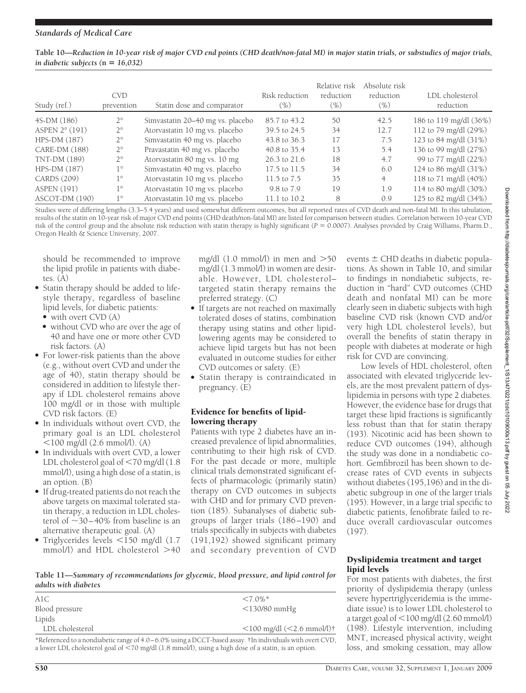**Table 10—***Reduction in 10-year risk of major CVD end points (CHD death/non-fatal MI) in major statin trials, or substudies of major trials, in diabetic subjects*  $(n = 16,032)$ 

| Study (ref.)        | CV <sub>D</sub><br>prevention | Statin dose and comparator       | Risk reduction<br>$(\% )$ | Relative risk<br>reduction<br>$(\% )$ | Absolute risk<br>reduction<br>$(\% )$ | LDL cholesterol<br>reduction |
|---------------------|-------------------------------|----------------------------------|---------------------------|---------------------------------------|---------------------------------------|------------------------------|
| 4S-DM (186)         | $2^{\circ}$                   | Simvastatin 20–40 mg vs. placebo | 85.7 to 43.2              | 50                                    | 42.5                                  | 186 to 119 mg/dl (36%)       |
| ASPEN 2° (191)      | $2^{\circ}$                   | Atorvastatin 10 mg vs. placebo   | 39.5 to 24.5              | 34                                    | 12.7                                  | 112 to 79 mg/dl (29%)        |
| HPS-DM (187)        | $2^{\circ}$                   | Simvastatin 40 mg vs. placebo    | 43.8 to 36.3              | 17                                    | 7.5                                   | 123 to 84 mg/dl (31%)        |
| CARE-DM (188)       | $2^{\circ}$                   | Pravastatin 40 mg vs. placebo    | 40.8 to 35.4              | 13                                    | 5.4                                   | 136 to 99 mg/dl (27%)        |
| <b>TNT-DM (189)</b> | $2^{\circ}$                   | Atorvastatin 80 mg vs. 10 mg     | 26.3 to 21.6              | 18                                    | 4.7                                   | 99 to 77 mg/dl (22%)         |
| HPS-DM (187)        | $1^{\circ}$                   | Simvastatin 40 mg vs. placebo    | 17.5 to 11.5              | 34                                    | 6.0                                   | 124 to 86 mg/dl (31%)        |
| CARDS (209)         | $1^{\circ}$                   | Atorvastatin 10 mg vs. placebo   | 11.5 to $7.5$             | 35                                    | 4                                     | 118 to 71 mg/dl (40%)        |
| <b>ASPEN (191)</b>  | $1^{\circ}$                   | Atorvastatin 10 mg vs. placebo   | 9.8 to 7.9                | 19                                    | 1.9                                   | 114 to 80 mg/dl (30%)        |
| ASCOT-DM (190)      | $1^{\circ}$                   | Atorvastatin 10 mg vs. placebo   | $11.1$ to $10.2$          | 8                                     | 0.9                                   | 125 to 82 mg/dl (34%)        |

Studies were of differing lengths (3.3–5.4 years) and used somewhat different outcomes, but all reported rates of CVD death and non-fatal MI. In this tabulation, results of the statin on 10-year risk of major CVD end points (CHD death/non-fatal MI) are listed for comparison between studies. Correlation between 10-year CVD risk of the control group and the absolute risk reduction with statin therapy is highly significant ( $P = 0.0007$ ). Analyses provided by Craig Williams, Pharm.D., Oregon Health & Science University, 2007.

should be recommended to improve the lipid profile in patients with diabetes. (A)

- Statin therapy should be added to lifestyle therapy, regardless of baseline lipid levels, for diabetic patients:
	- with overt CVD (A)
- without CVD who are over the age of 40 and have one or more other CVD risk factors. (A)
- For lower-risk patients than the above (e.g., without overt CVD and under the age of 40), statin therapy should be considered in addition to lifestyle therapy if LDL cholesterol remains above 100 mg/dl or in those with multiple CVD risk factors. (E)
- In individuals without overt CVD, the primary goal is an LDL cholesterol  $100 \text{ mg/dl}$  (2.6 mmol/l). (A)
- In individuals with overt CVD, a lower LDL cholesterol goal of  $<$ 70 mg/dl (1.8) mmol/l), using a high dose of a statin, is an option. (B)
- If drug-treated patients do not reach the above targets on maximal tolerated statin therapy, a reduction in LDL cholesterol of  $\sim$ 30–40% from baseline is an alternative therapeutic goal. (A)
- Triglycerides levels  $\leq 150$  mg/dl (1.7) mmol/l) and HDL cholesterol  $>40$

mg/dl  $(1.0 \text{ mmol/l})$  in men and  $>50$ mg/dl (1.3 mmol/l) in women are desirable. However, LDL cholesterol– targeted statin therapy remains the preferred strategy. (C)

- If targets are not reached on maximally tolerated doses of statins, combination therapy using statins and other lipidlowering agents may be considered to achieve lipid targets but has not been evaluated in outcome studies for either CVD outcomes or safety. (E)
- Statin therapy is contraindicated in pregnancy. (E)

### Evidence for benefits of lipidlowering therapy

Patients with type 2 diabetes have an increased prevalence of lipid abnormalities, contributing to their high risk of CVD. For the past decade or more, multiple clinical trials demonstrated significant effects of pharmacologic (primarily statin) therapy on CVD outcomes in subjects with CHD and for primary CVD prevention (185). Subanalyses of diabetic subgroups of larger trials (186 –190) and trials specifically in subjects with diabetes (191,192) showed significant primary and secondary prevention of CVD

events  $\pm$  CHD deaths in diabetic populations. As shown in Table 10, and similar to findings in nondiabetic subjects, reduction in "hard" CVD outcomes (CHD death and nonfatal MI) can be more clearly seen in diabetic subjects with high baseline CVD risk (known CVD and/or very high LDL cholesterol levels), but overall the benefits of statin therapy in people with diabetes at moderate or high risk for CVD are convincing.

Low levels of HDL cholesterol, often associated with elevated triglyceride levels, are the most prevalent pattern of dyslipidemia in persons with type 2 diabetes. However, the evidence base for drugs that target these lipid fractions is significantly less robust than that for statin therapy (193). Nicotinic acid has been shown to reduce CVD outcomes (194), although the study was done in a nondiabetic cohort. Gemfibrozil has been shown to decrease rates of CVD events in subjects without diabetes (195,196) and in the diabetic subgroup in one of the larger trials (195). However, in a large trial specific to diabetic patients, fenofibrate failed to reduce overall cardiovascular outcomes (197).

#### **Table 11—***Summary of recommendations for glycemic, blood pressure, and lipid control for adults with diabetes*

| A1C.                                                                                                                                                                                                                   | $<7.0\%*$                                        |  |  |
|------------------------------------------------------------------------------------------------------------------------------------------------------------------------------------------------------------------------|--------------------------------------------------|--|--|
| Blood pressure                                                                                                                                                                                                         | $\leq$ 130/80 mmHg                               |  |  |
| Lipids                                                                                                                                                                                                                 |                                                  |  |  |
| LDL cholesterol                                                                                                                                                                                                        | $\leq 100 \text{ mg/dl} \leq 2.6 \text{ mmol/l}$ |  |  |
| *Referenced to a nondiabetic range of 4.0–6.0% using a DCCT-based assay. †In individuals with overt CVD,<br>a lower LDL cholesterol goal of $\leq$ 70 mg/dl (1.8 mmol/l), using a high dose of a statin, is an option. |                                                  |  |  |

### Dyslipidemia treatment and target lipid levels

For most patients with diabetes, the first priority of dyslipidemia therapy (unless severe hypertriglyceridemia is the immediate issue) is to lower LDL cholesterol to a target goal of <100 mg/dl (2.60 mmol/l) (198). Lifestyle intervention, including MNT, increased physical activity, weight loss, and smoking cessation, may allow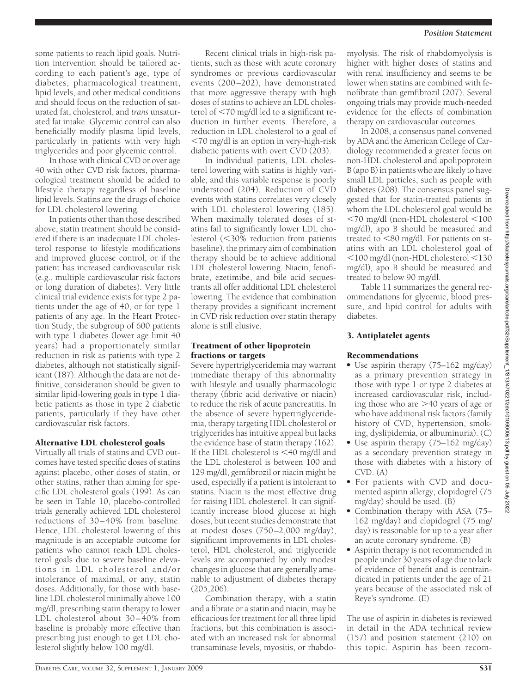some patients to reach lipid goals. Nutrition intervention should be tailored according to each patient's age, type of diabetes, pharmacological treatment, lipid levels, and other medical conditions and should focus on the reduction of saturated fat, cholesterol, and *trans* unsaturated fat intake. Glycemic control can also beneficially modify plasma lipid levels, particularly in patients with very high triglycerides and poor glycemic control.

In those with clinical CVD or over age 40 with other CVD risk factors, pharmacological treatment should be added to lifestyle therapy regardless of baseline lipid levels. Statins are the drugs of choice for LDL cholesterol lowering.

In patients other than those described above, statin treatment should be considered if there is an inadequate LDL cholesterol response to lifestyle modifications and improved glucose control, or if the patient has increased cardiovascular risk (e.g., multiple cardiovascular risk factors or long duration of diabetes). Very little clinical trial evidence exists for type 2 patients under the age of 40, or for type 1 patients of any age. In the Heart Protection Study, the subgroup of 600 patients with type 1 diabetes (lower age limit 40 years) had a proportionately similar reduction in risk as patients with type 2 diabetes, although not statistically significant (187). Although the data are not definitive, consideration should be given to similar lipid-lowering goals in type 1 diabetic patients as those in type 2 diabetic patients, particularly if they have other cardiovascular risk factors.

# Alternative LDL cholesterol goals

Virtually all trials of statins and CVD outcomes have tested specific doses of statins against placebo, other doses of statin, or other statins, rather than aiming for specific LDL cholesterol goals (199). As can be seen in Table 10, placebo-controlled trials generally achieved LDL cholesterol reductions of 30 – 40% from baseline. Hence, LDL cholesterol lowering of this magnitude is an acceptable outcome for patients who cannot reach LDL cholesterol goals due to severe baseline elevations in LDL cholesterol and/or intolerance of maximal, or any, statin doses. Additionally, for those with baseline LDL cholesterol minimally above 100 mg/dl, prescribing statin therapy to lower LDL cholesterol about 30-40% from baseline is probably more effective than prescribing just enough to get LDL cholesterol slightly below 100 mg/dl.

Recent clinical trials in high-risk patients, such as those with acute coronary syndromes or previous cardiovascular events (200 –202), have demonstrated that more aggressive therapy with high doses of statins to achieve an LDL cholesterol of  $\leq$ 70 mg/dl led to a significant reduction in further events. Therefore, a reduction in LDL cholesterol to a goal of 70 mg/dl is an option in very-high-risk diabetic patients with overt CVD (203).

In individual patients, LDL cholesterol lowering with statins is highly variable, and this variable response is poorly understood (204). Reduction of CVD events with statins correlates very closely with LDL cholesterol lowering (185). When maximally tolerated doses of statins fail to significantly lower LDL cholesterol (30% reduction from patients baseline), the primary aim of combination therapy should be to achieve additional LDL cholesterol lowering. Niacin, fenofibrate, ezetimibe, and bile acid sequestrants all offer additional LDL cholesterol lowering. The evidence that combination therapy provides a significant increment in CVD risk reduction over statin therapy alone is still elusive.

#### Treatment of other lipoprotein fractions or targets

Severe hypertriglyceridemia may warrant immediate therapy of this abnormality with lifestyle and usually pharmacologic therapy (fibric acid derivative or niacin) to reduce the risk of acute pancreatitis. In the absence of severe hypertriglyceridemia, therapy targeting HDL cholesterol or triglycerides has intuitive appeal but lacks the evidence base of statin therapy (162). If the HDL cholesterol is  $<$ 40 mg/dl and the LDL cholesterol is between 100 and 129 mg/dl, gemfibrozil or niacin might be used, especially if a patient is intolerant to statins. Niacin is the most effective drug for raising HDL cholesterol. It can significantly increase blood glucose at high doses, but recent studies demonstrate that at modest doses (750 –2,000 mg/day), significant improvements in LDL cholesterol, HDL cholesterol, and triglyceride levels are accompanied by only modest changes in glucose that are generally amenable to adjustment of diabetes therapy  $(205, 206)$ .

Combination therapy, with a statin and a fibrate or a statin and niacin, may be efficacious for treatment for all three lipid fractions, but this combination is associated with an increased risk for abnormal transaminase levels, myositis, or rhabdo-

myolysis. The risk of rhabdomyolysis is higher with higher doses of statins and with renal insufficiency and seems to be lower when statins are combined with fenofibrate than gemfibrozil (207). Several ongoing trials may provide much-needed evidence for the effects of combination therapy on cardiovascular outcomes.

In 2008, a consensus panel convened by ADA and the American College of Cardiology recommended a greater focus on non-HDL cholesterol and apolipoprotein B (apo B) in patients who are likely to have small LDL particles, such as people with diabetes (208). The consensus panel suggested that for statin-treated patients in whom the LDL cholesterol goal would be  $<$ 70 mg/dl (non-HDL cholesterol  $<$ 100 mg/dl), apo B should be measured and treated to  $<80$  mg/dl. For patients on statins with an LDL cholesterol goal of  $100$  mg/dl (non-HDL cholesterol  $130$ mg/dl), apo B should be measured and treated to below 90 mg/dl.

Table 11 summarizes the general recommendations for glycemic, blood pressure, and lipid control for adults with diabetes.

# 3. Antiplatelet agents

# Recommendations

- Use aspirin therapy (75–162 mg/day) as a primary prevention strategy in those with type 1 or type 2 diabetes at increased cardiovascular risk, including those who are  $>$ 40 years of age or who have additional risk factors (family history of CVD, hypertension, smoking, dyslipidemia, or albuminuria). (C)
- Use aspirin therapy (75–162 mg/day) as a secondary prevention strategy in those with diabetes with a history of CVD. (A)
- For patients with CVD and documented aspirin allergy, clopidogrel (75 mg/day) should be used. (B)
- Combination therapy with ASA (75– 162 mg/day) and clopidogrel (75 mg/ day) is reasonable for up to a year after an acute coronary syndrome. (B)
- Aspirin therapy is not recommended in people under 30 years of age due to lack of evidence of benefit and is contraindicated in patients under the age of 21 years because of the associated risk of Reye's syndrome. (E)

The use of aspirin in diabetes is reviewed in detail in the ADA technical review (157) and position statement (210) on this topic. Aspirin has been recom-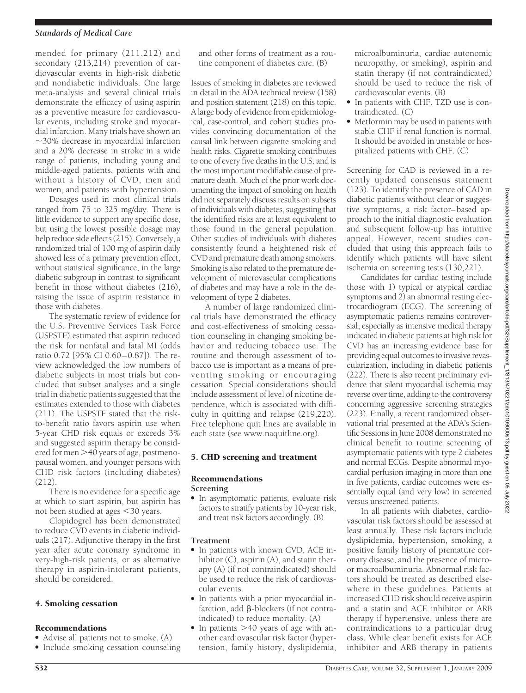mended for primary (211,212) and secondary (213,214) prevention of cardiovascular events in high-risk diabetic and nondiabetic individuals. One large meta-analysis and several clinical trials demonstrate the efficacy of using aspirin as a preventive measure for cardiovascular events, including stroke and myocardial infarction. Many trials have shown an  $\sim$ 30% decrease in myocardial infarction and a 20% decrease in stroke in a wide range of patients, including young and middle-aged patients, patients with and without a history of CVD, men and women, and patients with hypertension.

Dosages used in most clinical trials ranged from 75 to 325 mg/day. There is little evidence to support any specific dose, but using the lowest possible dosage may help reduce side effects (215). Conversely, a randomized trial of 100 mg of aspirin daily showed less of a primary prevention effect, without statistical significance, in the large diabetic subgroup in contrast to significant benefit in those without diabetes (216), raising the issue of aspirin resistance in those with diabetes.

The systematic review of evidence for the U.S. Preventive Services Task Force (USPSTF) estimated that aspirin reduced the risk for nonfatal and fatal MI (odds ratio 0.72 [95% CI 0.60-0.87]). The review acknowledged the low numbers of diabetic subjects in most trials but concluded that subset analyses and a single trial in diabetic patients suggested that the estimates extended to those with diabetes (211). The USPSTF stated that the riskto-benefit ratio favors aspirin use when 5-year CHD risk equals or exceeds 3% and suggested aspirin therapy be considered for men  $>$ 40 years of age, postmenopausal women, and younger persons with CHD risk factors (including diabetes) (212).

There is no evidence for a specific age at which to start aspirin, but aspirin has not been studied at ages <30 years.

Clopidogrel has been demonstrated to reduce CVD events in diabetic individuals (217). Adjunctive therapy in the first year after acute coronary syndrome in very-high-risk patients, or as alternative therapy in aspirin-intolerant patients, should be considered.

### 4. Smoking cessation

### Recommendations

- Advise all patients not to smoke. (A)
- Include smoking cessation counseling

and other forms of treatment as a routine component of diabetes care. (B)

Issues of smoking in diabetes are reviewed in detail in the ADA technical review (158) and position statement (218) on this topic. A large body of evidence from epidemiological, case-control, and cohort studies provides convincing documentation of the causal link between cigarette smoking and health risks. Cigarette smoking contributes to one of every five deaths in the U.S. and is the most important modifiable cause of premature death. Much of the prior work documenting the impact of smoking on health did not separately discuss results on subsets of individuals with diabetes, suggesting that the identified risks are at least equivalent to those found in the general population. Other studies of individuals with diabetes consistently found a heightened risk of CVD and premature death among smokers. Smoking is also related to the premature development of microvascular complications of diabetes and may have a role in the development of type 2 diabetes.

A number of large randomized clinical trials have demonstrated the efficacy and cost-effectiveness of smoking cessation counseling in changing smoking behavior and reducing tobacco use. The routine and thorough assessment of tobacco use is important as a means of preventing smoking or encouraging cessation. Special considerations should include assessment of level of nicotine dependence, which is associated with difficulty in quitting and relapse (219,220). Free telephone quit lines are available in each state (see www.naquitline.org).

# 5. CHD screening and treatment

# Recommendations

### **Screening**

In asymptomatic patients, evaluate risk factors to stratify patients by 10-year risk, and treat risk factors accordingly. (B)

### **Treatment**

- In patients with known CVD, ACE inhibitor (C), aspirin (A), and statin therapy (A) (if not contraindicated) should be used to reduce the risk of cardiovascular events.
- In patients with a prior myocardial infarction, add  $\beta$ -blockers (if not contraindicated) to reduce mortality. (A)
- In patients >40 years of age with another cardiovascular risk factor (hypertension, family history, dyslipidemia,

microalbuminuria, cardiac autonomic neuropathy, or smoking), aspirin and statin therapy (if not contraindicated) should be used to reduce the risk of cardiovascular events. (B)

- In patients with CHF, TZD use is contraindicated. (C)
- Metformin may be used in patients with stable CHF if renal function is normal. It should be avoided in unstable or hospitalized patients with CHF. (C)

Screening for CAD is reviewed in a recently updated consensus statement (123). To identify the presence of CAD in diabetic patients without clear or suggestive symptoms, a risk factor– based approach to the initial diagnostic evaluation and subsequent follow-up has intuitive appeal. However, recent studies concluded that using this approach fails to identify which patients will have silent ischemia on screening tests (130,221).

Candidates for cardiac testing include those with *1*) typical or atypical cardiac symptoms and *2*) an abnormal resting electrocardiogram (ECG). The screening of asymptomatic patients remains controversial, especially as intensive medical therapy indicated in diabetic patients at high risk for CVD has an increasing evidence base for providing equal outcomesto invasive revascularization, including in diabetic patients (222). There is also recent preliminary evidence that silent myocardial ischemia may reverse over time, adding to the controversy concerning aggressive screening strategies (223). Finally, a recent randomized observational trial presented at the ADA's Scientific Sessions in June 2008 demonstrated no clinical benefit to routine screening of asymptomatic patients with type 2 diabetes and normal ECGs. Despite abnormal myocardial perfusion imaging in more than one in five patients, cardiac outcomes were essentially equal (and very low) in screened versus unscreened patients.

In all patients with diabetes, cardiovascular risk factors should be assessed at least annually. These risk factors include dyslipidemia, hypertension, smoking, a positive family history of premature coronary disease, and the presence of microor macroalbuminuria. Abnormal risk factors should be treated as described elsewhere in these guidelines. Patients at increased CHD risk should receive aspirin and a statin and ACE inhibitor or ARB therapy if hypertensive, unless there are contraindications to a particular drug class. While clear benefit exists for ACE inhibitor and ARB therapy in patients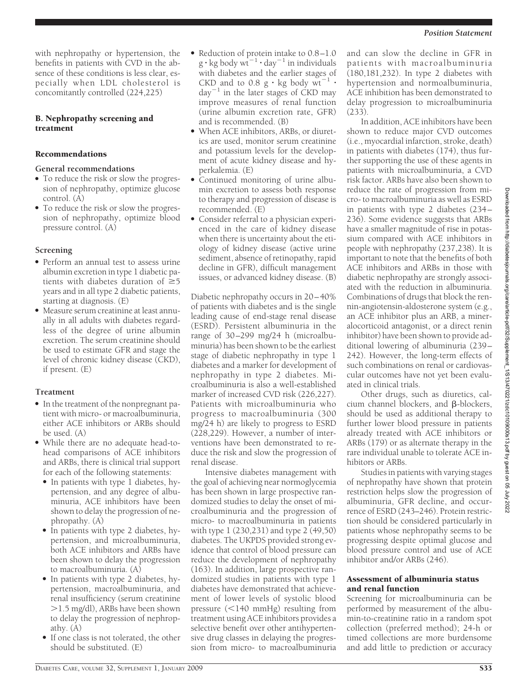with nephropathy or hypertension, the benefits in patients with CVD in the absence of these conditions is less clear, especially when LDL cholesterol is concomitantly controlled (224,225)

# B. Nephropathy screening and treatment

# Recommendations

# **General recommendations**

- To reduce the risk or slow the progression of nephropathy, optimize glucose control. (A)
- To reduce the risk or slow the progression of nephropathy, optimize blood pressure control. (A)

# **Screening**

- Perform an annual test to assess urine albumin excretion in type 1 diabetic patients with diabetes duration of  $\geq 5$ years and in all type 2 diabetic patients, starting at diagnosis. (E)
- Measure serum creatinine at least annually in all adults with diabetes regardless of the degree of urine albumin excretion. The serum creatinine should be used to estimate GFR and stage the level of chronic kidney disease (CKD), if present. (E)

# **Treatment**

- In the treatment of the nonpregnant patient with micro- or macroalbuminuria, either ACE inhibitors or ARBs should be used.  $(A)$
- While there are no adequate head-tohead comparisons of ACE inhibitors and ARBs, there is clinical trial support for each of the following statements:
	- In patients with type 1 diabetes, hypertension, and any degree of albuminuria, ACE inhibitors have been shown to delay the progression of nephropathy. (A)
	- In patients with type 2 diabetes, hypertension, and microalbuminuria, both ACE inhibitors and ARBs have been shown to delay the progression to macroalbuminuria. (A)
	- In patients with type 2 diabetes, hypertension, macroalbuminuria, and renal insufficiency (serum creatinine 1.5 mg/dl), ARBs have been shown to delay the progression of nephropathy. (A)
	- If one class is not tolerated, the other should be substituted. (E)
- Reduction of protein intake to 0.8 –1.0  $g \cdot$  kg body  $wt^{-1} \cdot$  day<sup>-1</sup> in individuals with diabetes and the earlier stages of CKD and to 0.8  $g \cdot kg$  body  $wt^{-1}$ .  $day^{-1}$  in the later stages of CKD may improve measures of renal function (urine albumin excretion rate, GFR) and is recommended. (B)
- When ACE inhibitors, ARBs, or diuretics are used, monitor serum creatinine and potassium levels for the development of acute kidney disease and hyperkalemia. (E)
- Continued monitoring of urine albumin excretion to assess both response to therapy and progression of disease is recommended. (E)
- Consider referral to a physician experienced in the care of kidney disease when there is uncertainty about the etiology of kidney disease (active urine sediment, absence of retinopathy, rapid decline in GFR), difficult management issues, or advanced kidney disease. (B)

Diabetic nephropathy occurs in 20 – 40% of patients with diabetes and is the single leading cause of end-stage renal disease (ESRD). Persistent albuminuria in the range of 30 –299 mg/24 h (microalbuminuria) has been shown to be the earliest stage of diabetic nephropathy in type 1 diabetes and a marker for development of nephropathy in type 2 diabetes. Microalbuminuria is also a well-established marker of increased CVD risk (226,227). Patients with microalbuminuria who progress to macroalbuminuria (300 mg/24 h) are likely to progress to ESRD (228,229). However, a number of interventions have been demonstrated to reduce the risk and slow the progression of renal disease.

Intensive diabetes management with the goal of achieving near normoglycemia has been shown in large prospective randomized studies to delay the onset of microalbuminuria and the progression of micro- to macroalbuminuria in patients with type 1 (230,231) and type 2 (49,50) diabetes. The UKPDS provided strong evidence that control of blood pressure can reduce the development of nephropathy (163). In addition, large prospective randomized studies in patients with type 1 diabetes have demonstrated that achievement of lower levels of systolic blood pressure  $(<$ 140 mmHg) resulting from treatment using ACE inhibitors provides a selective benefit over other antihypertensive drug classes in delaying the progression from micro- to macroalbuminuria

and can slow the decline in GFR in patients with macroalbuminuria (180,181,232). In type 2 diabetes with hypertension and normoalbuminuria, ACE inhibition has been demonstrated to delay progression to microalbuminuria (233).

In addition, ACE inhibitors have been shown to reduce major CVD outcomes (i.e., myocardial infarction, stroke, death) in patients with diabetes (174), thus further supporting the use of these agents in patients with microalbuminuria, a CVD risk factor. ARBs have also been shown to reduce the rate of progression from micro- to macroalbuminuria as well as ESRD in patients with type 2 diabetes (234 – 236). Some evidence suggests that ARBs have a smaller magnitude of rise in potassium compared with ACE inhibitors in people with nephropathy (237,238). It is important to note that the benefits of both ACE inhibitors and ARBs in those with diabetic nephropathy are strongly associated with the reduction in albuminuria. Combinations of drugs that block the rennin-angiotensin-aldosterone system (e.g., an ACE inhibitor plus an ARB, a mineralocorticoid antagonist, or a direct renin inhibitor) have been shown to provide additional lowering of albuminuria (239 – 242). However, the long-term effects of such combinations on renal or cardiovascular outcomes have not yet been evaluated in clinical trials.

Other drugs, such as diuretics, cal $cium$  channel blockers, and  $\beta$ -blockers, should be used as additional therapy to further lower blood pressure in patients already treated with ACE inhibitors or ARBs (179) or as alternate therapy in the rare individual unable to tolerate ACE inhibitors or ARBs.

Studies in patients with varying stages of nephropathy have shown that protein restriction helps slow the progression of albuminuria, GFR decline, and occurrence of ESRD (243–246). Protein restriction should be considered particularly in patients whose nephropathy seems to be progressing despite optimal glucose and blood pressure control and use of ACE inhibitor and/or ARBs (246).

# Assessment of albuminuria status and renal function

Screening for microalbuminuria can be performed by measurement of the albumin-to-creatinine ratio in a random spot collection (preferred method); 24-h or timed collections are more burdensome and add little to prediction or accuracy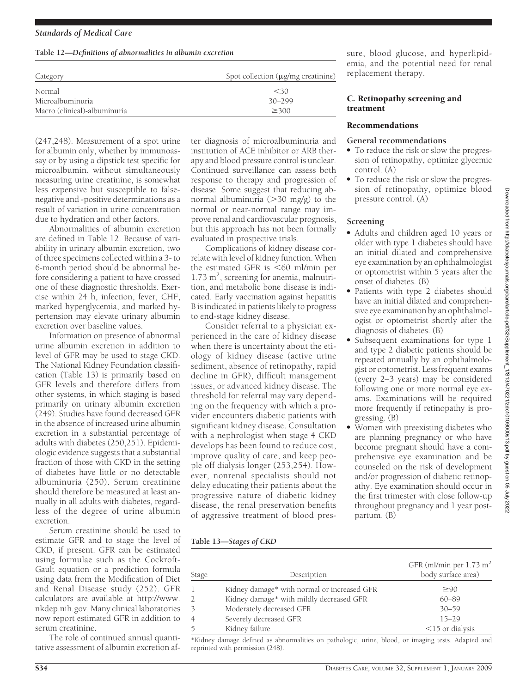#### **Table 12—***Definitions of abnormalities in albumin excretion*

| Category                     | Spot collection $(\mu g/mg)$ creatinine) |
|------------------------------|------------------------------------------|
| Normal                       | $<$ 30                                   |
| Microalbuminuria             | $30 - 299$                               |
| Macro (clinical)-albuminuria | $\geq 300$                               |

(247,248). Measurement of a spot urine for albumin only, whether by immunoassay or by using a dipstick test specific for microalbumin, without simultaneously measuring urine creatinine, is somewhat less expensive but susceptible to falsenegative and -positive determinations as a result of variation in urine concentration due to hydration and other factors.

Abnormalities of albumin excretion are defined in Table 12. Because of variability in urinary albumin excretion, two of three specimens collected within a 3- to 6-month period should be abnormal before considering a patient to have crossed one of these diagnostic thresholds. Exercise within 24 h, infection, fever, CHF, marked hyperglycemia, and marked hypertension may elevate urinary albumin excretion over baseline values.

Information on presence of abnormal urine albumin excretion in addition to level of GFR may be used to stage CKD. The National Kidney Foundation classification (Table 13) is primarily based on GFR levels and therefore differs from other systems, in which staging is based primarily on urinary albumin excretion (249). Studies have found decreased GFR in the absence of increased urine albumin excretion in a substantial percentage of adults with diabetes (250,251). Epidemiologic evidence suggests that a substantial fraction of those with CKD in the setting of diabetes have little or no detectable albuminuria (250). Serum creatinine should therefore be measured at least annually in all adults with diabetes, regardless of the degree of urine albumin excretion.

Serum creatinine should be used to estimate GFR and to stage the level of CKD, if present. GFR can be estimated using formulae such as the Cockroft-Gault equation or a prediction formula using data from the Modification of Diet and Renal Disease study (252). GFR calculators are available at http://www. nkdep.nih.gov. Many clinical laboratories now report estimated GFR in addition to serum creatinine.

The role of continued annual quantitative assessment of albumin excretion after diagnosis of microalbuminuria and institution of ACE inhibitor or ARB therapy and blood pressure control is unclear. Continued surveillance can assess both response to therapy and progression of disease. Some suggest that reducing abnormal albuminuria  $(>30 \text{ mg/g})$  to the normal or near-normal range may improve renal and cardiovascular prognosis, but this approach has not been formally evaluated in prospective trials.

Complications of kidney disease correlate with level of kidney function. When the estimated GFR is  $\leq 60$  ml/min per 1.73 m<sup>2</sup>, screening for anemia, malnutrition, and metabolic bone disease is indicated. Early vaccination against hepatitis B is indicated in patients likely to progress to end-stage kidney disease.

Consider referral to a physician experienced in the care of kidney disease when there is uncertainty about the etiology of kidney disease (active urine sediment, absence of retinopathy, rapid decline in GFR), difficult management issues, or advanced kidney disease. The threshold for referral may vary depending on the frequency with which a provider encounters diabetic patients with significant kidney disease. Consultation with a nephrologist when stage 4 CKD develops has been found to reduce cost, improve quality of care, and keep people off dialysis longer (253,254). However, nonrenal specialists should not delay educating their patients about the progressive nature of diabetic kidney disease, the renal preservation benefits of aggressive treatment of blood pressure, blood glucose, and hyperlipidemia, and the potential need for renal replacement therapy.

### C. Retinopathy screening and treatment

### Recommendations

#### **General recommendations**

- To reduce the risk or slow the progression of retinopathy, optimize glycemic control. (A)
- To reduce the risk or slow the progression of retinopathy, optimize blood pressure control. (A)

### **Screening**

- Adults and children aged 10 years or older with type 1 diabetes should have an initial dilated and comprehensive eye examination by an ophthalmologist or optometrist within 5 years after the onset of diabetes. (B)
- Patients with type 2 diabetes should have an initial dilated and comprehensive eye examination by an ophthalmologist or optometrist shortly after the diagnosis of diabetes. (B)
- Subsequent examinations for type 1 and type 2 diabetic patients should be repeated annually by an ophthalmologist or optometrist. Less frequent exams (every 2–3 years) may be considered following one or more normal eye exams. Examinations will be required more frequently if retinopathy is progressing. (B)
- Women with preexisting diabetes who are planning pregnancy or who have become pregnant should have a comprehensive eye examination and be counseled on the risk of development and/or progression of diabetic retinopathy. Eye examination should occur in the first trimester with close follow-up throughout pregnancy and 1 year postpartum. (B)

# **Table 13—***Stages of CKD*

| Stage | Description                                 | GFR (ml/min per $1.73$ m <sup>2</sup><br>body surface area) |
|-------|---------------------------------------------|-------------------------------------------------------------|
|       | Kidney damage* with normal or increased GFR | $\geq 90$                                                   |
|       | Kidney damage* with mildly decreased GFR    | 60-89                                                       |
|       | Moderately decreased GFR                    | $30 - 59$                                                   |
|       | Severely decreased GFR                      | $15 - 29$                                                   |
|       | Kidney failure                              | $<$ 15 or dialysis                                          |

\*Kidney damage defined as abnormalities on pathologic, urine, blood, or imaging tests. Adapted and reprinted with permission (248).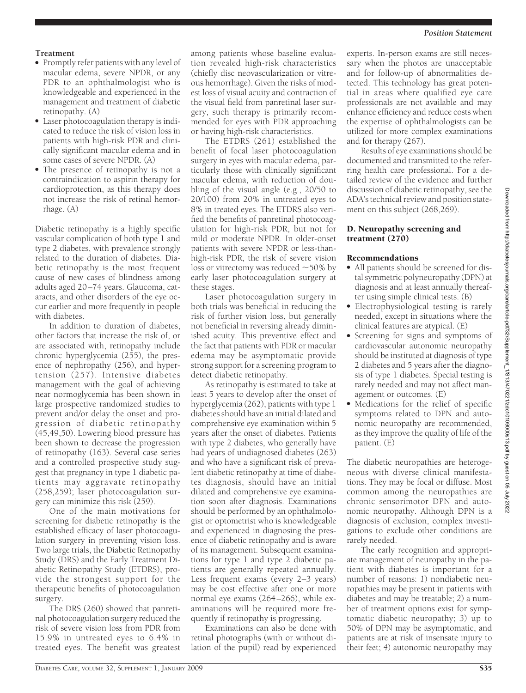# **Treatment**

- Promptly refer patients with any level of macular edema, severe NPDR, or any PDR to an ophthalmologist who is knowledgeable and experienced in the management and treatment of diabetic retinopathy. (A)
- Laser photocoagulation therapy is indicated to reduce the risk of vision loss in patients with high-risk PDR and clinically significant macular edema and in some cases of severe NPDR. (A)
- The presence of retinopathy is not a contraindication to aspirin therapy for cardioprotection, as this therapy does not increase the risk of retinal hemorrhage. (A)

Diabetic retinopathy is a highly specific vascular complication of both type 1 and type 2 diabetes, with prevalence strongly related to the duration of diabetes. Diabetic retinopathy is the most frequent cause of new cases of blindness among adults aged 20 –74 years. Glaucoma, cataracts, and other disorders of the eye occur earlier and more frequently in people with diabetes.

In addition to duration of diabetes, other factors that increase the risk of, or are associated with, retinopathy include chronic hyperglycemia (255), the presence of nephropathy (256), and hypertension (257). Intensive diabetes management with the goal of achieving near normoglycemia has been shown in large prospective randomized studies to prevent and/or delay the onset and progression of diabetic retinopathy (45,49,50). Lowering blood pressure has been shown to decrease the progression of retinopathy (163). Several case series and a controlled prospective study suggest that pregnancy in type 1 diabetic patients may aggravate retinopathy (258,259); laser photocoagulation surgery can minimize this risk (259).

One of the main motivations for screening for diabetic retinopathy is the established efficacy of laser photocoagulation surgery in preventing vision loss. Two large trials, the Diabetic Retinopathy Study (DRS) and the Early Treatment Diabetic Retinopathy Study (ETDRS), provide the strongest support for the therapeutic benefits of photocoagulation surgery.

The DRS (260) showed that panretinal photocoagulation surgery reduced the risk of severe vision loss from PDR from 15.9% in untreated eyes to 6.4% in treated eyes. The benefit was greatest

among patients whose baseline evaluation revealed high-risk characteristics (chiefly disc neovascularization or vitreous hemorrhage). Given the risks of modest loss of visual acuity and contraction of the visual field from panretinal laser surgery, such therapy is primarily recommended for eyes with PDR approaching or having high-risk characteristics.

The ETDRS (261) established the benefit of focal laser photocoagulation surgery in eyes with macular edema, particularly those with clinically significant macular edema, with reduction of doubling of the visual angle (e.g., 20/50 to 20/100) from 20% in untreated eyes to 8% in treated eyes. The ETDRS also verified the benefits of panretinal photocoagulation for high-risk PDR, but not for mild or moderate NPDR. In older-onset patients with severe NPDR or less-thanhigh-risk PDR, the risk of severe vision loss or vitrectomy was reduced  $\sim$  50% by early laser photocoagulation surgery at these stages.

Laser photocoagulation surgery in both trials was beneficial in reducing the risk of further vision loss, but generally not beneficial in reversing already diminished acuity. This preventive effect and the fact that patients with PDR or macular edema may be asymptomatic provide strong support for a screening program to detect diabetic retinopathy.

As retinopathy is estimated to take at least 5 years to develop after the onset of hyperglycemia (262), patients with type 1 diabetes should have an initial dilated and comprehensive eye examination within 5 years after the onset of diabetes. Patients with type 2 diabetes, who generally have had years of undiagnosed diabetes (263) and who have a significant risk of prevalent diabetic retinopathy at time of diabetes diagnosis, should have an initial dilated and comprehensive eye examination soon after diagnosis. Examinations should be performed by an ophthalmologist or optometrist who is knowledgeable and experienced in diagnosing the presence of diabetic retinopathy and is aware of its management. Subsequent examinations for type 1 and type 2 diabetic patients are generally repeated annually. Less frequent exams (every 2–3 years) may be cost effective after one or more normal eye exams (264 –266), while examinations will be required more frequently if retinopathy is progressing.

Examinations can also be done with retinal photographs (with or without dilation of the pupil) read by experienced experts. In-person exams are still necessary when the photos are unacceptable and for follow-up of abnormalities detected. This technology has great potential in areas where qualified eye care professionals are not available and may enhance efficiency and reduce costs when the expertise of ophthalmologists can be utilized for more complex examinations and for therapy (267).

Results of eye examinations should be documented and transmitted to the referring health care professional. For a detailed review of the evidence and further discussion of diabetic retinopathy, see the ADA's technical review and position statement on this subject (268,269).

### D. Neuropathy screening and treatment (270)

### Recommendations

- All patients should be screened for distal symmetric polyneuropathy (DPN) at diagnosis and at least annually thereafter using simple clinical tests. (B)
- Electrophysiological testing is rarely needed, except in situations where the clinical features are atypical. (E)
- Screening for signs and symptoms of cardiovascular autonomic neuropathy should be instituted at diagnosis of type 2 diabetes and 5 years after the diagnosis of type 1 diabetes. Special testing is rarely needed and may not affect management or outcomes. (E)
- Medications for the relief of specific symptoms related to DPN and autonomic neuropathy are recommended, as they improve the quality of life of the patient. (E)

The diabetic neuropathies are heterogeneous with diverse clinical manifestations. They may be focal or diffuse. Most common among the neuropathies are chronic sensorimotor DPN and autonomic neuropathy. Although DPN is a diagnosis of exclusion, complex investigations to exclude other conditions are rarely needed.

The early recognition and appropriate management of neuropathy in the patient with diabetes is important for a number of reasons: *1*) nondiabetic neuropathies may be present in patients with diabetes and may be treatable; *2*) a number of treatment options exist for symptomatic diabetic neuropathy; *3*) up to 50% of DPN may be asymptomatic, and patients are at risk of insensate injury to their feet; *4*) autonomic neuropathy may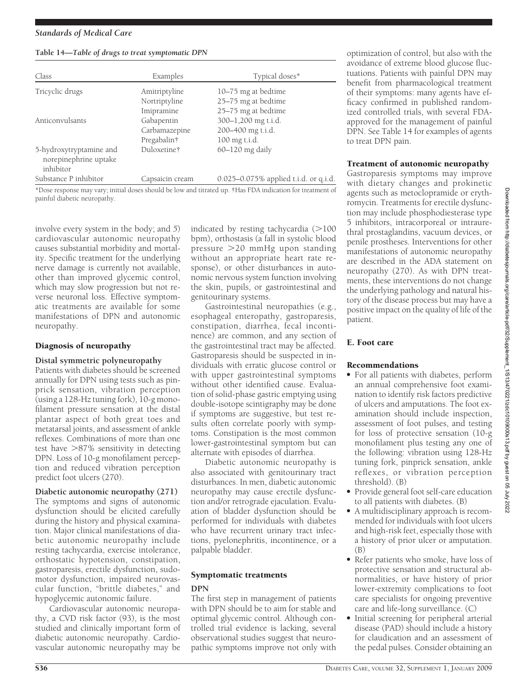| Table 14-Table of drugs to treat symptomatic DPN |  |  |  |
|--------------------------------------------------|--|--|--|
|                                                  |  |  |  |

| Class                                                         | Examples        | Typical doses*                        |
|---------------------------------------------------------------|-----------------|---------------------------------------|
| Tricyclic drugs                                               | Amitriptyline   | 10–75 mg at bedtime                   |
|                                                               | Nortriptyline   | 25–75 mg at bedtime                   |
|                                                               | Imipramine      | 25-75 mg at bedtime                   |
| Anticonvulsants                                               | Gabapentin      | 300-1,200 mg t.i.d.                   |
|                                                               | Carbamazepine   | 200–400 mg t.i.d.                     |
|                                                               | Pregabalin†     | 100 mg t.i.d.                         |
| 5-hydroxytryptamine and<br>norepinephrine uptake<br>inhibitor | Duloxetine†     | $60-120$ mg daily                     |
| Substance P inhibitor                                         | Capsaicin cream | 0.025–0.075% applied t.i.d. or q.i.d. |

\*Dose response may vary; initial doses should be low and titrated up. †Has FDA indication for treatment of painful diabetic neuropathy.

involve every system in the body; and *5*) cardiovascular autonomic neuropathy causes substantial morbidity and mortality. Specific treatment for the underlying nerve damage is currently not available, other than improved glycemic control, which may slow progression but not reverse neuronal loss. Effective symptomatic treatments are available for some manifestations of DPN and autonomic neuropathy.

# Diagnosis of neuropathy

### **Distal symmetric polyneuropathy**

Patients with diabetes should be screened annually for DPN using tests such as pinprick sensation, vibration perception (using a 128-Hz tuning fork), 10-g monofilament pressure sensation at the distal plantar aspect of both great toes and metatarsal joints, and assessment of ankle reflexes. Combinations of more than one test have  $>87\%$  sensitivity in detecting DPN. Loss of 10-g monofilament perception and reduced vibration perception predict foot ulcers (270).

**Diabetic autonomic neuropathy (271)** The symptoms and signs of autonomic dysfunction should be elicited carefully during the history and physical examination. Major clinical manifestations of diabetic autonomic neuropathy include resting tachycardia, exercise intolerance, orthostatic hypotension, constipation, gastroparesis, erectile dysfunction, sudomotor dysfunction, impaired neurovascular function, "brittle diabetes," and hypoglycemic autonomic failure.

Cardiovascular autonomic neuropathy, a CVD risk factor (93), is the most studied and clinically important form of diabetic autonomic neuropathy. Cardiovascular autonomic neuropathy may be

indicated by resting tachycardia  $(>100$ bpm), orthostasis (a fall in systolic blood pressure 20 mmHg upon standing without an appropriate heart rate response), or other disturbances in autonomic nervous system function involving the skin, pupils, or gastrointestinal and genitourinary systems.

Gastrointestinal neuropathies (e.g., esophageal enteropathy, gastroparesis, constipation, diarrhea, fecal incontinence) are common, and any section of the gastrointestinal tract may be affected. Gastroparesis should be suspected in individuals with erratic glucose control or with upper gastrointestinal symptoms without other identified cause. Evaluation of solid-phase gastric emptying using double-isotope scintigraphy may be done if symptoms are suggestive, but test results often correlate poorly with symptoms. Constipation is the most common lower-gastrointestinal symptom but can alternate with episodes of diarrhea.

Diabetic autonomic neuropathy is also associated with genitourinary tract disturbances. In men, diabetic autonomic neuropathy may cause erectile dysfunction and/or retrograde ejaculation. Evaluation of bladder dysfunction should be performed for individuals with diabetes who have recurrent urinary tract infections, pyelonephritis, incontinence, or a palpable bladder.

# Symptomatic treatments

# **DPN**

The first step in management of patients with DPN should be to aim for stable and optimal glycemic control. Although controlled trial evidence is lacking, several observational studies suggest that neuropathic symptoms improve not only with

optimization of control, but also with the avoidance of extreme blood glucose fluctuations. Patients with painful DPN may benefit from pharmacological treatment of their symptoms: many agents have efficacy confirmed in published randomized controlled trials, with several FDAapproved for the management of painful DPN. See Table 14 for examples of agents to treat DPN pain.

# Treatment of autonomic neuropathy

Gastroparesis symptoms may improve with dietary changes and prokinetic agents such as metoclopramide or erythromycin. Treatments for erectile dysfunction may include phosphodiesterase type 5 inhibitors, intracorporeal or intraurethral prostaglandins, vacuum devices, or penile prostheses. Interventions for other manifestations of autonomic neuropathy are described in the ADA statement on neuropathy (270). As with DPN treatments, these interventions do not change the underlying pathology and natural history of the disease process but may have a positive impact on the quality of life of the patient.

# E. Foot care

# Recommendations

- For all patients with diabetes, perform an annual comprehensive foot examination to identify risk factors predictive of ulcers and amputations. The foot examination should include inspection, assessment of foot pulses, and testing for loss of protective sensation (10-g monofilament plus testing any one of the following: vibration using 128-Hz tuning fork, pinprick sensation, ankle reflexes, or vibration perception threshold). (B)
- Provide general foot self-care education to all patients with diabetes. (B)
- A multidisciplinary approach is recommended for individuals with foot ulcers and high-risk feet, especially those with a history of prior ulcer or amputation. (B)
- Refer patients who smoke, have loss of protective sensation and structural abnormalities, or have history of prior lower-extremity complications to foot care specialists for ongoing preventive care and life-long surveillance. (C)
- Initial screening for peripheral arterial disease (PAD) should include a history for claudication and an assessment of the pedal pulses. Consider obtaining an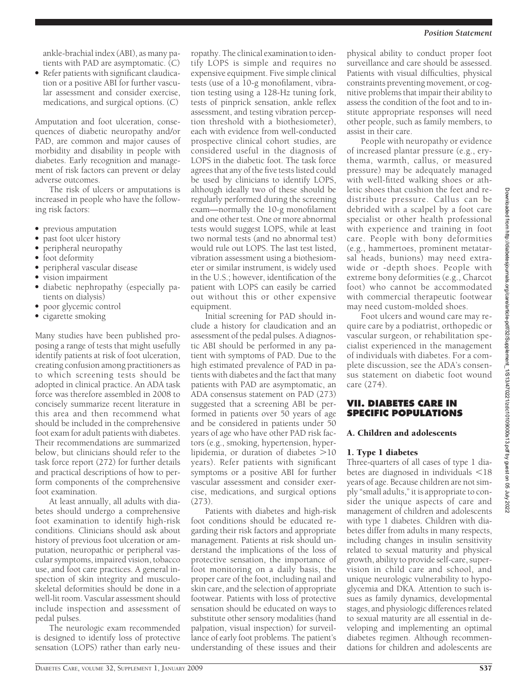ankle-brachial index (ABI), as many patients with PAD are asymptomatic. (C)

● Refer patients with significant claudication or a positive ABI for further vascular assessment and consider exercise, medications, and surgical options. (C)

Amputation and foot ulceration, consequences of diabetic neuropathy and/or PAD, are common and major causes of morbidity and disability in people with diabetes. Early recognition and management of risk factors can prevent or delay adverse outcomes.

The risk of ulcers or amputations is increased in people who have the following risk factors:

- previous amputation
- past foot ulcer history
- peripheral neuropathy
- foot deformity
- peripheral vascular disease
- vision impairment
- diabetic nephropathy (especially patients on dialysis)
- poor glycemic control
- cigarette smoking

Many studies have been published proposing a range of tests that might usefully identify patients at risk of foot ulceration, creating confusion among practitioners as to which screening tests should be adopted in clinical practice. An ADA task force was therefore assembled in 2008 to concisely summarize recent literature in this area and then recommend what should be included in the comprehensive foot exam for adult patients with diabetes. Their recommendations are summarized below, but clinicians should refer to the task force report (272) for further details and practical descriptions of how to perform components of the comprehensive foot examination.

At least annually, all adults with diabetes should undergo a comprehensive foot examination to identify high-risk conditions. Clinicians should ask about history of previous foot ulceration or amputation, neuropathic or peripheral vascular symptoms, impaired vision, tobacco use, and foot care practices. A general inspection of skin integrity and musculoskeletal deformities should be done in a well-lit room. Vascular assessment should include inspection and assessment of pedal pulses.

The neurologic exam recommended is designed to identify loss of protective sensation (LOPS) rather than early neu-

ropathy. The clinical examination to identify LOPS is simple and requires no expensive equipment. Five simple clinical tests (use of a 10-g monofilament, vibration testing using a 128-Hz tuning fork, tests of pinprick sensation, ankle reflex assessment, and testing vibration perception threshold with a biothesiometer), each with evidence from well-conducted prospective clinical cohort studies, are considered useful in the diagnosis of LOPS in the diabetic foot. The task force agrees that any of the five tests listed could be used by clinicians to identify LOPS, although ideally two of these should be regularly performed during the screening exam—normally the 10-g monofilament and one other test. One or more abnormal tests would suggest LOPS, while at least two normal tests (and no abnormal test) would rule out LOPS. The last test listed, vibration assessment using a biothesiometer or similar instrument, is widely used in the U.S.; however, identification of the patient with LOPS can easily be carried out without this or other expensive equipment.

Initial screening for PAD should include a history for claudication and an assessment of the pedal pulses. A diagnostic ABI should be performed in any patient with symptoms of PAD. Due to the high estimated prevalence of PAD in patients with diabetes and the fact that many patients with PAD are asymptomatic, an ADA consensus statement on PAD (273) suggested that a screening ABI be performed in patients over 50 years of age and be considered in patients under 50 years of age who have other PAD risk factors (e.g., smoking, hypertension, hyperlipidemia, or duration of diabetes  $>10$ years). Refer patients with significant symptoms or a positive ABI for further vascular assessment and consider exercise, medications, and surgical options (273).

Patients with diabetes and high-risk foot conditions should be educated regarding their risk factors and appropriate management. Patients at risk should understand the implications of the loss of protective sensation, the importance of foot monitoring on a daily basis, the proper care of the foot, including nail and skin care, and the selection of appropriate footwear. Patients with loss of protective sensation should be educated on ways to substitute other sensory modalities (hand palpation, visual inspection) for surveillance of early foot problems. The patient's understanding of these issues and their

physical ability to conduct proper foot surveillance and care should be assessed. Patients with visual difficulties, physical constraints preventing movement, or cognitive problems that impair their ability to assess the condition of the foot and to institute appropriate responses will need other people, such as family members, to assist in their care.

People with neuropathy or evidence of increased plantar pressure (e.g., erythema, warmth, callus, or measured pressure) may be adequately managed with well-fitted walking shoes or athletic shoes that cushion the feet and redistribute pressure. Callus can be debrided with a scalpel by a foot care specialist or other health professional with experience and training in foot care. People with bony deformities (e.g., hammertoes, prominent metatarsal heads, bunions) may need extrawide or -depth shoes. People with extreme bony deformities (e.g., Charcot foot) who cannot be accommodated with commercial therapeutic footwear may need custom-molded shoes.

Foot ulcers and wound care may require care by a podiatrist, orthopedic or vascular surgeon, or rehabilitation specialist experienced in the management of individuals with diabetes. For a complete discussion, see the ADA's consensus statement on diabetic foot wound care (274).

#### **VII. DIABETES CARE IN SPECIFIC POPULATIONS**

### A. Children and adolescents

### 1. Type 1 diabetes

Three-quarters of all cases of type 1 diabetes are diagnosed in individuals  $\leq 18$ years of age. Because children are not simply "small adults," it is appropriate to consider the unique aspects of care and management of children and adolescents with type 1 diabetes. Children with diabetes differ from adults in many respects, including changes in insulin sensitivity related to sexual maturity and physical growth, ability to provide self-care, supervision in child care and school, and unique neurologic vulnerability to hypoglycemia and DKA. Attention to such issues as family dynamics, developmental stages, and physiologic differences related to sexual maturity are all essential in developing and implementing an optimal diabetes regimen. Although recommendations for children and adolescents are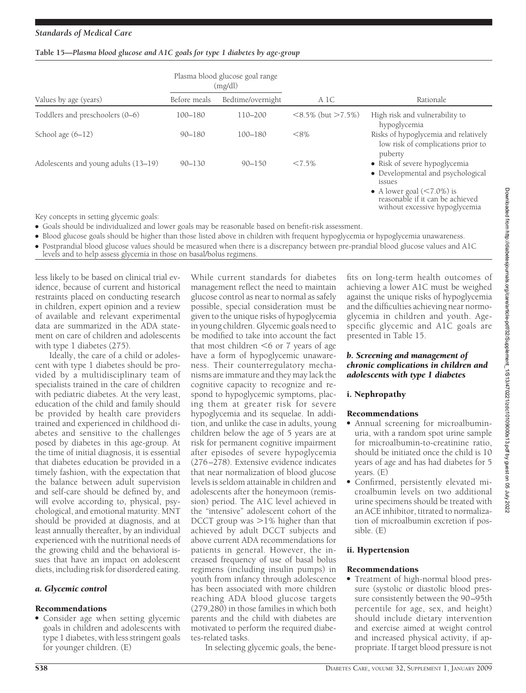### **Table 15—***Plasma blood glucose and A1C goals for type 1 diabetes by age-group*

|                                                                                                                                                |                                   | Plasma blood glucose goal range<br>(mg/dl) |                          |                                                                                                                                                                                    |  |
|------------------------------------------------------------------------------------------------------------------------------------------------|-----------------------------------|--------------------------------------------|--------------------------|------------------------------------------------------------------------------------------------------------------------------------------------------------------------------------|--|
| Values by age (years)                                                                                                                          | Bedtime/overnight<br>Before meals |                                            | A 1C                     | Rationale                                                                                                                                                                          |  |
| Toddlers and preschoolers (0–6)                                                                                                                | $100 - 180$                       | 110-200                                    | $<8.5\%$ (but $>7.5\%$ ) | High risk and vulnerability to<br>hypoglycemia                                                                                                                                     |  |
| School age $(6-12)$                                                                                                                            | $90 - 180$                        | $100 - 180$                                | $<8\%$                   | Risks of hypoglycemia and relatively<br>low risk of complications prior to<br>puberty                                                                                              |  |
| Adolescents and young adults (13-19)                                                                                                           | $90 - 130$                        | $90 - 150$                                 | $5\%$                    | • Risk of severe hypoglycemia<br>• Developmental and psychological<br>issues<br>• A lower goal $(<7.0\%)$ is<br>reasonable if it can be achieved<br>without excessive hypoglycemia |  |
| Key concepts in setting glycemic goals:<br>• Goals should be individualized and lower goals may be reasonable based on benefit-risk assessment |                                   |                                            |                          |                                                                                                                                                                                    |  |

ed and lower goals may be reasonable based on benetit-risk a

- Blood glucose goals should be higher than those listed above in children with frequent hypoglycemia or hypoglycemia unawareness.
- Postprandial blood glucose values should be measured when there is a discrepancy between pre-prandial blood glucose values and A1C
- levels and to help assess glycemia in those on basal/bolus regimens.

less likely to be based on clinical trial evidence, because of current and historical restraints placed on conducting research in children, expert opinion and a review of available and relevant experimental data are summarized in the ADA statement on care of children and adolescents with type 1 diabetes (275).

Ideally, the care of a child or adolescent with type 1 diabetes should be provided by a multidisciplinary team of specialists trained in the care of children with pediatric diabetes. At the very least, education of the child and family should be provided by health care providers trained and experienced in childhood diabetes and sensitive to the challenges posed by diabetes in this age-group. At the time of initial diagnosis, it is essential that diabetes education be provided in a timely fashion, with the expectation that the balance between adult supervision and self-care should be defined by, and will evolve according to, physical, psychological, and emotional maturity. MNT should be provided at diagnosis, and at least annually thereafter, by an individual experienced with the nutritional needs of the growing child and the behavioral issues that have an impact on adolescent diets, including risk for disordered eating.

### *a. Glycemic control*

### Recommendations

● Consider age when setting glycemic goals in children and adolescents with type 1 diabetes, with less stringent goals for younger children. (E)

While current standards for diabetes management reflect the need to maintain glucose control as near to normal as safely possible, special consideration must be given to the unique risks of hypoglycemia in young children. Glycemic goals need to be modified to take into account the fact that most children  $6$  or 7 years of age have a form of hypoglycemic unawareness. Their counterregulatory mechanisms are immature and they may lack the cognitive capacity to recognize and respond to hypoglycemic symptoms, placing them at greater risk for severe hypoglycemia and its sequelae. In addition, and unlike the case in adults, young children below the age of 5 years are at risk for permanent cognitive impairment after episodes of severe hypoglycemia (276 –278). Extensive evidence indicates that near normalization of blood glucose levels is seldom attainable in children and adolescents after the honeymoon (remission) period. The A1C level achieved in the "intensive" adolescent cohort of the DCCT group was  $>1\%$  higher than that achieved by adult DCCT subjects and above current ADA recommendations for patients in general. However, the increased frequency of use of basal bolus regimens (including insulin pumps) in youth from infancy through adolescence has been associated with more children reaching ADA blood glucose targets (279,280) in those families in which both parents and the child with diabetes are motivated to perform the required diabetes-related tasks.

In selecting glycemic goals, the bene-

fits on long-term health outcomes of achieving a lower A1C must be weighed against the unique risks of hypoglycemia and the difficulties achieving near normoglycemia in children and youth. Agespecific glycemic and A1C goals are presented in Table 15.

### *b. Screening and management of chronic complications in children and adolescents with type 1 diabetes*

# i. Nephropathy

# Recommendations

- Annual screening for microalbuminuria, with a random spot urine sample for microalbumin-to-creatinine ratio, should be initiated once the child is 10 years of age and has had diabetes for 5 years. (E)
- Confirmed, persistently elevated microalbumin levels on two additional urine specimens should be treated with an ACE inhibitor, titrated to normalization of microalbumin excretion if possible. (E)

# ii. Hypertension

# Recommendations

● Treatment of high-normal blood pressure (systolic or diastolic blood pressure consistently between the 90 –95th percentile for age, sex, and height) should include dietary intervention and exercise aimed at weight control and increased physical activity, if appropriate. If target blood pressure is not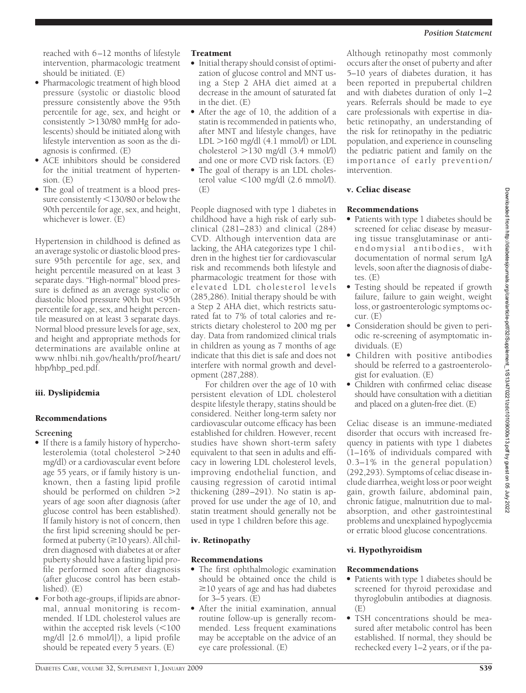reached with 6 –12 months of lifestyle intervention, pharmacologic treatment should be initiated. (E)

- Pharmacologic treatment of high blood pressure (systolic or diastolic blood pressure consistently above the 95th percentile for age, sex, and height or consistently  $>130/80$  mmHg for adolescents) should be initiated along with lifestyle intervention as soon as the diagnosis is confirmed. (E)
- ACE inhibitors should be considered for the initial treatment of hypertension. (E)
- The goal of treatment is a blood pressure consistently <130/80 or below the 90th percentile for age, sex, and height, whichever is lower. (E)

Hypertension in childhood is defined as an average systolic or diastolic blood pressure 95th percentile for age, sex, and height percentile measured on at least 3 separate days. "High-normal" blood pressure is defined as an average systolic or diastolic blood pressure 90th but <95th percentile for age, sex, and height percentile measured on at least 3 separate days. Normal blood pressure levels for age, sex, and height and appropriate methods for determinations are available online at www.nhlbi.nih.gov/health/prof/heart/ hbp/hbp\_ped.pdf.

# iii. Dyslipidemia

# Recommendations

# **Screening**

- If there is a family history of hypercholesterolemia (total cholesterol 240 mg/dl) or a cardiovascular event before age 55 years, or if family history is unknown, then a fasting lipid profile should be performed on children  $>2$ years of age soon after diagnosis (after glucose control has been established). If family history is not of concern, then the first lipid screening should be performed at puberty  $(\geq 10$  years). All children diagnosed with diabetes at or after puberty should have a fasting lipid profile performed soon after diagnosis (after glucose control has been established). (E)
- For both age-groups, if lipids are abnormal, annual monitoring is recommended. If LDL cholesterol values are within the accepted risk levels  $(< 100$ mg/dl [2.6 mmol/l]), a lipid profile should be repeated every 5 years. (E)

# Treatment

- Initial therapy should consist of optimization of glucose control and MNT using a Step 2 AHA diet aimed at a decrease in the amount of saturated fat in the diet. (E)
- After the age of 10, the addition of a statin is recommended in patients who, after MNT and lifestyle changes, have  $LDL > 160$  mg/dl  $(4.1$  mmol/l) or  $LDL$ cholesterol  $>130$  mg/dl (3.4 mmol/l) and one or more CVD risk factors. (E)
- The goal of therapy is an LDL cholesterol value  $\langle 100 \text{ mg/dl} (2.6 \text{ mmol/l}).$ (E)

People diagnosed with type 1 diabetes in childhood have a high risk of early subclinical (281–283) and clinical (284) CVD. Although intervention data are lacking, the AHA categorizes type 1 children in the highest tier for cardiovascular risk and recommends both lifestyle and pharmacologic treatment for those with elevated LDL cholesterol levels (285,286). Initial therapy should be with a Step 2 AHA diet, which restricts saturated fat to 7% of total calories and restricts dietary cholesterol to 200 mg per day. Data from randomized clinical trials in children as young as 7 months of age indicate that this diet is safe and does not interfere with normal growth and development (287,288).

For children over the age of 10 with persistent elevation of LDL cholesterol despite lifestyle therapy, statins should be considered. Neither long-term safety nor cardiovascular outcome efficacy has been established for children. However, recent studies have shown short-term safety equivalent to that seen in adults and efficacy in lowering LDL cholesterol levels, improving endothelial function, and causing regression of carotid intimal thickening (289 –291). No statin is approved for use under the age of 10, and statin treatment should generally not be used in type 1 children before this age.

# iv. Retinopathy

# Recommendations

- The first ophthalmologic examination should be obtained once the child is  $\geq$ 10 years of age and has had diabetes for  $3-5$  years.  $(E)$
- After the initial examination, annual routine follow-up is generally recommended. Less frequent examinations may be acceptable on the advice of an eye care professional. (E)

Although retinopathy most commonly occurs after the onset of puberty and after 5–10 years of diabetes duration, it has been reported in prepubertal children and with diabetes duration of only 1–2 years. Referrals should be made to eye care professionals with expertise in diabetic retinopathy, an understanding of the risk for retinopathy in the pediatric population, and experience in counseling the pediatric patient and family on the importance of early prevention/ intervention.

# v. Celiac disease

# Recommendations

- Patients with type 1 diabetes should be screened for celiac disease by measuring tissue transglutaminase or antiendomysial antibodies, with documentation of normal serum IgA levels, soon after the diagnosis of diabetes. (E)
- Testing should be repeated if growth failure, failure to gain weight, weight loss, or gastroenterologic symptoms occur. (E)
- Consideration should be given to periodic re-screening of asymptomatic individuals. (E)
- Children with positive antibodies should be referred to a gastroenterologist for evaluation. (E)
- Children with confirmed celiac disease should have consultation with a dietitian and placed on a gluten-free diet. (E)

Celiac disease is an immune-mediated disorder that occurs with increased frequency in patients with type 1 diabetes (1–16% of individuals compared with 0.3–1% in the general population) (292,293). Symptoms of celiac disease include diarrhea, weight loss or poor weight gain, growth failure, abdominal pain, chronic fatigue, malnutrition due to malabsorption, and other gastrointestinal problems and unexplained hypoglycemia or erratic blood glucose concentrations.

# vi. Hypothyroidism

# Recommendations

- Patients with type 1 diabetes should be screened for thyroid peroxidase and thyroglobulin antibodies at diagnosis. (E)
- TSH concentrations should be measured after metabolic control has been established. If normal, they should be rechecked every 1–2 years, or if the pa-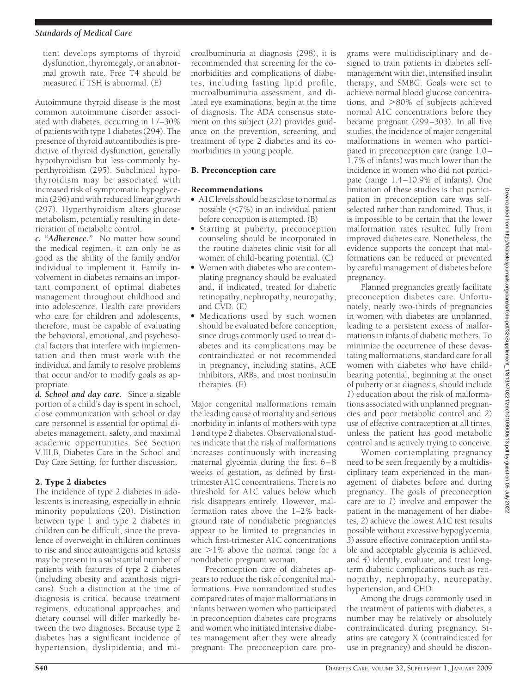tient develops symptoms of thyroid dysfunction, thyromegaly, or an abnormal growth rate. Free T4 should be measured if TSH is abnormal. (E)

Autoimmune thyroid disease is the most common autoimmune disorder associated with diabetes, occurring in 17–30% of patients with type 1 diabetes (294). The presence of thyroid autoantibodies is predictive of thyroid dysfunction, generally hypothyroidism but less commonly hyperthyroidism (295). Subclinical hypothyroidism may be associated with increased risk of symptomatic hypoglycemia (296) and with reduced linear growth (297). Hyperthyroidism alters glucose metabolism, potentially resulting in deterioration of metabolic control.

*c. "Adherence."* No matter how sound the medical regimen, it can only be as good as the ability of the family and/or individual to implement it. Family involvement in diabetes remains an important component of optimal diabetes management throughout childhood and into adolescence. Health care providers who care for children and adolescents, therefore, must be capable of evaluating the behavioral, emotional, and psychosocial factors that interfere with implementation and then must work with the individual and family to resolve problems that occur and/or to modify goals as appropriate.

*d. School and day care.* Since a sizable portion of a child's day is spent in school, close communication with school or day care personnel is essential for optimal diabetes management, safety, and maximal academic opportunities. See Section V.III.B, Diabetes Care in the School and Day Care Setting, for further discussion.

# 2. Type 2 diabetes

The incidence of type 2 diabetes in adolescents is increasing, especially in ethnic minority populations (20). Distinction between type 1 and type 2 diabetes in children can be difficult, since the prevalence of overweight in children continues to rise and since autoantigens and ketosis may be present in a substantial number of patients with features of type 2 diabetes (including obesity and acanthosis nigricans). Such a distinction at the time of diagnosis is critical because treatment regimens, educational approaches, and dietary counsel will differ markedly between the two diagnoses. Because type 2 diabetes has a significant incidence of hypertension, dyslipidemia, and mi-

croalbuminuria at diagnosis (298), it is recommended that screening for the comorbidities and complications of diabetes, including fasting lipid profile, microalbuminuria assessment, and dilated eye examinations, begin at the time of diagnosis. The ADA consensus statement on this subject (22) provides guidance on the prevention, screening, and treatment of type 2 diabetes and its comorbidities in young people.

# B. Preconception care

# Recommendations

- A1C levels should be as close to normal as possible  $(< 7\%)$  in an individual patient before conception is attempted. (B)
- Starting at puberty, preconception counseling should be incorporated in the routine diabetes clinic visit for all women of child-bearing potential. (C)
- Women with diabetes who are contemplating pregnancy should be evaluated and, if indicated, treated for diabetic retinopathy, nephropathy, neuropathy, and CVD. (E)
- Medications used by such women should be evaluated before conception, since drugs commonly used to treat diabetes and its complications may be contraindicated or not recommended in pregnancy, including statins, ACE inhibitors, ARBs, and most noninsulin therapies. (E)

Major congenital malformations remain the leading cause of mortality and serious morbidity in infants of mothers with type 1 and type 2 diabetes. Observational studies indicate that the risk of malformations increases continuously with increasing maternal glycemia during the first  $6 - 8$ weeks of gestation, as defined by firsttrimester A1C concentrations. There is no threshold for A1C values below which risk disappears entirely. However, malformation rates above the 1–2% background rate of nondiabetic pregnancies appear to be limited to pregnancies in which first-trimester A1C concentrations are  $>1\%$  above the normal range for a nondiabetic pregnant woman.

Preconception care of diabetes appears to reduce the risk of congenital malformations. Five nonrandomized studies compared rates of major malformations in infants between women who participated in preconception diabetes care programs and women who initiated intensive diabetes management after they were already pregnant. The preconception care programs were multidisciplinary and designed to train patients in diabetes selfmanagement with diet, intensified insulin therapy, and SMBG. Goals were set to achieve normal blood glucose concentrations, and  $>80\%$  of subjects achieved normal A1C concentrations before they became pregnant (299 –303). In all five studies, the incidence of major congenital malformations in women who participated in preconception care (range 1.0-1.7% of infants) was much lower than the incidence in women who did not participate (range 1.4 –10.9% of infants). One limitation of these studies is that participation in preconception care was selfselected rather than randomized. Thus, it is impossible to be certain that the lower malformation rates resulted fully from improved diabetes care. Nonetheless, the evidence supports the concept that malformations can be reduced or prevented by careful management of diabetes before pregnancy.

Planned pregnancies greatly facilitate preconception diabetes care. Unfortunately, nearly two-thirds of pregnancies in women with diabetes are unplanned, leading to a persistent excess of malformations in infants of diabetic mothers. To minimize the occurrence of these devastating malformations, standard care for all women with diabetes who have childbearing potential, beginning at the onset of puberty or at diagnosis, should include *1*) education about the risk of malformations associated with unplanned pregnancies and poor metabolic control and *2*) use of effective contraception at all times, unless the patient has good metabolic control and is actively trying to conceive.

Women contemplating pregnancy need to be seen frequently by a multidisciplinary team experienced in the management of diabetes before and during pregnancy. The goals of preconception care are to *1*) involve and empower the patient in the management of her diabetes, *2*) achieve the lowest A1C test results possible without excessive hypoglycemia, *3*) assure effective contraception until stable and acceptable glycemia is achieved, and *4*) identify, evaluate, and treat longterm diabetic complications such as retinopathy, nephropathy, neuropathy, hypertension, and CHD.

Among the drugs commonly used in the treatment of patients with diabetes, a number may be relatively or absolutely contraindicated during pregnancy. Statins are category X (contraindicated for use in pregnancy) and should be discon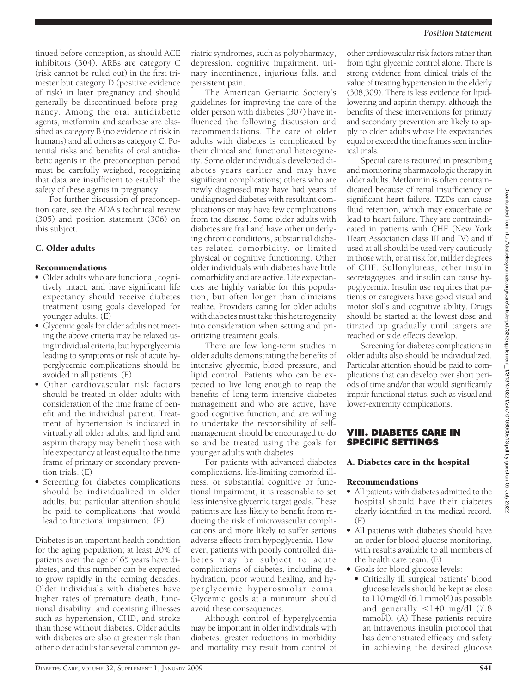tinued before conception, as should ACE inhibitors (304). ARBs are category C (risk cannot be ruled out) in the first trimester but category D (positive evidence of risk) in later pregnancy and should generally be discontinued before pregnancy. Among the oral antidiabetic agents, metformin and acarbose are classified as category B (no evidence of risk in humans) and all others as category C. Potential risks and benefits of oral antidiabetic agents in the preconception period must be carefully weighed, recognizing that data are insufficient to establish the safety of these agents in pregnancy.

For further discussion of preconception care, see the ADA's technical review (305) and position statement (306) on this subject.

# C. Older adults

# Recommendations

- Older adults who are functional, cognitively intact, and have significant life expectancy should receive diabetes treatment using goals developed for younger adults. (E)
- Glycemic goals for older adults not meeting the above criteria may be relaxed using individual criteria, but hyperglycemia leading to symptoms or risk of acute hyperglycemic complications should be avoided in all patients. (E)
- Other cardiovascular risk factors should be treated in older adults with consideration of the time frame of benefit and the individual patient. Treatment of hypertension is indicated in virtually all older adults, and lipid and aspirin therapy may benefit those with life expectancy at least equal to the time frame of primary or secondary prevention trials. (E)
- Screening for diabetes complications should be individualized in older adults, but particular attention should be paid to complications that would lead to functional impairment. (E)

Diabetes is an important health condition for the aging population; at least 20% of patients over the age of 65 years have diabetes, and this number can be expected to grow rapidly in the coming decades. Older individuals with diabetes have higher rates of premature death, functional disability, and coexisting illnesses such as hypertension, CHD, and stroke than those without diabetes. Older adults with diabetes are also at greater risk than other older adults for several common geriatric syndromes, such as polypharmacy, depression, cognitive impairment, urinary incontinence, injurious falls, and persistent pain.

The American Geriatric Society's guidelines for improving the care of the older person with diabetes (307) have influenced the following discussion and recommendations. The care of older adults with diabetes is complicated by their clinical and functional heterogeneity. Some older individuals developed diabetes years earlier and may have significant complications; others who are newly diagnosed may have had years of undiagnosed diabetes with resultant complications or may have few complications from the disease. Some older adults with diabetes are frail and have other underlying chronic conditions, substantial diabetes-related comorbidity, or limited physical or cognitive functioning. Other older individuals with diabetes have little comorbidity and are active. Life expectancies are highly variable for this population, but often longer than clinicians realize. Providers caring for older adults with diabetes must take this heterogeneity into consideration when setting and prioritizing treatment goals.

There are few long-term studies in older adults demonstrating the benefits of intensive glycemic, blood pressure, and lipid control. Patients who can be expected to live long enough to reap the benefits of long-term intensive diabetes management and who are active, have good cognitive function, and are willing to undertake the responsibility of selfmanagement should be encouraged to do so and be treated using the goals for younger adults with diabetes.

For patients with advanced diabetes complications, life-limiting comorbid illness, or substantial cognitive or functional impairment, it is reasonable to set less intensive glycemic target goals. These patients are less likely to benefit from reducing the risk of microvascular complications and more likely to suffer serious adverse effects from hypoglycemia. However, patients with poorly controlled diabetes may be subject to acute complications of diabetes, including dehydration, poor wound healing, and hyperglycemic hyperosmolar coma. Glycemic goals at a minimum should avoid these consequences.

Although control of hyperglycemia may be important in older individuals with diabetes, greater reductions in morbidity and mortality may result from control of

other cardiovascular risk factors rather than from tight glycemic control alone. There is strong evidence from clinical trials of the value of treating hypertension in the elderly (308,309). There is less evidence for lipidlowering and aspirin therapy, although the benefits of these interventions for primary and secondary prevention are likely to apply to older adults whose life expectancies equal or exceed the time frames seen in clinical trials.

Special care is required in prescribing and monitoring pharmacologic therapy in older adults. Metformin is often contraindicated because of renal insufficiency or significant heart failure. TZDs can cause fluid retention, which may exacerbate or lead to heart failure. They are contraindicated in patients with CHF (New York Heart Association class III and IV) and if used at all should be used very cautiously in those with, or at risk for, milder degrees of CHF. Sulfonylureas, other insulin secretagogues, and insulin can cause hypoglycemia. Insulin use requires that patients or caregivers have good visual and motor skills and cognitive ability. Drugs should be started at the lowest dose and titrated up gradually until targets are reached or side effects develop.

Screening for diabetes complications in older adults also should be individualized. Particular attention should be paid to complications that can develop over short periods of time and/or that would significantly impair functional status, such as visual and lower-extremity complications.

### **VIII. DIABETES CARE IN SPECIFIC SETTINGS**

### A. Diabetes care in the hospital

# Recommendations

- All patients with diabetes admitted to the hospital should have their diabetes clearly identified in the medical record. (E)
- All patients with diabetes should have an order for blood glucose monitoring, with results available to all members of the health care team. (E)
- Goals for blood glucose levels:
	- Critically ill surgical patients' blood glucose levels should be kept as close to 110 mg/dl (6.1 mmol/l) as possible and generally  $\langle 140 \rangle$  mg/dl (7.8) mmol/l). (A) These patients require an intravenous insulin protocol that has demonstrated efficacy and safety in achieving the desired glucose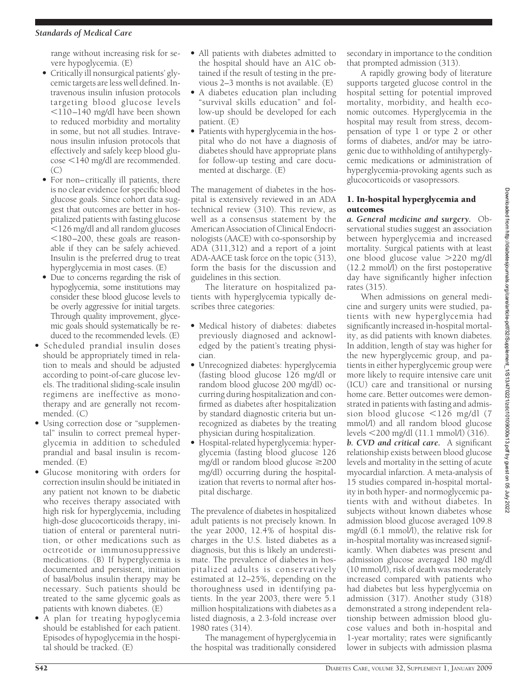range without increasing risk for severe hypoglycemia. (E)

- Critically ill nonsurgical patients' glycemic targets are less well defined. Intravenous insulin infusion protocols targeting blood glucose levels  $110 - 140$  mg/dl have been shown to reduced morbidity and mortality in some, but not all studies. Intravenous insulin infusion protocols that effectively and safely keep blood glucose 140 mg/dl are recommended.  $(C)$
- For non– critically ill patients, there is no clear evidence for specific blood glucose goals. Since cohort data suggest that outcomes are better in hospitalized patients with fasting glucose 126 mg/dl and all random glucoses  $180 - 200$ , these goals are reasonable if they can be safely achieved. Insulin is the preferred drug to treat hyperglycemia in most cases. (E)
- Due to concerns regarding the risk of hypoglycemia, some institutions may consider these blood glucose levels to be overly aggressive for initial targets. Through quality improvement, glycemic goals should systematically be reduced to the recommended levels. (E)
- Scheduled prandial insulin doses should be appropriately timed in relation to meals and should be adjusted according to point-of-care glucose levels. The traditional sliding-scale insulin regimens are ineffective as monotherapy and are generally not recommended. (C)
- Using correction dose or "supplemental" insulin to correct premeal hyperglycemia in addition to scheduled prandial and basal insulin is recommended. (E)
- Glucose monitoring with orders for correction insulin should be initiated in any patient not known to be diabetic who receives therapy associated with high risk for hyperglycemia, including high-dose glucocorticoids therapy, initiation of enteral or parenteral nutrition, or other medications such as octreotide or immunosuppressive medications. (B) If hyperglycemia is documented and persistent, initiation of basal/bolus insulin therapy may be necessary. Such patients should be treated to the same glycemic goals as patients with known diabetes. (E)
- A plan for treating hypoglycemia should be established for each patient. Episodes of hypoglycemia in the hospital should be tracked. (E)
- All patients with diabetes admitted to the hospital should have an A1C obtained if the result of testing in the previous 2–3 months is not available. (E)
- A diabetes education plan including "survival skills education" and follow-up should be developed for each patient. (E)
- Patients with hyperglycemia in the hospital who do not have a diagnosis of diabetes should have appropriate plans for follow-up testing and care documented at discharge. (E)

The management of diabetes in the hospital is extensively reviewed in an ADA technical review (310). This review, as well as a consensus statement by the American Association of Clinical Endocrinologists (AACE) with co-sponsorship by ADA (311,312) and a report of a joint ADA-AACE task force on the topic (313), form the basis for the discussion and guidelines in this section.

The literature on hospitalized patients with hyperglycemia typically describes three categories:

- Medical history of diabetes: diabetes previously diagnosed and acknowledged by the patient's treating physician.
- Unrecognized diabetes: hyperglycemia (fasting blood glucose 126 mg/dl or random blood glucose 200 mg/dl) occurring during hospitalization and confirmed as diabetes after hospitalization by standard diagnostic criteria but unrecognized as diabetes by the treating physician during hospitalization.
- Hospital-related hyperglycemia: hyperglycemia (fasting blood glucose 126 mg/dl or random blood glucose  $\geq 200$ mg/dl) occurring during the hospitalization that reverts to normal after hospital discharge.

The prevalence of diabetes in hospitalized adult patients is not precisely known. In the year 2000, 12.4% of hospital discharges in the U.S. listed diabetes as a diagnosis, but this is likely an underestimate. The prevalence of diabetes in hospitalized adults is conservatively estimated at 12–25%, depending on the thoroughness used in identifying patients. In the year 2003, there were 5.1 million hospitalizations with diabetes as a listed diagnosis, a 2.3-fold increase over 1980 rates (314).

The management of hyperglycemia in the hospital was traditionally considered

secondary in importance to the condition that prompted admission (313).

A rapidly growing body of literature supports targeted glucose control in the hospital setting for potential improved mortality, morbidity, and health economic outcomes. Hyperglycemia in the hospital may result from stress, decompensation of type 1 or type 2 or other forms of diabetes, and/or may be iatrogenic due to withholding of antihyperglycemic medications or administration of hyperglycemia-provoking agents such as glucocorticoids or vasopressors.

### 1. In-hospital hyperglycemia and outcomes

*a. General medicine and surgery.* Observational studies suggest an association between hyperglycemia and increased mortality. Surgical patients with at least one blood glucose value 220 mg/dl (12.2 mmol/l) on the first postoperative day have significantly higher infection rates (315).

When admissions on general medicine and surgery units were studied, patients with new hyperglycemia had significantly increased in-hospital mortality, as did patients with known diabetes. In addition, length of stay was higher for the new hyperglycemic group, and patients in either hyperglycemic group were more likely to require intensive care unit (ICU) care and transitional or nursing home care. Better outcomes were demonstrated in patients with fasting and admission blood glucose  $\lt 126$  mg/dl (7) mmol/l) and all random blood glucose levels 200 mg/dl (11.1 mmol/l) (316). *b. CVD and critical care.* A significant relationship exists between blood glucose levels and mortality in the setting of acute myocardial infarction. A meta-analysis of 15 studies compared in-hospital mortality in both hyper- and normoglycemic patients with and without diabetes. In subjects without known diabetes whose admission blood glucose averaged 109.8 mg/dl (6.1 mmol/l), the relative risk for in-hospital mortality was increased significantly. When diabetes was present and admission glucose averaged 180 mg/dl (10 mmol/l), risk of death was moderately increased compared with patients who had diabetes but less hyperglycemia on admission (317). Another study (318) demonstrated a strong independent relationship between admission blood glucose values and both in-hospital and 1-year mortality; rates were significantly lower in subjects with admission plasma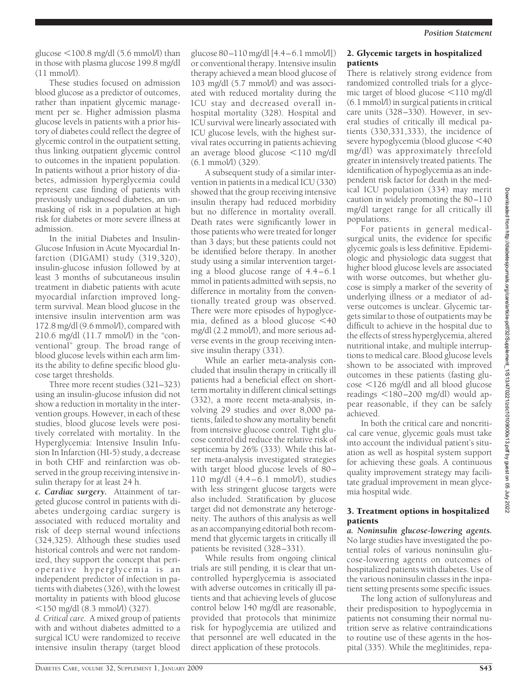glucose  $\leq 100.8$  mg/dl (5.6 mmol/l) than in those with plasma glucose 199.8 mg/dl  $(11 \text{ mmol/l}).$ 

These studies focused on admission blood glucose as a predictor of outcomes, rather than inpatient glycemic management per se. Higher admission plasma glucose levels in patients with a prior history of diabetes could reflect the degree of glycemic control in the outpatient setting, thus linking outpatient glycemic control to outcomes in the inpatient population. In patients without a prior history of diabetes, admission hyperglycemia could represent case finding of patients with previously undiagnosed diabetes, an unmasking of risk in a population at high risk for diabetes or more severe illness at admission.

In the initial Diabetes and Insulin-Glucose Infusion in Acute Myocardial Infarction (DIGAMI) study (319,320), insulin-glucose infusion followed by at least 3 months of subcutaneous insulin treatment in diabetic patients with acute myocardial infarction improved longterm survival. Mean blood glucose in the intensive insulin intervention arm was 172.8 mg/dl (9.6 mmol/l), compared with 210.6 mg/dl (11.7 mmol/l) in the "conventional" group. The broad range of blood glucose levels within each arm limits the ability to define specific blood glucose target thresholds.

Three more recent studies (321–323) using an insulin-glucose infusion did not show a reduction in mortality in the intervention groups. However, in each of these studies, blood glucose levels were positively correlated with mortality. In the Hyperglycemia: Intensive Insulin Infusion In Infarction (HI-5) study, a decrease in both CHF and reinfarction was observed in the group receiving intensive insulin therapy for at least 24 h.

*c. Cardiac surgery.* Attainment of targeted glucose control in patients with diabetes undergoing cardiac surgery is associated with reduced mortality and risk of deep sternal wound infections (324,325). Although these studies used historical controls and were not randomized, they support the concept that perioperative hyperglycemia is an independent predictor of infection in patients with diabetes (326), with the lowest mortality in patients with blood glucose 150 mg/dl (8.3 mmol/l) (327).

*d. Critical care.* A mixed group of patients with and without diabetes admitted to a surgical ICU were randomized to receive intensive insulin therapy (target blood

glucose 80 –110 mg/dl [4.4 – 6.1 mmol/l]) or conventional therapy. Intensive insulin therapy achieved a mean blood glucose of 103 mg/dl (5.7 mmol/l) and was associated with reduced mortality during the ICU stay and decreased overall inhospital mortality (328). Hospital and ICU survival were linearly associated with ICU glucose levels, with the highest survival rates occurring in patients achieving an average blood glucose <110 mg/dl (6.1 mmol/l) (329).

A subsequent study of a similar intervention in patients in a medical ICU (330) showed that the group receiving intensive insulin therapy had reduced morbidity but no difference in mortality overall. Death rates were significantly lower in those patients who were treated for longer than 3 days; but these patients could not be identified before therapy. In another study using a similar intervention targeting a blood glucose range of  $4.4 - 6.1$ mmol in patients admitted with sepsis, no difference in mortality from the conventionally treated group was observed. There were more episodes of hypoglycemia, defined as a blood glucose  $\leq 40$ mg/dl (2.2 mmol/l), and more serious adverse events in the group receiving intensive insulin therapy (331).

While an earlier meta-analysis concluded that insulin therapy in critically ill patients had a beneficial effect on shortterm mortality in different clinical settings (332), a more recent meta-analysis, involving 29 studies and over 8,000 patients, failed to show any mortality benefit from intensive glucose control. Tight glucose control did reduce the relative risk of septicemia by 26% (333). While this latter meta-analysis investigated strategies with target blood glucose levels of 80-110 mg/dl (4.4 – 6.1 mmol/l), studies with less stringent glucose targets were also included. Stratification by glucose target did not demonstrate any heterogeneity. The authors of this analysis as well as an accompanying editorial both recommend that glycemic targets in critically ill patients be revisited (328 –331).

While results from ongoing clinical trials are still pending, it is clear that uncontrolled hyperglycemia is associated with adverse outcomes in critically ill patients and that achieving levels of glucose control below 140 mg/dl are reasonable, provided that protocols that minimize risk for hypoglycemia are utilized and that personnel are well educated in the direct application of these protocols.

### 2. Glycemic targets in hospitalized patients

There is relatively strong evidence from randomized controlled trials for a glycemic target of blood glucose  $\leq$ 110 mg/dl (6.1 mmol/l) in surgical patients in critical care units (328 –330). However, in several studies of critically ill medical patients (330,331,333), the incidence of severe hypoglycemia (blood glucose <40 mg/dl) was approximately threefold greater in intensively treated patients. The identification of hypoglycemia as an independent risk factor for death in the medical ICU population (334) may merit caution in widely promoting the 80 –110 mg/dl target range for all critically ill populations.

For patients in general medicalsurgical units, the evidence for specific glycemic goals is less definitive. Epidemiologic and physiologic data suggest that higher blood glucose levels are associated with worse outcomes, but whether glucose is simply a marker of the severity of underlying illness or a mediator of adverse outcomes is unclear. Glycemic targets similar to those of outpatients may be difficult to achieve in the hospital due to the effects of stress hyperglycemia, altered nutritional intake, and multiple interruptions to medical care. Blood glucose levels shown to be associated with improved outcomes in these patients (fasting glucose <126 mg/dl and all blood glucose readings  $\leq 180 - 200$  mg/dl) would appear reasonable, if they can be safely achieved.

In both the critical care and noncritical care venue, glycemic goals must take into account the individual patient's situation as well as hospital system support for achieving these goals. A continuous quality improvement strategy may facilitate gradual improvement in mean glycemia hospital wide.

### 3. Treatment options in hospitalized patients

*a. Noninsulin glucose-lowering agents.* No large studies have investigated the potential roles of various noninsulin glucose-lowering agents on outcomes of hospitalized patients with diabetes. Use of the various noninsulin classes in the inpatient setting presents some specific issues.

The long action of sulfonylureas and their predisposition to hypoglycemia in patients not consuming their normal nutrition serve as relative contraindications to routine use of these agents in the hospital (335). While the meglitinides, repa-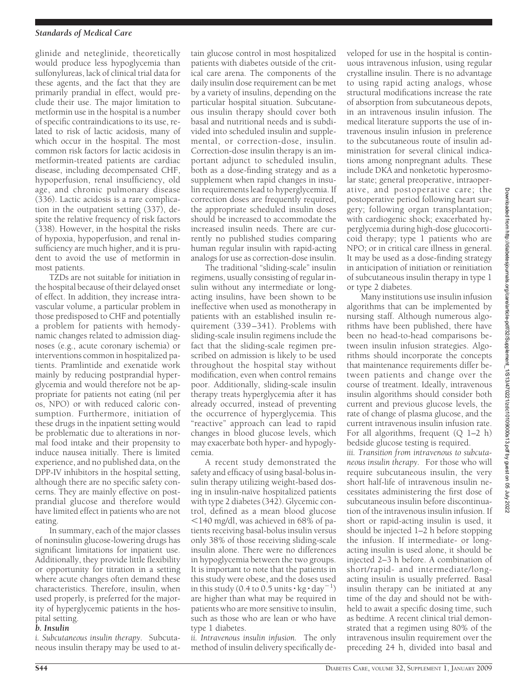glinide and neteglinide, theoretically would produce less hypoglycemia than sulfonylureas, lack of clinical trial data for these agents, and the fact that they are primarily prandial in effect, would preclude their use. The major limitation to metformin use in the hospital is a number of specific contraindications to its use, related to risk of lactic acidosis, many of which occur in the hospital. The most common risk factors for lactic acidosis in metformin-treated patients are cardiac disease, including decompensated CHF, hypoperfusion, renal insufficiency, old age, and chronic pulmonary disease (336). Lactic acidosis is a rare complication in the outpatient setting (337), despite the relative frequency of risk factors (338). However, in the hospital the risks of hypoxia, hypoperfusion, and renal insufficiency are much higher, and it is prudent to avoid the use of metformin in most patients.

TZDs are not suitable for initiation in the hospital because of their delayed onset of effect. In addition, they increase intravascular volume, a particular problem in those predisposed to CHF and potentially a problem for patients with hemodynamic changes related to admission diagnoses (e.g., acute coronary ischemia) or interventions common in hospitalized patients. Pramlintide and exenatide work mainly by reducing postprandial hyperglycemia and would therefore not be appropriate for patients not eating (nil per os, NPO) or with reduced caloric consumption. Furthermore, initiation of these drugs in the inpatient setting would be problematic due to alterations in normal food intake and their propensity to induce nausea initially. There is limited experience, and no published data, on the DPP-IV inhibitors in the hospital setting, although there are no specific safety concerns. They are mainly effective on postprandial glucose and therefore would have limited effect in patients who are not eating.

In summary, each of the major classes of noninsulin glucose-lowering drugs has significant limitations for inpatient use. Additionally, they provide little flexibility or opportunity for titration in a setting where acute changes often demand these characteristics. Therefore, insulin, when used properly, is preferred for the majority of hyperglycemic patients in the hospital setting.

### *b. Insulin*

*i. Subcutaneous insulin therapy.* Subcutaneous insulin therapy may be used to at-

tain glucose control in most hospitalized patients with diabetes outside of the critical care arena. The components of the daily insulin dose requirement can be met by a variety of insulins, depending on the particular hospital situation. Subcutaneous insulin therapy should cover both basal and nutritional needs and is subdivided into scheduled insulin and supplemental, or correction-dose, insulin. Correction-dose insulin therapy is an important adjunct to scheduled insulin, both as a dose-finding strategy and as a supplement when rapid changes in insulin requirements lead to hyperglycemia. If correction doses are frequently required, the appropriate scheduled insulin doses should be increased to accommodate the increased insulin needs. There are currently no published studies comparing human regular insulin with rapid-acting analogs for use as correction-dose insulin.

The traditional "sliding-scale" insulin regimens, usually consisting of regular insulin without any intermediate or longacting insulins, have been shown to be ineffective when used as monotherapy in patients with an established insulin requirement (339 –341). Problems with sliding-scale insulin regimens include the fact that the sliding-scale regimen prescribed on admission is likely to be used throughout the hospital stay without modification, even when control remains poor. Additionally, sliding-scale insulin therapy treats hyperglycemia after it has already occurred, instead of preventing the occurrence of hyperglycemia. This "reactive" approach can lead to rapid changes in blood glucose levels, which may exacerbate both hyper- and hypoglycemia.

A recent study demonstrated the safety and efficacy of using basal-bolus insulin therapy utilizing weight-based dosing in insulin-naïve hospitalized patients with type 2 diabetes (342). Glycemic control, defined as a mean blood glucose  $140$  mg/dl, was achieved in 68% of patients receiving basal-bolus insulin versus only 38% of those receiving sliding-scale insulin alone. There were no differences in hypoglycemia between the two groups. It is important to note that the patients in this study were obese, and the doses used in this study (0.4 to 0.5 units  $\cdot$  kg  $\cdot$  day<sup>-1</sup>) are higher than what may be required in patients who are more sensitive to insulin, such as those who are lean or who have type 1 diabetes.

*ii. Intravenous insulin infusion.* The only method of insulin delivery specifically developed for use in the hospital is continuous intravenous infusion, using regular crystalline insulin. There is no advantage to using rapid acting analogs, whose structural modifications increase the rate of absorption from subcutaneous depots, in an intravenous insulin infusion. The medical literature supports the use of intravenous insulin infusion in preference to the subcutaneous route of insulin administration for several clinical indications among nonpregnant adults. These include DKA and nonketotic hyperosmolar state; general preoperative, intraoperative, and postoperative care; the postoperative period following heart surgery; following organ transplantation; with cardiogenic shock; exacerbated hyperglycemia during high-dose glucocorticoid therapy; type 1 patients who are NPO; or in critical care illness in general. It may be used as a dose-finding strategy in anticipation of initiation or reinitiation of subcutaneous insulin therapy in type 1 or type 2 diabetes.

Many institutions use insulin infusion algorithms that can be implemented by nursing staff. Although numerous algorithms have been published, there have been no head-to-head comparisons between insulin infusion strategies. Algorithms should incorporate the concepts that maintenance requirements differ between patients and change over the course of treatment. Ideally, intravenous insulin algorithms should consider both current and previous glucose levels, the rate of change of plasma glucose, and the current intravenous insulin infusion rate. For all algorithms, frequent  $(Q \ 1-2 \ h)$ bedside glucose testing is required.

*iii. Transition from intravenous to subcutaneous insulin therapy.* For those who will require subcutaneous insulin, the very short half-life of intravenous insulin necessitates administering the first dose of subcutaneous insulin before discontinuation of the intravenous insulin infusion. If short or rapid-acting insulin is used, it should be injected 1–2 h before stopping the infusion. If intermediate- or longacting insulin is used alone, it should be injected 2–3 h before. A combination of short/rapid- and intermediate/longacting insulin is usually preferred. Basal insulin therapy can be initiated at any time of the day and should not be withheld to await a specific dosing time, such as bedtime. A recent clinical trial demonstrated that a regimen using 80% of the intravenous insulin requirement over the preceding 24 h, divided into basal and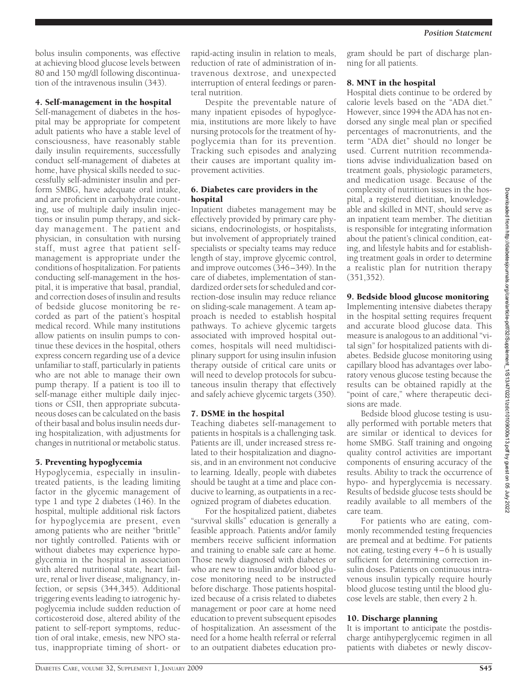bolus insulin components, was effective at achieving blood glucose levels between 80 and 150 mg/dl following discontinuation of the intravenous insulin (343).

# 4. Self-management in the hospital

Self-management of diabetes in the hospital may be appropriate for competent adult patients who have a stable level of consciousness, have reasonably stable daily insulin requirements, successfully conduct self-management of diabetes at home, have physical skills needed to successfully self-administer insulin and perform SMBG, have adequate oral intake, and are proficient in carbohydrate counting, use of multiple daily insulin injections or insulin pump therapy, and sickday management. The patient and physician, in consultation with nursing staff, must agree that patient selfmanagement is appropriate under the conditions of hospitalization. For patients conducting self-management in the hospital, it is imperative that basal, prandial, and correction doses of insulin and results of bedside glucose monitoring be recorded as part of the patient's hospital medical record. While many institutions allow patients on insulin pumps to continue these devices in the hospital, others express concern regarding use of a device unfamiliar to staff, particularly in patients who are not able to manage their own pump therapy. If a patient is too ill to self-manage either multiple daily injections or CSII, then appropriate subcutaneous doses can be calculated on the basis of their basal and bolus insulin needs during hospitalization, with adjustments for changes in nutritional or metabolic status.

# 5. Preventing hypoglycemia

Hypoglycemia, especially in insulintreated patients, is the leading limiting factor in the glycemic management of type 1 and type 2 diabetes (146). In the hospital, multiple additional risk factors for hypoglycemia are present, even among patients who are neither "brittle" nor tightly controlled. Patients with or without diabetes may experience hypoglycemia in the hospital in association with altered nutritional state, heart failure, renal or liver disease, malignancy, infection, or sepsis (344,345). Additional triggering events leading to iatrogenic hypoglycemia include sudden reduction of corticosteroid dose, altered ability of the patient to self-report symptoms, reduction of oral intake, emesis, new NPO status, inappropriate timing of short- or

rapid-acting insulin in relation to meals, reduction of rate of administration of intravenous dextrose, and unexpected interruption of enteral feedings or parenteral nutrition.

Despite the preventable nature of many inpatient episodes of hypoglycemia, institutions are more likely to have nursing protocols for the treatment of hypoglycemia than for its prevention. Tracking such episodes and analyzing their causes are important quality improvement activities.

# 6. Diabetes care providers in the hospital

Inpatient diabetes management may be effectively provided by primary care physicians, endocrinologists, or hospitalists, but involvement of appropriately trained specialists or specialty teams may reduce length of stay, improve glycemic control, and improve outcomes (346 –349). In the care of diabetes, implementation of standardized order sets for scheduled and correction-dose insulin may reduce reliance on sliding-scale management. A team approach is needed to establish hospital pathways. To achieve glycemic targets associated with improved hospital outcomes, hospitals will need multidisciplinary support for using insulin infusion therapy outside of critical care units or will need to develop protocols for subcutaneous insulin therapy that effectively and safely achieve glycemic targets (350).

# 7. DSME in the hospital

Teaching diabetes self-management to patients in hospitals is a challenging task. Patients are ill, under increased stress related to their hospitalization and diagnosis, and in an environment not conducive to learning. Ideally, people with diabetes should be taught at a time and place conducive to learning, as outpatients in a recognized program of diabetes education.

For the hospitalized patient, diabetes "survival skills" education is generally a feasible approach. Patients and/or family members receive sufficient information and training to enable safe care at home. Those newly diagnosed with diabetes or who are new to insulin and/or blood glucose monitoring need to be instructed before discharge. Those patients hospitalized because of a crisis related to diabetes management or poor care at home need education to prevent subsequent episodes of hospitalization. An assessment of the need for a home health referral or referral to an outpatient diabetes education pro-

gram should be part of discharge planning for all patients.

# 8. MNT in the hospital

Hospital diets continue to be ordered by calorie levels based on the "ADA diet." However, since 1994 the ADA has not endorsed any single meal plan or specified percentages of macronutrients, and the term "ADA diet" should no longer be used. Current nutrition recommendations advise individualization based on treatment goals, physiologic parameters, and medication usage. Because of the complexity of nutrition issues in the hospital, a registered dietitian, knowledgeable and skilled in MNT, should serve as an inpatient team member. The dietitian is responsible for integrating information about the patient's clinical condition, eating, and lifestyle habits and for establishing treatment goals in order to determine a realistic plan for nutrition therapy (351,352).

# 9. Bedside blood glucose monitoring

Implementing intensive diabetes therapy in the hospital setting requires frequent and accurate blood glucose data. This measure is analogous to an additional "vital sign" for hospitalized patients with diabetes. Bedside glucose monitoring using capillary blood has advantages over laboratory venous glucose testing because the results can be obtained rapidly at the "point of care," where therapeutic decisions are made.

Bedside blood glucose testing is usually performed with portable meters that are similar or identical to devices for home SMBG. Staff training and ongoing quality control activities are important components of ensuring accuracy of the results. Ability to track the occurrence of hypo- and hyperglycemia is necessary. Results of bedside glucose tests should be readily available to all members of the care team.

For patients who are eating, commonly recommended testing frequencies are premeal and at bedtime. For patients not eating, testing every 4 – 6 h is usually sufficient for determining correction insulin doses. Patients on continuous intravenous insulin typically require hourly blood glucose testing until the blood glucose levels are stable, then every 2 h.

# 10. Discharge planning

It is important to anticipate the postdischarge antihyperglycemic regimen in all patients with diabetes or newly discov-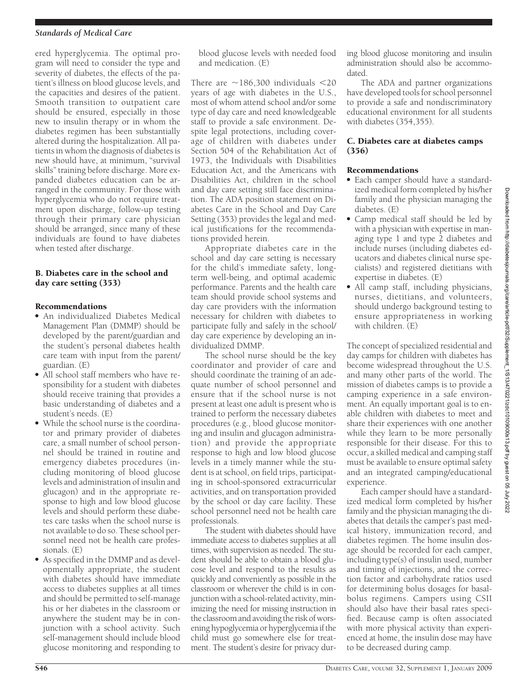ered hyperglycemia. The optimal program will need to consider the type and severity of diabetes, the effects of the patient's illness on blood glucose levels, and the capacities and desires of the patient. Smooth transition to outpatient care should be ensured, especially in those new to insulin therapy or in whom the diabetes regimen has been substantially altered during the hospitalization. All patients in whom the diagnosis of diabetes is new should have, at minimum, "survival skills" training before discharge. More expanded diabetes education can be arranged in the community. For those with hyperglycemia who do not require treatment upon discharge, follow-up testing through their primary care physician should be arranged, since many of these individuals are found to have diabetes when tested after discharge.

### B. Diabetes care in the school and day care setting (353)

### Recommendations

- An individualized Diabetes Medical Management Plan (DMMP) should be developed by the parent/guardian and the student's personal diabetes health care team with input from the parent/ guardian. (E)
- All school staff members who have responsibility for a student with diabetes should receive training that provides a basic understanding of diabetes and a student's needs. (E)
- While the school nurse is the coordinator and primary provider of diabetes care, a small number of school personnel should be trained in routine and emergency diabetes procedures (including monitoring of blood glucose levels and administration of insulin and glucagon) and in the appropriate response to high and low blood glucose levels and should perform these diabetes care tasks when the school nurse is not available to do so. These school personnel need not be health care professionals. (E)
- As specified in the DMMP and as developmentally appropriate, the student with diabetes should have immediate access to diabetes supplies at all times and should be permitted to self-manage his or her diabetes in the classroom or anywhere the student may be in conjunction with a school activity. Such self-management should include blood glucose monitoring and responding to

blood glucose levels with needed food and medication. (E)

There are  $\sim$ 186,300 individuals  $\lt$ 20 years of age with diabetes in the U.S., most of whom attend school and/or some type of day care and need knowledgeable staff to provide a safe environment. Despite legal protections, including coverage of children with diabetes under Section 504 of the Rehabilitation Act of 1973, the Individuals with Disabilities Education Act, and the Americans with Disabilities Act, children in the school and day care setting still face discrimination. The ADA position statement on Diabetes Care in the School and Day Care Setting (353) provides the legal and medical justifications for the recommendations provided herein.

Appropriate diabetes care in the school and day care setting is necessary for the child's immediate safety, longterm well-being, and optimal academic performance. Parents and the health care team should provide school systems and day care providers with the information necessary for children with diabetes to participate fully and safely in the school/ day care experience by developing an individualized DMMP.

The school nurse should be the key coordinator and provider of care and should coordinate the training of an adequate number of school personnel and ensure that if the school nurse is not present at least one adult is present who is trained to perform the necessary diabetes procedures (e.g., blood glucose monitoring and insulin and glucagon administration) and provide the appropriate response to high and low blood glucose levels in a timely manner while the student is at school, on field trips, participating in school-sponsored extracurricular activities, and on transportation provided by the school or day care facility. These school personnel need not be health care professionals.

The student with diabetes should have immediate access to diabetes supplies at all times, with supervision as needed. The student should be able to obtain a blood glucose level and respond to the results as quickly and conveniently as possible in the classroom or wherever the child is in conjunction with a school-related activity, minimizing the need for missing instruction in the classroom and avoiding the risk of worsening hypoglycemia or hyperglycemia if the child must go somewhere else for treatment. The student's desire for privacy during blood glucose monitoring and insulin administration should also be accommodated.

The ADA and partner organizations have developed tools for school personnel to provide a safe and nondiscriminatory educational environment for all students with diabetes (354,355).

### C. Diabetes care at diabetes camps (356)

### Recommendations

- Each camper should have a standardized medical form completed by his/her family and the physician managing the diabetes. (E)
- Camp medical staff should be led by with a physician with expertise in managing type 1 and type 2 diabetes and include nurses (including diabetes educators and diabetes clinical nurse specialists) and registered dietitians with expertise in diabetes. (E)
- All camp staff, including physicians, nurses, dietitians, and volunteers, should undergo background testing to ensure appropriateness in working with children. (E)

The concept of specialized residential and day camps for children with diabetes has become widespread throughout the U.S. and many other parts of the world. The mission of diabetes camps is to provide a camping experience in a safe environment. An equally important goal is to enable children with diabetes to meet and share their experiences with one another while they learn to be more personally responsible for their disease. For this to occur, a skilled medical and camping staff must be available to ensure optimal safety and an integrated camping/educational experience.

Each camper should have a standardized medical form completed by his/her family and the physician managing the diabetes that details the camper's past medical history, immunization record, and diabetes regimen. The home insulin dosage should be recorded for each camper, including type(s) of insulin used, number and timing of injections, and the correction factor and carbohydrate ratios used for determining bolus dosages for basalbolus regimens. Campers using CSII should also have their basal rates specified. Because camp is often associated with more physical activity than experienced at home, the insulin dose may have to be decreased during camp.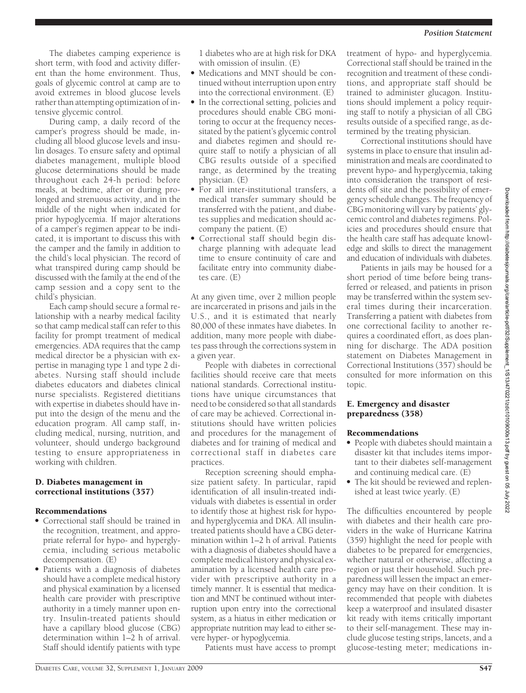The diabetes camping experience is short term, with food and activity different than the home environment. Thus, goals of glycemic control at camp are to avoid extremes in blood glucose levels rather than attempting optimization of intensive glycemic control.

During camp, a daily record of the camper's progress should be made, including all blood glucose levels and insulin dosages. To ensure safety and optimal diabetes management, multiple blood glucose determinations should be made throughout each 24-h period: before meals, at bedtime, after or during prolonged and strenuous activity, and in the middle of the night when indicated for prior hypoglycemia. If major alterations of a camper's regimen appear to be indicated, it is important to discuss this with the camper and the family in addition to the child's local physician. The record of what transpired during camp should be discussed with the family at the end of the camp session and a copy sent to the child's physician.

Each camp should secure a formal relationship with a nearby medical facility so that camp medical staff can refer to this facility for prompt treatment of medical emergencies. ADA requires that the camp medical director be a physician with expertise in managing type 1 and type 2 diabetes. Nursing staff should include diabetes educators and diabetes clinical nurse specialists. Registered dietitians with expertise in diabetes should have input into the design of the menu and the education program. All camp staff, including medical, nursing, nutrition, and volunteer, should undergo background testing to ensure appropriateness in working with children.

### D. Diabetes management in correctional institutions (357)

# Recommendations

- Correctional staff should be trained in the recognition, treatment, and appropriate referral for hypo- and hyperglycemia, including serious metabolic decompensation. (E)
- Patients with a diagnosis of diabetes should have a complete medical history and physical examination by a licensed health care provider with prescriptive authority in a timely manner upon entry. Insulin-treated patients should have a capillary blood glucose (CBG) determination within 1–2 h of arrival. Staff should identify patients with type

1 diabetes who are at high risk for DKA with omission of insulin. (E)

- Medications and MNT should be continued without interruption upon entry into the correctional environment. (E)
- In the correctional setting, policies and procedures should enable CBG monitoring to occur at the frequency necessitated by the patient's glycemic control and diabetes regimen and should require staff to notify a physician of all CBG results outside of a specified range, as determined by the treating physician. (E)
- For all inter-institutional transfers, a medical transfer summary should be transferred with the patient, and diabetes supplies and medication should accompany the patient. (E)
- Correctional staff should begin discharge planning with adequate lead time to ensure continuity of care and facilitate entry into community diabetes care. (E)

At any given time, over 2 million people are incarcerated in prisons and jails in the U.S., and it is estimated that nearly 80,000 of these inmates have diabetes. In addition, many more people with diabetes pass through the corrections system in a given year.

People with diabetes in correctional facilities should receive care that meets national standards. Correctional institutions have unique circumstances that need to be considered so that all standards of care may be achieved. Correctional institutions should have written policies and procedures for the management of diabetes and for training of medical and correctional staff in diabetes care practices.

Reception screening should emphasize patient safety. In particular, rapid identification of all insulin-treated individuals with diabetes is essential in order to identify those at highest risk for hypoand hyperglycemia and DKA. All insulintreated patients should have a CBG determination within 1–2 h of arrival. Patients with a diagnosis of diabetes should have a complete medical history and physical examination by a licensed health care provider with prescriptive authority in a timely manner. It is essential that medication and MNT be continued without interruption upon entry into the correctional system, as a hiatus in either medication or appropriate nutrition may lead to either severe hyper- or hypoglycemia.

Patients must have access to prompt

treatment of hypo- and hyperglycemia. Correctional staff should be trained in the recognition and treatment of these conditions, and appropriate staff should be trained to administer glucagon. Institutions should implement a policy requiring staff to notify a physician of all CBG results outside of a specified range, as determined by the treating physician.

Correctional institutions should have systems in place to ensure that insulin administration and meals are coordinated to prevent hypo- and hyperglycemia, taking into consideration the transport of residents off site and the possibility of emergency schedule changes. The frequency of CBG monitoring will vary by patients' glycemic control and diabetes regimens. Policies and procedures should ensure that the health care staff has adequate knowledge and skills to direct the management and education of individuals with diabetes.

Patients in jails may be housed for a short period of time before being transferred or released, and patients in prison may be transferred within the system several times during their incarceration. Transferring a patient with diabetes from one correctional facility to another requires a coordinated effort, as does planning for discharge. The ADA position statement on Diabetes Management in Correctional Institutions (357) should be consulted for more information on this topic.

### E. Emergency and disaster preparedness (358)

# Recommendations

- People with diabetes should maintain a disaster kit that includes items important to their diabetes self-management and continuing medical care. (E)
- The kit should be reviewed and replenished at least twice yearly. (E)

The difficulties encountered by people with diabetes and their health care providers in the wake of Hurricane Katrina (359) highlight the need for people with diabetes to be prepared for emergencies, whether natural or otherwise, affecting a region or just their household. Such preparedness will lessen the impact an emergency may have on their condition. It is recommended that people with diabetes keep a waterproof and insulated disaster kit ready with items critically important to their self-management. These may include glucose testing strips, lancets, and a glucose-testing meter; medications in-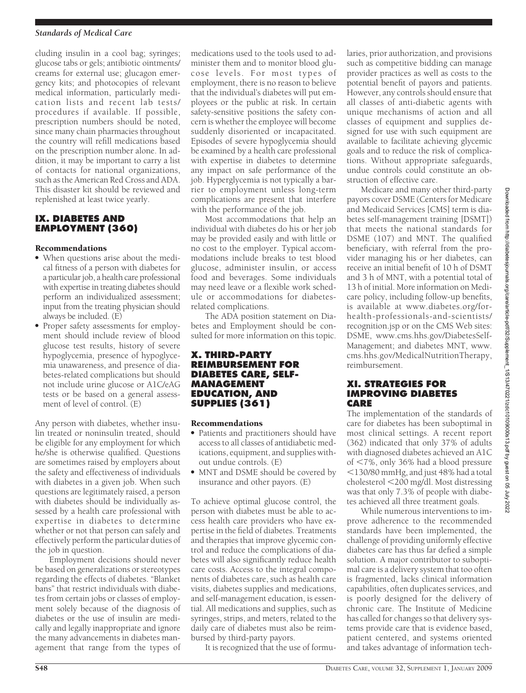cluding insulin in a cool bag; syringes; glucose tabs or gels; antibiotic ointments/ creams for external use; glucagon emergency kits; and photocopies of relevant medical information, particularly medication lists and recent lab tests/ procedures if available. If possible, prescription numbers should be noted, since many chain pharmacies throughout the country will refill medications based on the prescription number alone. In addition, it may be important to carry a list of contacts for national organizations, such as the American Red Cross and ADA. This disaster kit should be reviewed and replenished at least twice yearly.

# **IX. DIABETES AND EMPLOYMENT (360)**

### Recommendations

- When questions arise about the medical fitness of a person with diabetes for a particular job, a health care professional with expertise in treating diabetes should perform an individualized assessment; input from the treating physician should always be included. (E)
- Proper safety assessments for employment should include review of blood glucose test results, history of severe hypoglycemia, presence of hypoglycemia unawareness, and presence of diabetes-related complications but should not include urine glucose or A1C/eAG tests or be based on a general assessment of level of control. (E)

Any person with diabetes, whether insulin treated or noninsulin treated, should be eligible for any employment for which he/she is otherwise qualified. Questions are sometimes raised by employers about the safety and effectiveness of individuals with diabetes in a given job. When such questions are legitimately raised, a person with diabetes should be individually assessed by a health care professional with expertise in diabetes to determine whether or not that person can safely and effectively perform the particular duties of the job in question.

Employment decisions should never be based on generalizations or stereotypes regarding the effects of diabetes. "Blanket bans" that restrict individuals with diabetes from certain jobs or classes of employment solely because of the diagnosis of diabetes or the use of insulin are medically and legally inappropriate and ignore the many advancements in diabetes management that range from the types of

medications used to the tools used to administer them and to monitor blood glucose levels. For most types of employment, there is no reason to believe that the individual's diabetes will put employees or the public at risk. In certain safety-sensitive positions the safety concern is whether the employee will become suddenly disoriented or incapacitated. Episodes of severe hypoglycemia should be examined by a health care professional with expertise in diabetes to determine any impact on safe performance of the job. Hyperglycemia is not typically a barrier to employment unless long-term complications are present that interfere with the performance of the job.

Most accommodations that help an individual with diabetes do his or her job may be provided easily and with little or no cost to the employer. Typical accommodations include breaks to test blood glucose, administer insulin, or access food and beverages. Some individuals may need leave or a flexible work schedule or accommodations for diabetesrelated complications.

The ADA position statement on Diabetes and Employment should be consulted for more information on this topic.

#### **X. THIRD-PARTY REIMBURSEMENT FOR DIABETES CARE, SELF-MANAGEMENT EDUCATION, AND SUPPLIES (361)**

### Recommendations

- Patients and practitioners should have access to all classes of antidiabetic medications, equipment, and supplies without undue controls. (E)
- MNT and DSME should be covered by insurance and other payors. (E)

To achieve optimal glucose control, the person with diabetes must be able to access health care providers who have expertise in the field of diabetes. Treatments and therapies that improve glycemic control and reduce the complications of diabetes will also significantly reduce health care costs. Access to the integral components of diabetes care, such as health care visits, diabetes supplies and medications, and self-management education, is essential. All medications and supplies, such as syringes, strips, and meters, related to the daily care of diabetes must also be reimbursed by third-party payors.

It is recognized that the use of formu-

laries, prior authorization, and provisions such as competitive bidding can manage provider practices as well as costs to the potential benefit of payors and patients. However, any controls should ensure that all classes of anti-diabetic agents with unique mechanisms of action and all classes of equipment and supplies designed for use with such equipment are available to facilitate achieving glycemic goals and to reduce the risk of complications. Without appropriate safeguards, undue controls could constitute an obstruction of effective care.

Medicare and many other third-party payors cover DSME (Centers for Medicare and Medicaid Services [CMS] term is diabetes self-management training [DSMT]) that meets the national standards for DSME (107) and MNT. The qualified beneficiary, with referral from the provider managing his or her diabetes, can receive an initial benefit of 10 h of DSMT and 3 h of MNT, with a potential total of 13 h of initial. More information on Medicare policy, including follow-up benefits, is available at www.diabetes.org/forhealth-professionals-and-scientists/ recognition.jsp or on the CMS Web sites: DSME, www.cms.hhs.gov/DiabetesSelf-Management; and diabetes MNT, www. cms.hhs.gov/MedicalNutritionTherapy, reimbursement.

### **XI. STRATEGIES FOR IMPROVING DIABETES CARE**

The implementation of the standards of care for diabetes has been suboptimal in most clinical settings. A recent report (362) indicated that only 37% of adults with diagnosed diabetes achieved an A1C of  $\langle 7\%$ , only 36% had a blood pressure 130/80 mmHg, and just 48% had a total cholesterol 200 mg/dl. Most distressing was that only 7.3% of people with diabetes achieved all three treatment goals.

While numerous interventions to improve adherence to the recommended standards have been implemented, the challenge of providing uniformly effective diabetes care has thus far defied a simple solution. A major contributor to suboptimal care is a delivery system that too often is fragmented, lacks clinical information capabilities, often duplicates services, and is poorly designed for the delivery of chronic care. The Institute of Medicine has called for changes so that delivery systems provide care that is evidence based, patient centered, and systems oriented and takes advantage of information tech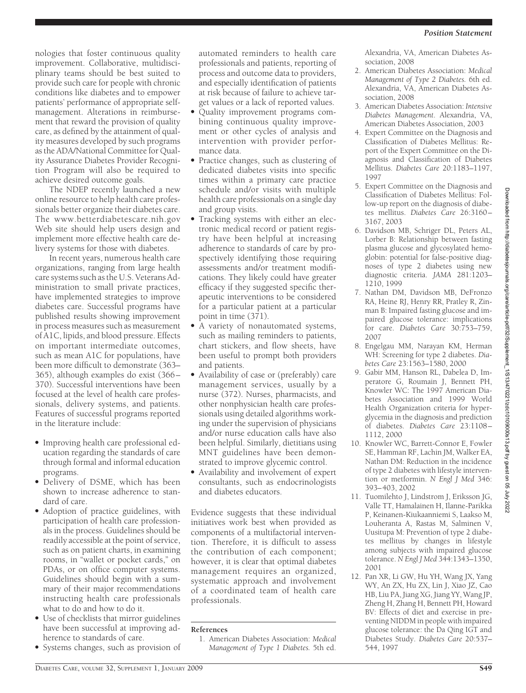nologies that foster continuous quality improvement. Collaborative, multidisciplinary teams should be best suited to provide such care for people with chronic conditions like diabetes and to empower patients' performance of appropriate selfmanagement. Alterations in reimbursement that reward the provision of quality care, as defined by the attainment of quality measures developed by such programs as the ADA/National Committee for Quality Assurance Diabetes Provider Recognition Program will also be required to achieve desired outcome goals.

The NDEP recently launched a new online resource to help health care professionals better organize their diabetes care. The www.betterdiabetescare.nih.gov Web site should help users design and implement more effective health care delivery systems for those with diabetes.

In recent years, numerous health care organizations, ranging from large health care systems such as the U.S. Veterans Administration to small private practices, have implemented strategies to improve diabetes care. Successful programs have published results showing improvement in process measures such as measurement of A1C, lipids, and blood pressure. Effects on important intermediate outcomes, such as mean A1C for populations, have been more difficult to demonstrate (363– 365), although examples do exist (366 – 370). Successful interventions have been focused at the level of health care professionals, delivery systems, and patients. Features of successful programs reported in the literature include:

- Improving health care professional education regarding the standards of care through formal and informal education programs.
- Delivery of DSME, which has been shown to increase adherence to standard of care.
- Adoption of practice guidelines, with participation of health care professionals in the process. Guidelines should be readily accessible at the point of service, such as on patient charts, in examining rooms, in "wallet or pocket cards," on PDAs, or on office computer systems. Guidelines should begin with a summary of their major recommendations instructing health care professionals what to do and how to do it.
- Use of checklists that mirror guidelines have been successful at improving adherence to standards of care.
- Systems changes, such as provision of

automated reminders to health care professionals and patients, reporting of process and outcome data to providers, and especially identification of patients at risk because of failure to achieve target values or a lack of reported values.

- Quality improvement programs combining continuous quality improvement or other cycles of analysis and intervention with provider performance data.
- Practice changes, such as clustering of dedicated diabetes visits into specific times within a primary care practice schedule and/or visits with multiple health care professionals on a single day and group visits.
- Tracking systems with either an electronic medical record or patient registry have been helpful at increasing adherence to standards of care by prospectively identifying those requiring assessments and/or treatment modifications. They likely could have greater efficacy if they suggested specific therapeutic interventions to be considered for a particular patient at a particular point in time (371).
- A variety of nonautomated systems, such as mailing reminders to patients, chart stickers, and flow sheets, have been useful to prompt both providers and patients.
- Availability of case or (preferably) care management services, usually by a nurse (372). Nurses, pharmacists, and other nonphysician health care professionals using detailed algorithms working under the supervision of physicians and/or nurse education calls have also been helpful. Similarly, dietitians using MNT guidelines have been demonstrated to improve glycemic control.
- Availability and involvement of expert consultants, such as endocrinologists and diabetes educators.

Evidence suggests that these individual initiatives work best when provided as components of a multifactorial intervention. Therefore, it is difficult to assess the contribution of each component; however, it is clear that optimal diabetes management requires an organized, systematic approach and involvement of a coordinated team of health care professionals.

# **References**

1. American Diabetes Association: *Medical Management of Type 1 Diabetes.* 5th ed.

Alexandria, VA, American Diabetes Association, 2008

- 2. American Diabetes Association: *Medical Management of Type 2 Diabetes.* 6th ed. Alexandria, VA, American Diabetes Association, 2008
- 3. American Diabetes Association: *Intensive Diabetes Management*. Alexandria, VA, American Diabetes Association, 2003
- 4. Expert Committee on the Diagnosis and Classification of Diabetes Mellitus: Report of the Expert Committee on the Diagnosis and Classification of Diabetes Mellitus. *Diabetes Care* 20:1183–1197, 1997
- 5. Expert Committee on the Diagnosis and Classification of Diabetes Mellitus: Follow-up report on the diagnosis of diabetes mellitus. *Diabetes Care* 26:3160 – 3167, 2003
- 6. Davidson MB, Schriger DL, Peters AL, Lorber B: Relationship between fasting plasma glucose and glycosylated hemoglobin: potential for false-positive diagnoses of type 2 diabetes using new diagnostic criteria. *JAMA* 281:1203– 1210, 1999
- 7. Nathan DM, Davidson MB, DeFronzo RA, Heine RJ, Henry RR, Pratley R, Zinman B: Impaired fasting glucose and impaired glucose tolerance: implications for care. *Diabetes Care* 30:753–759, 2007
- 8. Engelgau MM, Narayan KM, Herman WH: Screening for type 2 diabetes. *Diabetes Care* 23:1563–1580, 2000
- 9. Gabir MM, Hanson RL, Dabelea D, Imperatore G, Roumain J, Bennett PH, Knowler WC: The 1997 American Diabetes Association and 1999 World Health Organization criteria for hyperglycemia in the diagnosis and prediction of diabetes. *Diabetes Care* 23:1108 – 1112, 2000
- 10. Knowler WC, Barrett-Connor E, Fowler SE, Hamman RF, Lachin JM, Walker EA, Nathan DM: Reduction in the incidence of type 2 diabetes with lifestyle intervention or metformin. *N Engl J Med* 346: 393– 403, 2002
- 11. Tuomilehto J, Lindstrom J, Eriksson JG, Valle TT, Hamalainen H, Ilanne-Parikka P, Keinanen-Kiukaanniemi S, Laakso M, Louheranta A, Rastas M, Salminen V, Uusitupa M: Prevention of type 2 diabetes mellitus by changes in lifestyle among subjects with impaired glucose tolerance. *N Engl J Med* 344:1343–1350, 2001
- 12. Pan XR, Li GW, Hu YH, Wang JX, Yang WY, An ZX, Hu ZX, Lin J, Xiao JZ, Cao HB, Liu PA, Jiang XG, Jiang YY, Wang JP, Zheng H, Zhang H, Bennett PH, Howard BV: Effects of diet and exercise in preventing NIDDM in people with impaired glucose tolerance: the Da Qing IGT and Diabetes Study. *Diabetes Care* 20:537– 544, 1997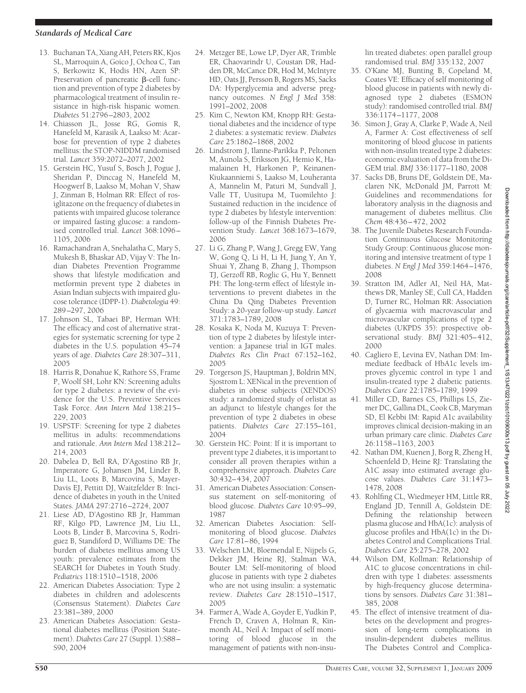- 13. Buchanan TA, Xiang AH, Peters RK, Kjos SL, Marroquin A, Goico J, Ochoa C, Tan S, Berkowitz K, Hodis HN, Azen SP: Preservation of pancreatic  $\beta$ -cell function and prevention of type 2 diabetes by pharmacological treatment of insulin resistance in high-risk hispanic women. *Diabetes* 51:2796 –2803, 2002
- 14. Chiasson JL, Josse RG, Gomis R, Hanefeld M, Karasik A, Laakso M: Acarbose for prevention of type 2 diabetes mellitus: the STOP-NIDDM randomised trial. *Lancet* 359:2072–2077, 2002
- 15. Gerstein HC, Yusuf S, Bosch J, Pogue J, Sheridan P, Dinccag N, Hanefeld M, Hoogwerf B, Laakso M, Mohan V, Shaw J, Zinman B, Holman RR: Effect of rosiglitazone on the frequency of diabetes in patients with impaired glucose tolerance or impaired fasting glucose: a randomised controlled trial. *Lancet* 368:1096 – 1105, 2006
- 16. Ramachandran A, Snehalatha C, Mary S, Mukesh B, Bhaskar AD, Vijay V: The Indian Diabetes Prevention Programme shows that lifestyle modification and metformin prevent type 2 diabetes in Asian Indian subjects with impaired glucose tolerance (IDPP-1). *Diabetologia* 49: 289 –297, 2006
- 17. Johnson SL, Tabaei BP, Herman WH: The efficacy and cost of alternative strategies for systematic screening for type 2 diabetes in the U.S. population 45–74 years of age. *Diabetes Care* 28:307–311, 2005
- 18. Harris R, Donahue K, Rathore SS, Frame P, Woolf SH, Lohr KN: Screening adults for type 2 diabetes: a review of the evidence for the U.S. Preventive Services Task Force. *Ann Intern Med* 138:215– 229, 2003
- 19. USPSTF: Screening for type 2 diabetes mellitus in adults: recommendations and rationale. *Ann Intern Med* 138:212– 214, 2003
- 20. Dabelea D, Bell RA, D'Agostino RB Jr, Imperatore G, Johansen JM, Linder B, Liu LL, Loots B, Marcovina S, Mayer-Davis EJ, Pettitt DJ, Waitzfelder B: Incidence of diabetes in youth in the United States. *JAMA* 297:2716 –2724, 2007
- 21. Liese AD, D'Agostino RB Jr, Hamman RF, Kilgo PD, Lawrence JM, Liu LL, Loots B, Linder B, Marcovina S, Rodriguez B, Standiford D, Williams DE: The burden of diabetes mellitus among US youth: prevalence estimates from the SEARCH for Diabetes in Youth Study. *Pediatrics* 118:1510 –1518, 2006
- 22. American Diabetes Association: Type 2 diabetes in children and adolescents (Consensus Statement). *Diabetes Care* 23:381–389, 2000
- 23. American Diabetes Association: Gestational diabetes mellitus (Position Statement). *Diabetes Care* 27 (Suppl. 1):S88 – S90, 2004
- 24. Metzger BE, Lowe LP, Dyer AR, Trimble ER, Chaovarindr U, Coustan DR, Hadden DR, McCance DR, Hod M, McIntyre HD, Oats JJ, Persson B, Rogers MS, Sacks DA: Hyperglycemia and adverse pregnancy outcomes. *N Engl J Med* 358: 1991–2002, 2008
- 25. Kim C, Newton KM, Knopp RH: Gestational diabetes and the incidence of type 2 diabetes: a systematic review. *Diabetes Care* 25:1862–1868, 2002
- 26. Lindstrom J, Ilanne-Parikka P, Peltonen M, Aunola S, Eriksson JG, Hemio K, Hamalainen H, Harkonen P, Keinanen-Kiukaanniemi S, Laakso M, Louheranta A, Mannelin M, Paturi M, Sundvall J, Valle TT, Uusitupa M, Tuomilehto J: Sustained reduction in the incidence of type 2 diabetes by lifestyle intervention: follow-up of the Finnish Diabetes Prevention Study. *Lancet* 368:1673–1679, 2006
- 27. Li G, Zhang P, Wang J, Gregg EW, Yang W, Gong Q, Li H, Li H, Jiang Y, An Y, Shuai Y, Zhang B, Zhang J, Thompson TJ, Gerzoff RB, Roglic G, Hu Y, Bennett PH: The long-term effect of lifestyle interventions to prevent diabetes in the China Da Qing Diabetes Prevention Study: a 20-year follow-up study. *Lancet* 371:1783–1789, 2008
- 28. Kosaka K, Noda M, Kuzuya T: Prevention of type 2 diabetes by lifestyle intervention: a Japanese trial in IGT males. *Diabetes Res Clin Pract* 67:152–162, 2005
- 29. Torgerson JS, Hauptman J, Boldrin MN, Sjostrom L: XENical in the prevention of diabetes in obese subjects (XENDOS) study: a randomized study of orlistat as an adjunct to lifestyle changes for the prevention of type 2 diabetes in obese patients. *Diabetes Care* 27:155–161, 2004
- 30. Gerstein HC: Point: If it is important to prevent type 2 diabetes, it is important to consider all proven therapies within a comprehensive approach. *Diabetes Care* 30:432– 434, 2007
- 31. American Diabetes Association: Consensus statement on self-monitoring of blood glucose. *Diabetes Care* 10:95–99, 1987
- 32. American Diabetes Asociation: Selfmonitoring of blood glucose. *Diabetes Care* 17:81– 86, 1994
- 33. Welschen LM, Bloemendal E, Nijpels G, Dekker JM, Heine RJ, Stalman WA, Bouter LM: Self-monitoring of blood glucose in patients with type 2 diabetes who are not using insulin: a systematic review. *Diabetes Care* 28:1510 –1517, 2005
- 34. Farmer A, Wade A, Goyder E, Yudkin P, French D, Craven A, Holman R, Kinmonth AL, Neil A: Impact of self monitoring of blood glucose in the management of patients with non-insu-

lin treated diabetes: open parallel group randomised trial. *BMJ* 335:132, 2007

- 35. O'Kane MJ, Bunting B, Copeland M, Coates VE: Efficacy of self monitoring of blood glucose in patients with newly diagnosed type 2 diabetes (ESMON study): randomised controlled trial. *BMJ* 336:1174 –1177, 2008
- 36. Simon J, Gray A, Clarke P, Wade A, Neil A, Farmer A: Cost effectiveness of self monitoring of blood glucose in patients with non-insulin treated type 2 diabetes: economic evaluation of data from the Di-GEM trial. *BMJ* 336:1177–1180, 2008
- 37. Sacks DB, Bruns DE, Goldstein DE, Maclaren NK, McDonald JM, Parrott M: Guidelines and recommendations for laboratory analysis in the diagnosis and management of diabetes mellitus. *Clin Chem* 48:436 – 472, 2002
- 38. The Juvenile Diabetes Research Foundation Continuous Glucose Monitoring Study Group: Continuous glucose monitoring and intensive treatment of type 1 diabetes. *N Engl J Med* 359:1464 –1476, 2008
- 39. Stratton IM, Adler AI, Neil HA, Matthews DR, Manley SE, Cull CA, Hadden D, Turner RC, Holman RR: Association of glycaemia with macrovascular and microvascular complications of type 2 diabetes (UKPDS 35): prospective observational study. *BMJ* 321:405– 412, 2000
- 40. Cagliero E, Levina EV, Nathan DM: Immediate feedback of HbA1c levels improves glycemic control in type 1 and insulin-treated type 2 diabetic patients. *Diabetes Care* 22:1785–1789, 1999
- 41. Miller CD, Barnes CS, Phillips LS, Ziemer DC, Gallina DL, Cook CB, Maryman SD, El Kebbi IM: Rapid A1c availability improves clinical decision-making in an urban primary care clinic. *Diabetes Care* 26:1158 –1163, 2003
- 42. Nathan DM, Kuenen J, Borg R, Zheng H, Schoenfeld D, Heine RJ: Translating the A1C assay into estimated average glucose values. *Diabetes Care* 31:1473– 1478, 2008
- 43. Rohlfing CL, Wiedmeyer HM, Little RR, England JD, Tennill A, Goldstein DE: Defining the relationship between plasma glucose and HbA(1c): analysis of glucose profiles and HbA(1c) in the Diabetes Control and Complications Trial. *Diabetes Care* 25:275–278, 2002
- 44. Wilson DM, Kollman: Relationship of A1C to glucose concentrations in children with type 1 diabetes: assessments by high-frequency glucose determinations by sensors. *Diabetes Care* 31:381– 385, 2008
- 45. The effect of intensive treatment of diabetes on the development and progression of long-term complications in insulin-dependent diabetes mellitus. The Diabetes Control and Complica-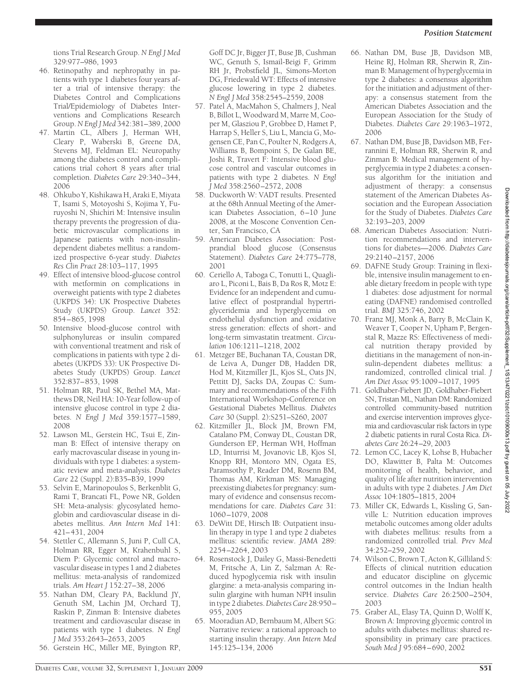tions Trial Research Group. *N Engl J Med* 329:977–986, 1993

- 46. Retinopathy and nephropathy in patients with type 1 diabetes four years after a trial of intensive therapy: the Diabetes Control and Complications Trial/Epidemiology of Diabetes Interventions and Complications Research Group.*N Engl J Med* 342:381–389, 2000
- 47. Martin CL, Albers J, Herman WH, Cleary P, Waberski B, Greene DA, Stevens MJ, Feldman EL: Neuropathy among the diabetes control and complications trial cohort 8 years after trial completion. *Diabetes Care* 29:340 –344, 2006
- 48. Ohkubo Y, Kishikawa H, Araki E, Miyata T, Isami S, Motoyoshi S, Kojima Y, Furuyoshi N, Shichiri M: Intensive insulin therapy prevents the progression of diabetic microvascular complications in Japanese patients with non-insulindependent diabetes mellitus: a randomized prospective 6-year study. *Diabetes Res Clin Pract* 28:103–117, 1995
- 49. Effect of intensive blood-glucose control with metformin on complications in overweight patients with type 2 diabetes (UKPDS 34): UK Prospective Diabetes Study (UKPDS) Group. *Lancet* 352: 854 – 865, 1998
- 50. Intensive blood-glucose control with sulphonylureas or insulin compared with conventional treatment and risk of complications in patients with type 2 diabetes (UKPDS 33): UK Prospective Diabetes Study (UKPDS) Group. *Lancet* 352:837– 853, 1998
- 51. Holman RR, Paul SK, Bethel MA, Matthews DR, Neil HA: 10-Year follow-up of intensive glucose control in type 2 diabetes. *N Engl J Med* 359:1577–1589, 2008
- 52. Lawson ML, Gerstein HC, Tsui E, Zinman B: Effect of intensive therapy on early macrovascular disease in young individuals with type 1 diabetes: a systematic review and meta-analysis. *Diabetes Care* 22 (Suppl. 2):B35–B39, 1999
- 53. Selvin E, Marinopoulos S, Berkenblit G, Rami T, Brancati FL, Powe NR, Golden SH: Meta-analysis: glycosylated hemoglobin and cardiovascular disease in diabetes mellitus. *Ann Intern Med* 141: 421– 431, 2004
- 54. Stettler C, Allemann S, Juni P, Cull CA, Holman RR, Egger M, Krahenbuhl S, Diem P: Glycemic control and macrovascular disease in types 1 and 2 diabetes mellitus: meta-analysis of randomized trials. *Am Heart J* 152:27–38, 2006
- 55. Nathan DM, Cleary PA, Backlund JY, Genuth SM, Lachin JM, Orchard TJ, Raskin P, Zinman B: Intensive diabetes treatment and cardiovascular disease in patients with type 1 diabetes. *N Engl J Med* 353:2643–2653, 2005
- 56. Gerstein HC, Miller ME, Byington RP,

Goff DC Jr, Bigger JT, Buse JB, Cushman WC, Genuth S, Ismail-Beigi F, Grimm RH Jr, Probstfield JL, Simons-Morton DG, Friedewald WT: Effects of intensive glucose lowering in type 2 diabetes. *N Engl J Med* 358:2545–2559, 2008

- 57. Patel A, MacMahon S, Chalmers J, Neal B, Billot L, Woodward M, Marre M, Cooper M, Glasziou P, Grobbee D, Hamet P, Harrap S, Heller S, Liu L, Mancia G, Mogensen CE, Pan C, Poulter N, Rodgers A, Williams B, Bompoint S, De Galan BE, Joshi R, Travert F: Intensive blood glucose control and vascular outcomes in patients with type 2 diabetes. *N Engl J Med* 358:2560 –2572, 2008
- 58. Duckworth W: VADT results. Presented at the 68th Annual Meeting of the American Diabetes Association, 6 –10 June 2008, at the Moscone Convention Center, San Francisco, CA
- 59. American Diabetes Association: Postprandial blood glucose (Consensus Statement). *Diabetes Care* 24:775–778, 2001
- 60. Ceriello A, Taboga C, Tonutti L, Quagliaro L, Piconi L, Bais B, Da Ros R, Motz E: Evidence for an independent and cumulative effect of postprandial hypertriglyceridemia and hyperglycemia on endothelial dysfunction and oxidative stress generation: effects of short- and long-term simvastatin treatment. *Circulation* 106:1211–1218, 2002
- 61. Metzger BE, Buchanan TA, Coustan DR, de Leiva A, Dunger DB, Hadden DR, Hod M, Kitzmiller JL, Kjos SL, Oats JN, Pettitt DJ, Sacks DA, Zoupas C: Summary and recommendations of the Fifth International Workshop-Conference on Gestational Diabetes Mellitus. *Diabetes Care* 30 (Suppl. 2):S251–S260, 2007
- 62. Kitzmiller JL, Block JM, Brown FM, Catalano PM, Conway DL, Coustan DR, Gunderson EP, Herman WH, Hoffman LD, Inturrisi M, Jovanovic LB, Kjos SI, Knopp RH, Montoro MN, Ogata ES, Paramsothy P, Reader DM, Rosenn BM, Thomas AM, Kirkman MS: Managing preexisting diabetes for pregnancy: summary of evidence and consensus recommendations for care. *Diabetes Care* 31: 1060 –1079, 2008
- 63. DeWitt DE, Hirsch IB: Outpatient insulin therapy in type 1 and type 2 diabetes mellitus: scientific review. *JAMA* 289: 2254 –2264, 2003
- 64. Rosenstock J, Dailey G, Massi-Benedetti M, Fritsche A, Lin Z, Salzman A: Reduced hypoglycemia risk with insulin glargine: a meta-analysis comparing insulin glargine with human NPH insulin intype 2 diabetes.*Diabetes Care* 28:950 – 955, 2005
- 65. Mooradian AD, Bernbaum M, Albert SG: Narrative review: a rational approach to starting insulin therapy. *Ann Intern Med* 145:125–134, 2006
- 66. Nathan DM, Buse JB, Davidson MB, Heine RJ, Holman RR, Sherwin R, Zinman B: Management of hyperglycemia in type 2 diabetes: a consensus algorithm for the initiation and adjustment of therapy: a consensus statement from the American Diabetes Association and the European Association for the Study of Diabetes. *Diabetes Care* 29:1963–1972, 2006
- 67. Nathan DM, Buse JB, Davidson MB, Ferrannini E, Holman RR, Sherwin R, and Zinman B: Medical management of hyperglycemia in type 2 diabetes: a consensus algorithm for the initiation and adjustment of therapy: a consensus statement of the American Diabetes Association and the European Association for the Study of Diabetes. *Diabetes Care* 32:193–203, 2009
- 68. American Diabetes Association: Nutrition recommendations and interventions for diabetes—2006. *Diabetes Care* 29:2140 –2157, 2006
- 69. DAFNE Study Group: Training in flexible, intensive insulin management to enable dietary freedom in people with type 1 diabetes: dose adjustment for normal eating (DAFNE) randomised controlled trial. *BMJ* 325:746, 2002
- 70. Franz MJ, Monk A, Barry B, McClain K, Weaver T, Cooper N, Upham P, Bergenstal R, Mazze RS: Effectiveness of medical nutrition therapy provided by dietitians in the management of non-insulin-dependent diabetes mellitus: a randomized, controlled clinical trial. *J Am Diet Assoc* 95:1009 –1017, 1995
- 71. Goldhaber-Fiebert JD, Goldhaber-Fiebert SN, Tristan ML, Nathan DM: Randomized controlled community-based nutrition and exercise intervention improves glycemia and cardiovascular risk factors in type 2 diabetic patients in rural Costa Rica. *Diabetes Care* 26:24 –29, 2003
- 72. Lemon CC, Lacey K, Lohse B, Hubacher DO, Klawitter B, Palta M: Outcomes monitoring of health, behavior, and quality of life after nutrition intervention in adults with type 2 diabetes. *J Am Diet Assoc* 104:1805–1815, 2004
- 73. Miller CK, Edwards L, Kissling G, Sanville L: Nutrition education improves metabolic outcomes among older adults with diabetes mellitus: results from a randomized controlled trial. *Prev Med* 34:252–259, 2002
- 74. Wilson C, Brown T, Acton K, Gilliland S: Effects of clinical nutrition education and educator discipline on glycemic control outcomes in the Indian health service. *Diabetes Care* 26:2500 –2504, 2003
- 75. Graber AL, Elasy TA, Quinn D, Wolff K, Brown A: Improving glycemic control in adults with diabetes mellitus: shared responsibility in primary care practices. *South Med J* 95:684 – 690, 2002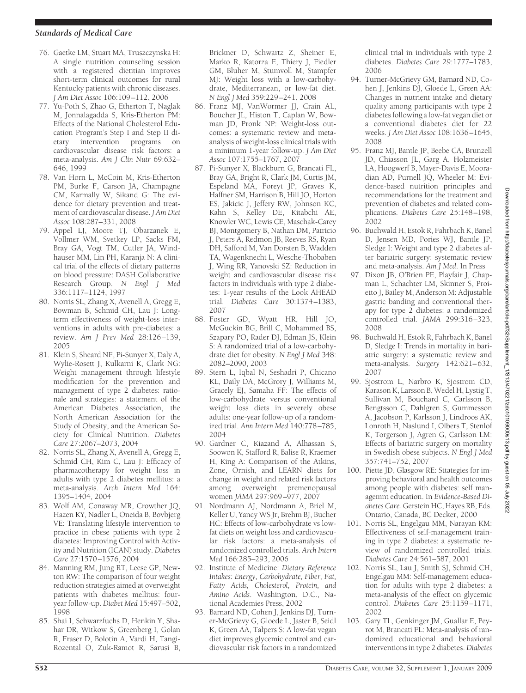- 76. Gaetke LM, Stuart MA, Truszczynska H: A single nutrition counseling session with a registered dietitian improves short-term clinical outcomes for rural Kentucky patients with chronic diseases. *J Am Diet Assoc* 106:109 –112, 2006
- 77. Yu-Poth S, Zhao G, Etherton T, Naglak M, Jonnalagadda S, Kris-Etherton PM: Effects of the National Cholesterol Education Program's Step I and Step II dietary intervention programs on cardiovascular disease risk factors: a meta-analysis. *Am J Clin Nutr* 69:632– 646, 1999
- 78. Van Horn L, McCoin M, Kris-Etherton PM, Burke F, Carson JA, Champagne CM, Karmally W, Sikand G: The evidence for dietary prevention and treatment of cardiovascular disease. *J Am Diet Assoc* 108:287–331, 2008
- 79. Appel LJ, Moore TJ, Obarzanek E, Vollmer WM, Svetkey LP, Sacks FM, Bray GA, Vogt TM, Cutler JA, Windhauser MM, Lin PH, Karanja N: A clinical trial of the effects of dietary patterns on blood pressure: DASH Collaborative Research Group. *N Engl J Med* 336:1117–1124, 1997
- 80. Norris SL, Zhang X, Avenell A, Gregg E, Bowman B, Schmid CH, Lau J: Longterm effectiveness of weight-loss interventions in adults with pre-diabetes: a review. *Am J Prev Med* 28:126 –139, 2005
- 81. Klein S, Sheard NF, Pi-Sunyer X, Daly A, Wylie-Rosett J, Kulkarni K, Clark NG: Weight management through lifestyle modification for the prevention and management of type 2 diabetes: rationale and strategies: a statement of the American Diabetes Association, the North American Association for the Study of Obesity, and the American Society for Clinical Nutrition. *Diabetes Care* 27:2067–2073, 2004
- 82. Norris SL, Zhang X, Avenell A, Gregg E, Schmid CH, Kim C, Lau J: Efficacy of pharmacotherapy for weight loss in adults with type 2 diabetes mellitus: a meta-analysis. *Arch Intern Med* 164: 1395–1404, 2004
- 83. Wolf AM, Conaway MR, Crowther JQ, Hazen KY, Nadler L, Oneida B, Bovbjerg VE: Translating lifestyle intervention to practice in obese patients with type 2 diabetes: Improving Control with Activity and Nutrition (ICAN) study. *Diabetes Care* 27:1570 –1576, 2004
- 84. Manning RM, Jung RT, Leese GP, Newton RW: The comparison of four weight reduction strategies aimed at overweight patients with diabetes mellitus: fouryear follow-up. *Diabet Med* 15:497–502, 1998
- 85. Shai I, Schwarzfuchs D, Henkin Y, Shahar DR, Witkow S, Greenberg I, Golan R, Fraser D, Bolotin A, Vardi H, Tangi-Rozental O, Zuk-Ramot R, Sarusi B,

Brickner D, Schwartz Z, Sheiner E, Marko R, Katorza E, Thiery J, Fiedler GM, Bluher M, Stumvoll M, Stampfer MJ: Weight loss with a low-carbohydrate, Mediterranean, or low-fat diet. *N Engl J Med* 359:229 –241, 2008

- 86. Franz MJ, VanWormer JJ, Crain AL, Boucher JL, Histon T, Caplan W, Bowman JD, Pronk NP: Weight-loss outcomes: a systematic review and metaanalysis of weight-loss clinical trials with a minimum 1-year follow-up. *J Am Diet Assoc* 107:1755–1767, 2007
- 87. Pi-Sunyer X, Blackburn G, Brancati FL, Bray GA, Bright R, Clark JM, Curtis JM, Espeland MA, Foreyt JP, Graves K, Haffner SM, Harrison B, Hill JO, Horton ES, Jakicic J, Jeffery RW, Johnson KC, Kahn S, Kelley DE, Kitabchi AE, Knowler WC, Lewis CE, Maschak-Carey BJ, Montgomery B, Nathan DM, Patricio J, Peters A, Redmon JB, Reeves RS, Ryan DH, Safford M, Van Dorsten B, Wadden TA, Wagenknecht L, Wesche-Thobaben J, Wing RR, Yanovski SZ: Reduction in weight and cardiovascular disease risk factors in individuals with type 2 diabetes: 1-year results of the Look AHEAD trial. *Diabetes Care* 30:1374 –1383, 2007
- 88. Foster GD, Wyatt HR, Hill JO, McGuckin BG, Brill C, Mohammed BS, Szapary PO, Rader DJ, Edman JS, Klein S: A randomized trial of a low-carbohydrate diet for obesity. *N Engl J Med* 348: 2082–2090, 2003
- 89. Stern L, Iqbal N, Seshadri P, Chicano KL, Daily DA, McGrory J, Williams M, Gracely EJ, Samaha FF: The effects of low-carbohydrate versus conventional weight loss diets in severely obese adults: one-year follow-up of a randomized trial. *Ann Intern Med* 140:778 –785, 2004
- 90. Gardner C, Kiazand A, Alhassan S, Soowon K, Stafford R, Balise R, Kraemer H, King A: Comparison of the Atkins, Zone, Ornish, and LEARN diets for change in weight and related risk factors among overweight premenopausal women *JAMA* 297:969 –977, 2007
- 91. Nordmann AJ, Nordmann A, Briel M, Keller U, Yancy WS Jr, Brehm BJ, Bucher HC: Effects of low-carbohydrate vs lowfat diets on weight loss and cardiovascular risk factors: a meta-analysis of randomized controlled trials. *Arch Intern Med* 166:285–293, 2006
- 92. Institute of Medicine: *Dietary Reference Intakes: Energy, Carbohydrate, Fiber, Fat, Fatty Acids, Cholesterol, Protein, and Amino Acids*. Washington, D.C., National Academies Press, 2002
- 93. Barnard ND, Cohen J, Jenkins DJ, Turner-McGrievy G, Gloede L, Jaster B, Seidl K, Green AA, Talpers S: A low-fat vegan diet improves glycemic control and cardiovascular risk factors in a randomized

clinical trial in individuals with type 2 diabetes. *Diabetes Care* 29:1777–1783, 2006

- 94. Turner-McGrievy GM, Barnard ND, Cohen J, Jenkins DJ, Gloede L, Green AA: Changes in nutrient intake and dietary quality among participants with type 2 diabetes following a low-fat vegan diet or a conventional diabetes diet for 22 weeks. *J Am Diet Assoc* 108:1636 –1645, 2008
- 95. Franz MJ, Bantle JP, Beebe CA, Brunzell JD, Chiasson JL, Garg A, Holzmeister LA, Hoogwerf B, Mayer-Davis E, Mooradian AD, Purnell JQ, Wheeler M: Evidence-based nutrition principles and recommendations for the treatment and prevention of diabetes and related complications. *Diabetes Care* 25:148 –198, 2002
- 96. Buchwald H, Estok R, Fahrbach K, Banel D, Jensen MD, Pories WJ, Bantle JP, Sledge I: Weight and type 2 diabetes after bariatric surgery: systematic review and meta-analysis. *Am J Med*. In Press
- 97. Dixon JB, O'Brien PE, Playfair J, Chapman L, Schachter LM, Skinner S, Proietto J, Bailey M, Anderson M: Adjustable gastric banding and conventional therapy for type 2 diabetes: a randomized controlled trial. *JAMA* 299:316 –323, 2008
- 98. Buchwald H, Estok R, Fahrbach K, Banel D, Sledge I: Trends in mortality in bariatric surgery: a systematic review and meta-analysis. *Surgery* 142:621-632, 2007
- 99. Sjostrom L, Narbro K, Sjostrom CD, Karason K, Larsson B, Wedel H, Lystig T, Sullivan M, Bouchard C, Carlsson B, Bengtsson C, Dahlgren S, Gummesson A, Jacobson P, Karlsson J, Lindroos AK, Lonroth H, Naslund I, Olbers T, Stenlof K, Torgerson J, Agren G, Carlsson LM: Effects of bariatric surgery on mortality in Swedish obese subjects. *N Engl J Med* 357:741–752, 2007
- 100. Piette JD, Glasgow RE: Sttategies for improving behavioral and health outcomes among people with diabetes: self managemnt education. In *Evidence-Based Diabetes Care.* Gerstein HC, Hayes RB, Eds. Ontario, Canada, BC Decker, 2000
- 101. Norris SL, Engelgau MM, Narayan KM: Effectiveness of self-management training in type 2 diabetes: a systematic review of randomized controlled trials. *Diabetes Care* 24:561–587, 2001
- 102. Norris SL, Lau J, Smith SJ, Schmid CH, Engelgau MM: Self-management education for adults with type 2 diabetes: a meta-analysis of the effect on glycemic control. *Diabetes Care* 25:1159 –1171, 2002
- 103. Gary TL, Genkinger JM, Guallar E, Peyrot M, Brancati FL: Meta-analysis of randomized educational and behavioral interventions in type 2 diabetes. *Diabetes*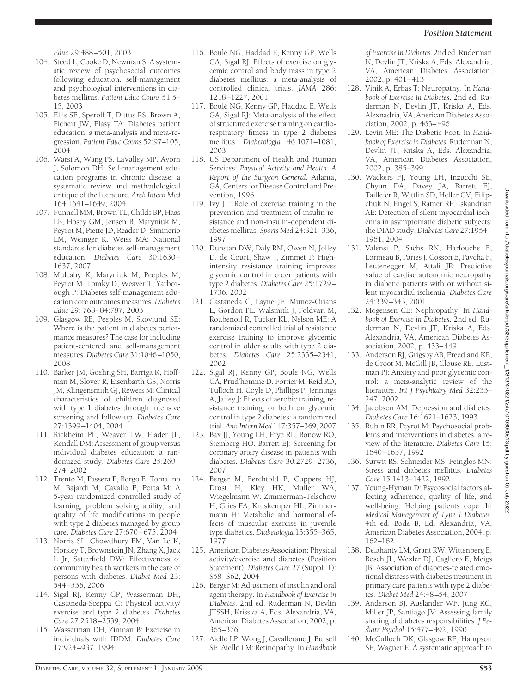*Educ* 29:488 –501, 2003

- 104. Steed L, Cooke D, Newman S: A systematic review of psychosocial outcomes following education, self-management and psychological interventions in diabetes mellitus. *Patient Educ Couns* 51:5– 15, 2003
- 105. Ellis SE, Speroff T, Dittus RS, Brown A, Pichert JW, Elasy TA: Diabetes patient education: a meta-analysis and meta-regression. *Patient Educ Couns* 52:97–105, 2004
- 106. Warsi A, Wang PS, LaValley MP, Avorn J, Solomon DH: Self-management education programs in chronic disease: a systematic review and methodological critique of the literature. *Arch Intern Med* 164:1641–1649, 2004
- 107. Funnell MM, Brown TL, Childs BP, Haas LB, Hosey GM, Jensen B, Maryniuk M, Peyrot M, Piette JD, Reader D, Siminerio LM, Weinger K, Weiss MA: National standards for diabetes self-management education. *Diabetes Care* 30:1630 – 1637, 2007
- 108. Mulcahy K, Maryniuk M, Peeples M, Peyrot M, Tomky D, Weaver T, Yarborough P: Diabetes self-management education core outcomes measures. *Diabetes Educ* 29: 768- 84:787, 2003
- 109. Glasgow RE, Peeples M, Skovlund SE: Where is the patient in diabetes performance measures? The case for including patient-centered and self-management measures. *Diabetes Care* 31:1046 –1050, 2008
- 110. Barker JM, Goehrig SH, Barriga K, Hoffman M, Slover R, Eisenbarth GS, Norris JM, Klingensmith GJ, Rewers M: Clinical characteristics of children diagnosed with type 1 diabetes through intensive screening and follow-up. *Diabetes Care* 27:1399 –1404, 2004
- 111. Rickheim PL, Weaver TW, Flader JL, Kendall DM: Assessment of group versus individual diabetes education: a randomized study. *Diabetes Care* 25:269 – 274, 2002
- 112. Trento M, Passera P, Borgo E, Tomalino M, Bajardi M, Cavallo F, Porta M: A 5-year randomized controlled study of learning, problem solving ability, and quality of life modifications in people with type 2 diabetes managed by group care. *Diabetes Care* 27:670 – 675, 2004
- 113. Norris SL, Chowdhury FM, Van Le K, Horsley T, Brownstein JN, Zhang X, Jack L Jr, Satterfield DW: Effectiveness of community health workers in the care of persons with diabetes. *Diabet Med* 23: 544 –556, 2006
- 114. Sigal RJ, Kenny GP, Wasserman DH, Castaneda-Sceppa C: Physical activity/ exercise and type 2 diabetes. *Diabetes Care* 27:2518 –2539, 2004
- 115. Wasserman DH, Zinman B: Exercise in individuals with IDDM. *Diabetes Care* 17:924 –937, 1994
- 116. Boulé NG, Haddad E, Kenny GP, Wells GA, Sigal RJ: Effects of exercise on glycemic control and body mass in type 2 diabetes mellitus: a meta-analysis of controlled clinical trials. *JAMA* 286: 1218 –1227, 2001
- 117. Boulé NG, Kenny GP, Haddad E, Wells GA, Sigal RJ: Meta-analysis of the effect of structured exercise training on cardiorespiratory fitness in type 2 diabetes mellitus. *Diabetologia* 46:1071–1081, 2003
- 118. US Department of Health and Human Services: *Physical Activity and Health: A Report of the Surgeon General*. Atlanta, GA, Centers for Disease Control and Prevention, 1996
- 119. Ivy JL: Role of exercise training in the prevention and treatment of insulin resistance and non-insulin-dependent diabetes mellitus. *Sports Med* 24:321–336, 1997
- 120. Dunstan DW, Daly RM, Owen N, Jolley D, de Court, Shaw J, Zimmet P: Highintensity resistance training improves glycemic control in older patients with type 2 diabetes. *Diabetes Care* 25:1729 – 1736, 2002
- 121. Castaneda C, Layne JE, Munoz-Orians L, Gordon PL, Walsmith J, Foldvari M, Roubenoff R, Tucker KL, Nelson ME: A randomized controlled trial of resistance exercise training to improve glycemic control in older adults with type 2 diabetes. *Diabetes Care* 25:2335–2341, 2002
- 122. Sigal RJ, Kenny GP, Boule NG, Wells GA, Prud'homme D, Fortier M, Reid RD, Tulloch H, Coyle D, Phillips P, Jennings A, Jaffey J: Effects of aerobic training, resistance training, or both on glycemic control in type 2 diabetes: a randomized trial. *Ann Intern Med* 147:357–369, 2007
- 123. Bax JJ, Young LH, Frye RL, Bonow RO, Steinberg HO, Barrett EJ: Screening for coronary artery disease in patients with diabetes. *Diabetes Care* 30:2729 –2736, 2007
- 124. Berger M, Berchtold P, Cuppers HJ, Drost H, Kley HK, Muller WA, Wiegelmann W, Zimmerman-Telschow H, Gries FA, Kruskemper HL, Zimmermann H: Metabolic and hormonal effects of muscular exercise in juvenile type diabetics. *Diabetologia* 13:355–365, 1977
- 125. American Diabetes Association: Physical activity/exercise and diabetes (Position Statement). *Diabetes Care* 27 (Suppl. 1): S58 –S62, 2004
- 126. Berger M: Adjustment of insulin and oral agent therapy. In *Handbook of Exercise in Diabetes*. 2nd ed. Ruderman N, Devlin JTSSH, Krisska A, Eds. Alexandria, VA, American Diabetes Association, 2002, p. 365–376
- 127. Aiello LP, Wong J, Cavallerano J, Bursell SE, Aiello LM: Retinopathy. In *Handbook*

*of Exercise in Diabetes.* 2nd ed. Ruderman N, Devlin JT, Kriska A, Eds. Alexandria, VA, American Diabetes Association, 2002, p. 401– 413

- 128. Vinik A, Erbas T: Neuropathy. In *Handbook of Exercise in Diabetes*. 2nd ed. Ruderman N, Devlin JT, Kriska A, Eds. Alexnadria, VA, Anerican Diabetes Association, 2002, p. 463– 496
- 129. Levin ME: The Diabetic Foot. In *Handbook of Exercise in Diabetes*. Ruderman N, Devlin JT, Kriska A, Eds. Alexandria, VA, American Diabetes Association, 2002, p. 385–399
- 130. Wackers FJ, Young LH, Inzucchi SE, Chyun DA, Davey JA, Barrett EJ, Taillefer R, Wittlin SD, Heller GV, Filipchuk N, Engel S, Ratner RE, Iskandrian AE: Detection of silent myocardial ischemia in asymptomatic diabetic subjects: the DIAD study.*Diabetes Care* 27:1954 – 1961, 2004
- 131. Valensi P, Sachs RN, Harfouche B, Lormeau B, Paries J, Cosson E, Paycha F, Leutenegger M, Attali JR: Predictive value of cardiac autonomic neuropathy in diabetic patients with or without silent myocardial ischemia. *Diabetes Care* 24:339 –343, 2001
- 132. Mogensen CE: Nephropathy. In *Handbook of Exercise in Diabetes*. 2nd ed. Ruderman N, Devlin JT, Kriska A, Eds. Alexandria, VA, American Diabetes Association, 2002, p. 433– 449
- 133. Anderson RJ, Grigsby AB, Freedland KE, de Groot M, McGill JB, Clouse RE, Lustman PJ: Anxiety and poor glycemic control: a meta-analytic review of the literature. *Int J Psychiatry Med* 32:235– 247, 2002
- 134. Jacobson AM: Depression and diabetes. *Diabetes Care* 16:1621–1623, 1993
- 135. Rubin RR, Peyrot M: Psychosocial problems and interventions in diabetes: a review of the literature. *Diabetes Care* 15: 1640 –1657, 1992
- 136. Surwit RS, Schneider MS, Feinglos MN: Stress and diabetes mellitus. *Diabetes Care* 15:1413–1422, 1992
- 137. Young-Hyman D: Psycosocial factors affecting adherence, quality of life, and well-being: Helping patients cope. In *Medical Management of Type 1 Diabetes*. 4th ed. Bode B, Ed. Alexandria, VA, American Diabetes Association, 2004, p. 162–182
- 138. Delahanty LM, Grant RW, Wittenberg E, Bosch JL, Wexler DJ, Cagliero E, Meigs JB: Association of diabetes-related emotional distress with diabetes treatment in primary care patients with type 2 diabetes. *Diabet Med* 24:48 –54, 2007
- 139. Anderson BJ, Auslander WF, Jung KC, Miller JP, Santiago JV: Assessing family sharing of diabetes responsibilities. *J Pediatr Psychol* 15:477– 492, 1990
- 140. McCulloch DK, Glasgow RE, Hampson SE, Wagner E: A systematic approach to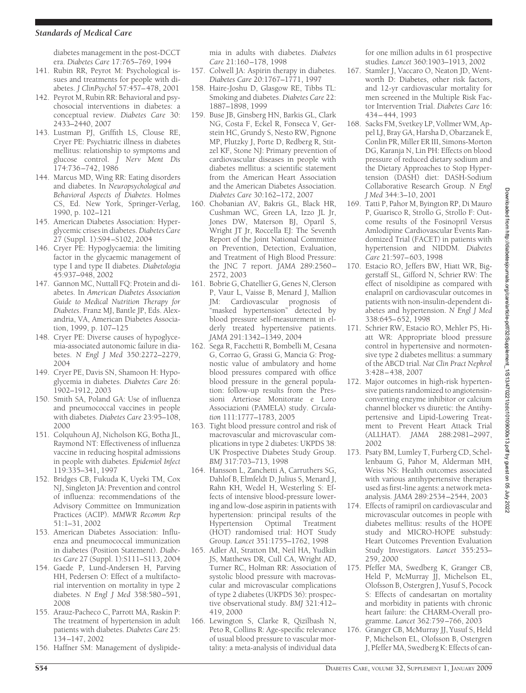diabetes management in the post-DCCT era. *Diabetes Care* 17:765–769, 1994

- 141. Rubin RR, Peyrot M: Psychological issues and treatments for people with diabetes. *J ClinPsychol* 57:457– 478, 2001
- 142. Peyrot M, Rubin RR: Behavioral and psychosocial interventions in diabetes: a conceptual review. *Diabetes Care* 30: 2433–2440, 2007
- 143. Lustman PJ, Griffith LS, Clouse RE, Cryer PE: Psychiatric illness in diabetes mellitus: relationship to symptoms and glucose control. *J Nerv Ment Dis* 174:736 –742, 1986
- 144. Marcus MD, Wing RR: Eating disorders and diabetes. In *Neuropsychological and Behavioral Aspects of Diabetes*. Holmes CS, Ed. New York, Springer-Verlag, 1990, p. 102–121
- 145. American Diabetes Association: Hyperglycemic crises in diabetes.*Diabetes Care* 27 (Suppl. 1):S94 –S102, 2004
- 146. Cryer PE: Hypoglycaemia: the limiting factor in the glycaemic management of type I and type II diabetes. *Diabetologia* 45:937–948, 2002
- 147. Gannon MC, Nuttall FQ: Protein and diabetes. In *American Diabetes Association Guide to Medical Nutrition Therapy for Diabetes*. Franz MJ, Bantle JP, Eds. Alexandria, VA, American Diabetes Association, 1999, p. 107–125
- 148. Cryer PE: Diverse causes of hypoglycemia-associated autonomic failure in diabetes. *N Engl J Med* 350:2272–2279, 2004
- 149. Cryer PE, Davis SN, Shamoon H: Hypoglycemia in diabetes. *Diabetes Care* 26: 1902–1912, 2003
- 150. Smith SA, Poland GA: Use of influenza and pneumococcal vaccines in people with diabetes. *Diabetes Care* 23:95–108, 2000
- 151. Colquhoun AJ, Nicholson KG, Botha JL, Raymond NT: Effectiveness of influenza vaccine in reducing hospital admissions in people with diabetes. *Epidemiol Infect* 119:335–341, 1997
- 152. Bridges CB, Fukuda K, Uyeki TM, Cox NJ, Singleton JA: Prevention and control of influenza: recommendations of the Advisory Committee on Immunization Practices (ACIP). *MMWR Recomm Rep* 51:1–31, 2002
- 153. American Diabetes Association: Influenza and pneumococcal immunization in diabetes (Position Statement). *Diabetes Care* 27 (Suppl. 1):S111–S113, 2004
- 154. Gaede P, Lund-Andersen H, Parving HH, Pedersen O: Effect of a multifactorial intervention on mortality in type 2 diabetes. *N Engl J Med* 358:580 –591, 2008
- 155. Arauz-Pacheco C, Parrott MA, Raskin P: The treatment of hypertension in adult patients with diabetes. *Diabetes Care* 25: 134 –147, 2002
- 156. Haffner SM: Management of dyslipide-

mia in adults with diabetes. *Diabetes* Care 21:160-178, 1998

- 157. Colwell JA: Aspirin therapy in diabetes. *Diabetes Care* 20:1767–1771, 1997
- 158. Haire-Joshu D, Glasgow RE, Tibbs TL: Smoking and diabetes. *Diabetes Care* 22: 1887–1898, 1999
- 159. Buse JB, Ginsberg HN, Barkis GL, Clark NG, Costa F, Eckel R, Fonseca V, Gerstein HC, Grundy S, Nesto RW, Pignone MP, Plutzky J, Porte D, Redberg R, Stitzel KF, Stone NJ: Primary prevention of cardiovascular diseases in people with diabetes mellitus: a scientific statement from the American Heart Association and the American Diabetes Association. *Diabetes Care* 30:162–172, 2007
- 160. Chobanian AV, Bakris GL, Black HR, Cushman WC, Green LA, Izzo JL Jr, Jones DW, Materson BJ, Oparil S, Wright JT Jr, Roccella EJ: The Seventh Report of the Joint National Committee on Prevention, Detection, Evaluation, and Treatment of High Blood Pressure: the JNC 7 report. *JAMA* 289:2560-2572, 2003
- 161. Bobrie G, Chatellier G, Genes N, Clerson P, Vaur L, Vaisse B, Menard J, Mallion JM: Cardiovascular prognosis of "masked hypertension" detected by blood pressure self-measurement in elderly treated hypertensive patients. *JAMA* 291:1342–1349, 2004
- 162. Sega R, Facchetti R, Bombelli M, Cesana G, Corrao G, Grassi G, Mancia G: Prognostic value of ambulatory and home blood pressures compared with office blood pressure in the general population: follow-up results from the Pressioni Arteriose Monitorate e Loro Associazioni (PAMELA) study. *Circulation* 111:1777–1783, 2005
- 163. Tight blood pressure control and risk of macrovascular and microvascular complications in type 2 diabetes: UKPDS 38: UK Prospective Diabetes Study Group. *BMJ* 317:703–713, 1998
- 164. Hansson L, Zanchetti A, Carruthers SG, Dahlof B, Elmfeldt D, Julius S, Menard J, Rahn KH, Wedel H, Westerling S: Effects of intensive blood-pressure lowering and low-dose aspirin in patients with hypertension: principal results of the<br>Hypertension Optimal Treatment Hypertension Optimal (HOT) randomised trial: HOT Study Group. *Lancet* 351:1755–1762, 1998
- 165. Adler AI, Stratton IM, Neil HA, Yudkin JS, Matthews DR, Cull CA, Wright AD, Turner RC, Holman RR: Association of systolic blood pressure with macrovascular and microvascular complications of type 2 diabetes (UKPDS 36): prospective observational study. *BMJ* 321:412– 419, 2000
- 166. Lewington S, Clarke R, Qizilbash N, Peto R, Collins R: Age-specific relevance of usual blood pressure to vascular mortality: a meta-analysis of individual data

for one million adults in 61 prospective studies. *Lancet* 360:1903–1913, 2002

- 167. Stamler J, Vaccaro O, Neaton JD, Wentworth D: Diabetes, other risk factors, and 12-yr cardiovascular mortality for men screened in the Multiple Risk Factor Intervention Trial. *Diabetes Care* 16: 434 – 444, 1993
- 168. Sacks FM, Svetkey LP, Vollmer WM, Appel LJ, Bray GA, Harsha D, Obarzanek E, Conlin PR, Miller ER III, Simons-Morton DG, Karanja N, Lin PH: Effects on blood pressure of reduced dietary sodium and the Dietary Approaches to Stop Hypertension (DASH) diet: DASH-Sodium Collaborative Research Group. *N Engl J Med* 344:3–10, 2001
- 169. Tatti P, Pahor M, Byington RP, Di Mauro P, Guarisco R, Strollo G, Strollo F: Outcome results of the Fosinopril Versus Amlodipine Cardiovascular Events Randomized Trial (FACET) in patients with hypertension and NIDDM. *Diabetes Care* 21:597– 603, 1998
- 170. Estacio RO, Jeffers BW, Hiatt WR, Biggerstaff SL, Gifford N, Schrier RW: The effect of nisoldipine as compared with enalapril on cardiovascular outcomes in patients with non-insulin-dependent diabetes and hypertension. *N Engl J Med* 338:645– 652, 1998
- 171. Schrier RW, Estacio RO, Mehler PS, Hiatt WR: Appropriate blood pressure control in hypertensive and normotensive type 2 diabetes mellitus: a summary of the ABCD trial. *Nat Clin Pract Nephrol* 3:428 – 438, 2007
- 172. Major outcomes in high-risk hypertensive patients randomized to angiotensinconverting enzyme inhibitor or calcium channel blocker vs diuretic: the Antihypertensive and Lipid-Lowering Treatment to Prevent Heart Attack Trial (ALLHAT). *JAMA* 288:2981–2997, 2002
- 173. Psaty BM, Lumley T, Furberg CD, Schellenbaum G, Pahor M, Alderman MH, Weiss NS: Health outcomes associated with various antihypertensive therapies used as first-line agents: a network metaanalysis. *JAMA* 289:2534 –2544, 2003
- 174. Effects of ramipril on cardiovascular and microvascular outcomes in people with diabetes mellitus: results of the HOPE study and MICRO-HOPE substudy: Heart Outcomes Prevention Evaluation Study Investigators. *Lancet* 355:253– 259, 2000
- 175. Pfeffer MA, Swedberg K, Granger CB, Held P, McMurray JJ, Michelson EL, Olofsson B, Ostergren J, Yusuf S, Pocock S: Effects of candesartan on mortality and morbidity in patients with chronic heart failure: the CHARM-Overall programme. *Lancet* 362:759 –766, 2003
- 176. Granger CB, McMurray JJ, Yusuf S, Held P, Michelson EL, Olofsson B, Ostergren J, Pfeffer MA, Swedberg K: Effects of can-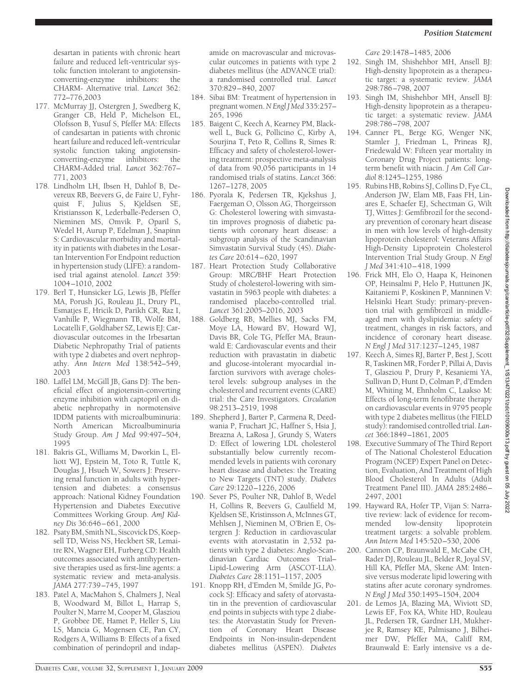desartan in patients with chronic heart failure and reduced left-ventricular systolic function intolerant to angiotensinconverting-enzyme inhibitors: the CHARM- Alternative trial. *Lancet* 362: 772–776,2003

- 177. McMurray JJ, Ostergren J, Swedberg K, Granger CB, Held P, Michelson EL, Olofsson B, Yusuf S, Pfeffer MA: Effects of candesartan in patients with chronic heart failure and reduced left-ventricular systolic function taking angiotensinconverting-enzyme inhibitors: the CHARM-Added trial. *Lancet* 362:767– 771, 2003
- 178. Lindholm LH, Ibsen H, Dahlof B, Devereux RB, Beevers G, de Faire U, Fyhrquist F, Julius S, Kjeldsen SE, Kristiansson K, Lederballe-Pedersen O, Nieminen MS, Omvik P, Oparil S, Wedel H, Aurup P, Edelman J, Snapinn S: Cardiovascular morbidity and mortality in patients with diabetes in the Losartan Intervention For Endpoint reduction in hypertension study (LIFE): a randomised trial against atenolol. *Lancet* 359: 1004 –1010, 2002
- 179. Berl T, Hunsicker LG, Lewis JB, Pfeffer MA, Porush JG, Rouleau JL, Drury PL, Esmatjes E, Hricik D, Parikh CR, Raz I, Vanhille P, Wiegmann TB, Wolfe BM, Locatelli F, Goldhaber SZ, Lewis EJ: Cardiovascular outcomes in the Irbesartan Diabetic Nephropathy Trial of patients with type 2 diabetes and overt nephropathy. *Ann Intern Med* 138:542–549, 2003
- 180. Laffel LM, McGill JB, Gans DJ: The beneficial effect of angiotensin-converting enzyme inhibition with captopril on diabetic nephropathy in normotensive IDDM patients with microalbuminuria: North American Microalbuminuria Study Group. *Am J Med* 99:497–504, 1995
- 181. Bakris GL, Williams M, Dworkin L, Elliott WJ, Epstein M, Toto R, Tuttle K, Douglas J, Hsueh W, Sowers J: Preserving renal function in adults with hypertension and diabetes: a consensus approach: National Kidney Foundation Hypertension and Diabetes Executive Committees Working Group. *AmJ Kidney Dis* 36:646 – 661, 2000
- 182. Psaty BM, Smith NL, SiscovickDS, Koepsell TD, Weiss NS, Heckbert SR, Lemaitre RN, Wagner EH, Furberg CD: Health outcomes associated with antihypertensive therapies used as first-line agents: a systematic review and meta-analysis. *JAMA* 277:739 –745, 1997
- 183. Patel A, MacMahon S, Chalmers J, Neal B, Woodward M, Billot L, Harrap S, Poulter N, Marre M, Cooper M, Glasziou P, Grobbee DE, Hamet P, Heller S, Liu LS, Mancia G, Mogensen CE, Pan CY, Rodgers A, Williams B: Effects of a fixed combination of perindopril and indap-

amide on macrovascular and microvascular outcomes in patients with type 2 diabetes mellitus (the ADVANCE trial): a randomised controlled trial. *Lancet* 370:829 – 840, 2007

- 184. Sibai BM: Treatment of hypertension in pregnant women.*N Engl J Med* 335:257– 265, 1996
- 185. Baigent C, Keech A, Kearney PM, Blackwell L, Buck G, Pollicino C, Kirby A, Sourjina T, Peto R, Collins R, Simes R: Efficacy and safety of cholesterol-lowering treatment: prospective meta-analysis of data from 90,056 participants in 14 randomised trials of statins. *Lancet* 366: 1267–1278, 2005
- 186. Pyorala K, Pedersen TR, Kjekshus J, Faergeman O, Olsson AG, Thorgeirsson G: Cholesterol lowering with simvastatin improves prognosis of diabetic patients with coronary heart disease: a subgroup analysis of the Scandinavian Simvastatin Survival Study (4S). *Diabetes Care* 20:614 – 620, 1997
- 187. Heart Protection Study Collaborative Group: MRC/BHF Heart Protection Study of cholesterol-lowering with simvastatin in 5963 people with diabetes: a randomised placebo-controlled trial. *Lancet* 361:2005–2016, 2003
- 188. Goldberg RB, Mellies MJ, Sacks FM, Moye LA, Howard BV, Howard WJ, Davis BR, Cole TG, Pfeffer MA, Braunwald E: Cardiovascular events and their reduction with pravastatin in diabetic and glucose-intolerant myocardial infarction survivors with average cholesterol levels: subgroup analyses in the cholesterol and recurrent events (CARE) trial: the Care Investigators. *Circulation* 98:2513–2519, 1998
- 189. Shepherd J, Barter P, Carmena R, Deedwania P, Fruchart JC, Haffner S, Hsia J, Breazna A, LaRosa J, Grundy S, Waters D: Effect of lowering LDL cholesterol substantially below currently recommended levels in patients with coronary heart disease and diabetes: the Treating to New Targets (TNT) study. *Diabetes Care* 29:1220 –1226, 2006
- 190. Sever PS, Poulter NR, Dahlof B, Wedel H, Collins R, Beevers G, Caulfield M, Kjeldsen SE, Kristinsson A, McInnes GT, Mehlsen J, Nieminen M, O'Brien E, Ostergren J: Reduction in cardiovascular events with atorvastatin in 2,532 patients with type 2 diabetes: Anglo-Scandinavian Cardiac Outcomes Trial– Lipid-Lowering Arm (ASCOT-LLA). *Diabetes Care* 28:1151–1157, 2005
- 191. Knopp RH, d'Emden M, Smilde JG, Pocock SJ: Efficacy and safety of atorvastatin in the prevention of cardiovascular end points in subjects with type 2 diabetes: the Atorvastatin Study for Prevention of Coronary Heart Disease Endpoints in Non-insulin-dependent diabetes mellitus (ASPEN). *Diabetes*

*Care* 29:1478 –1485, 2006

- 192. Singh IM, Shishehbor MH, Ansell BJ: High-density lipoprotein as a therapeutic target: a systematic review. *JAMA* 298:786 –798, 2007
- 193. Singh IM, Shishehbor MH, Ansell BJ: High-density lipoprotein as a therapeutic target: a systematic review. *JAMA* 298:786 –798, 2007
- 194. Canner PL, Berge KG, Wenger NK, Stamler J, Friedman L, Prineas RJ, Friedewald W: Fifteen year mortality in Coronary Drug Project patients: longterm benefit with niacin. *J Am Coll Cardiol* 8:1245–1255, 1986
- 195. Rubins HB, Robins SJ, Collins D, Fye CL, Anderson JW, Elam MB, Faas FH, Linares E, Schaefer EJ, Schectman G, Wilt TJ, Wittes J: Gemfibrozil for the secondary prevention of coronary heart disease in men with low levels of high-density lipoprotein cholesterol: Veterans Affairs High-Density Lipoprotein Cholesterol Intervention Trial Study Group. *N Engl J Med* 341:410 – 418, 1999
- 196. Frick MH, Elo O, Haapa K, Heinonen OP, Heinsalmi P, Helo P, Huttunen JK, Kaitaniemi P, Koskinen P, Manninen V: Helsinki Heart Study: primary-prevention trial with gemfibrozil in middleaged men with dyslipidemia: safety of treatment, changes in risk factors, and incidence of coronary heart disease. *N Engl J Med* 317:1237–1245, 1987
- 197. Keech A, Simes RJ, Barter P, Best J, Scott R, Taskinen MR, Forder P, Pillai A, Davis T, Glasziou P, Drury P, Kesaniemi YA, Sullivan D, Hunt D, Colman P, d'Emden M, Whiting M, Ehnholm C, Laakso M: Effects of long-term fenofibrate therapy on cardiovascular events in 9795 people with type 2 diabetes mellitus (the FIELD study): randomised controlled trial. *Lancet* 366:1849 –1861, 2005
- 198. Executive Summary of The Third Report of The National Cholesterol Education Program (NCEP) Expert Panel on Detection, Evaluation, And Treatment of High Blood Cholesterol In Adults (Adult Treatment Panel III). *JAMA* 285:2486 – 2497, 2001
- 199. Hayward RA, Hofer TP, Vijan S: Narrative review: lack of evidence for recom-<br>mended low-density lipoprotein low-density treatment targets: a solvable problem. *Ann Intern Med* 145:520 –530, 2006
- 200. Cannon CP, Braunwald E, McCabe CH, Rader DJ, Rouleau JL, Belder R, Joyal SV, Hill KA, Pfeffer MA, Skene AM: Intensive versus moderate lipid lowering with statins after acute coronary syndromes. *N Engl J Med* 350:1495–1504, 2004
- 201. de Lemos JA, Blazing MA, Wiviott SD, Lewis EF, Fox KA, White HD, Rouleau JL, Pedersen TR, Gardner LH, Mukherjee R, Ramsey KE, Palmisano J, Bilheimer DW, Pfeffer MA, Califf RM, Braunwald E: Early intensive vs a de-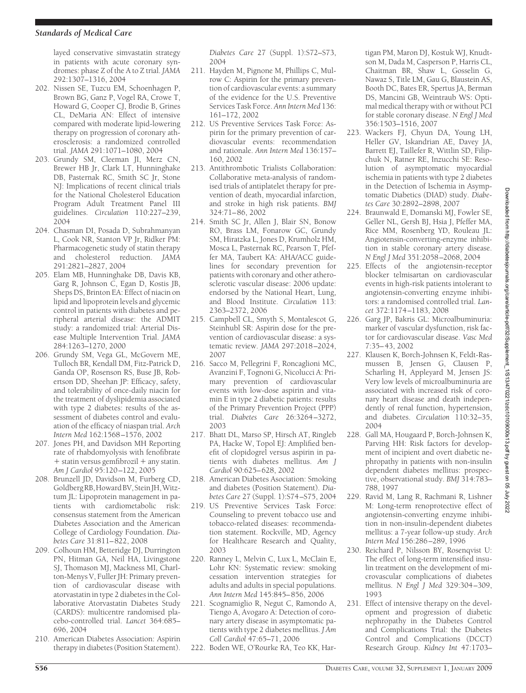layed conservative simvastatin strategy in patients with acute coronary syndromes: phase Z of the A to Z trial. *JAMA* 292:1307–1316, 2004

- 202. Nissen SE, Tuzcu EM, Schoenhagen P, Brown BG, Ganz P, Vogel RA, Crowe T, Howard G, Cooper CJ, Brodie B, Grines CL, DeMaria AN: Effect of intensive compared with moderate lipid-lowering therapy on progression of coronary atherosclerosis: a randomized controlled trial. *JAMA* 291:1071–1080, 2004
- 203. Grundy SM, Cleeman JI, Merz CN, Brewer HB Jr, Clark LT, Hunninghake DB, Pasternak RC, Smith SC Jr, Stone NJ: Implications of recent clinical trials for the National Cholesterol Education Program Adult Treatment Panel III guidelines. *Circulation* 110:227–239, 2004
- 204. Chasman DI, Posada D, Subrahmanyan L, Cook NR, Stanton VP Jr, Ridker PM: Pharmacogenetic study of statin therapy and cholesterol reduction. *JAMA* 291:2821–2827, 2004
- 205. Elam MB, Hunninghake DB, Davis KB, Garg R, Johnson C, Egan D, Kostis JB, Sheps DS, Brinton EA: Effect of niacin on lipid and lipoprotein levels and glycemic control in patients with diabetes and peripheral arterial disease: the ADMIT study: a randomized trial: Arterial Disease Multiple Intervention Trial. *JAMA* 284:1263–1270, 2000
- 206. Grundy SM, Vega GL, McGovern ME, Tulloch BR, Kendall DM, Fitz-Patrick D, Ganda OP, Rosenson RS, Buse JB, Robertson DD, Sheehan JP: Efficacy, safety, and tolerability of once-daily niacin for the treatment of dyslipidemia associated with type 2 diabetes: results of the assessment of diabetes control and evaluation of the efficacy of niaspan trial. *Arch Intern Med* 162:1568 –1576, 2002
- 207. Jones PH, and Davidson MH Reporting rate of rhabdomyolysis with fenofibrate  $+$  statin versus gemfibrozil  $+$  any statin. *Am J Cardiol* 95:120 –122, 2005
- 208. Brunzell JD, Davidson M, Furberg CD, GoldbergRB,HowardBV,Stein JH,Witztum JL: Lipoprotein management in patients with cardiometabolic risk: consensus statement from the American Diabetes Association and the American College of Cardiology Foundation. *Diabetes Care* 31:811– 822, 2008
- 209. Colhoun HM, Betteridge DJ, Durrington PN, Hitman GA, Neil HA, Livingstone SJ, Thomason MJ, Mackness MI, Charlton-Menys V, Fuller JH: Primary prevention of cardiovascular disease with atorvastatin in type 2 diabetes in the Collaborative Atorvastatin Diabetes Study (CARDS): multicentre randomised placebo-controlled trial. *Lancet* 364:685– 696, 2004
- 210. American Diabetes Association: Aspirin therapy in diabetes (Position Statement).

*Diabetes Care* 27 (Suppl. 1):S72–S73, 2004

- 211. Hayden M, Pignone M, Phillips C, Mulrow C: Aspirin for the primary prevention of cardiovascular events: a summary of the evidence for the U.S. Preventive Services Task Force. *Ann Intern Med* 136: 161–172, 2002
- 212. US Preventive Services Task Force: Aspirin for the primary prevention of cardiovascular events: recommendation and rationale. *Ann Intern Med* 136:157– 160, 2002
- 213. Antithrombotic Trialists Collaboration: Collaborative meta-analysis of randomised trials of antiplatelet therapy for prevention of death, myocardial infarction, and stroke in high risk patients. *BMJ* 324:71– 86, 2002
- 214. Smith SC Jr, Allen J, Blair SN, Bonow RO, Brass LM, Fonarow GC, Grundy SM, Hiratzka L, Jones D, Krumholz HM, Mosca L, Pasternak RC, Pearson T, Pfeffer MA, Taubert KA: AHA/ACC guidelines for secondary prevention for patients with coronary and other atherosclerotic vascular disease: 2006 update: endorsed by the National Heart, Lung, and Blood Institute. *Circulation* 113: 2363–2372, 2006
- 215. Campbell CL, Smyth S, Montalescot G, Steinhubl SR: Aspirin dose for the prevention of cardiovascular disease: a systematic review. *JAMA* 297:2018 –2024, 2007
- 216. Sacco M, Pellegrini F, Roncaglioni MC, Avanzini F, Tognoni G, Nicolucci A: Primary prevention of cardiovascular events with low-dose aspirin and vitamin E in type 2 diabetic patients: results of the Primary Prevention Project (PPP) trial. *Diabetes Care* 26:3264 –3272, 2003
- 217. Bhatt DL, Marso SP, Hirsch AT, Ringleb PA, Hacke W, Topol EJ: Amplified benefit of clopidogrel versus aspirin in patients with diabetes mellitus. *Am J Cardiol* 90:625– 628, 2002
- 218. American Diabetes Asociation: Smoking and diabetes (Position Statement). *Diabetes Care* 27 (Suppl. 1):S74 –S75, 2004
- 219. US Preventive Services Task Force: Counseling to prevent tobacco use and tobacco-related diseases: recommendation statement. Rockville, MD, Agency for Healthcare Research and Quality, 2003
- 220. Ranney L, Melvin C, Lux L, McClain E, Lohr KN: Systematic review: smoking cessation intervention strategies for adults and adults in special populations. *Ann Intern Med* 145:845– 856, 2006
- 221. Scognamiglio R, Negut C, Ramondo A, Tiengo A, Avogaro A: Detection of coronary artery disease in asymptomatic patients with type 2 diabetes mellitus. *J Am Coll Cardiol* 47:65–71, 2006
- 222. Boden WE, O'Rourke RA, Teo KK, Har-

tigan PM, Maron DJ, Kostuk WJ, Knudtson M, Dada M, Casperson P, Harris CL, Chaitman BR, Shaw L, Gosselin G, Nawaz S, Title LM, Gau G, Blaustein AS, Booth DC, Bates ER, Spertus JA, Berman DS, Mancini GB, Weintraub WS: Optimal medical therapy with or without PCI for stable coronary disease. *N Engl J Med* 356:1503–1516, 2007

- 223. Wackers FJ, Chyun DA, Young LH, Heller GV, Iskandrian AE, Davey JA, Barrett EJ, Taillefer R, Wittlin SD, Filipchuk N, Ratner RE, Inzucchi SE: Resolution of asymptomatic myocardial ischemia in patients with type 2 diabetes in the Detection of Ischemia in Asymptomatic Diabetics (DIAD) study. *Diabetes Care* 30:2892–2898, 2007
- 224. Braunwald E, Domanski MJ, Fowler SE, Geller NL, Gersh BJ, Hsia J, Pfeffer MA, Rice MM, Rosenberg YD, Rouleau JL: Angiotensin-converting-enzyme inhibition in stable coronary artery disease. *N Engl J Med* 351:2058 –2068, 2004
- 225. Effects of the angiotensin-receptor blocker telmisartan on cardiovascular events in high-risk patients intolerant to angiotensin-converting enzyme inhibitors: a randomised controlled trial. *Lancet* 372:1174 –1183, 2008
- 226. Garg JP, Bakris GL: Microalbuminuria: marker of vascular dysfunction, risk factor for cardiovascular disease. *Vasc Med* 7:35– 43, 2002
- 227. Klausen K, Borch-Johnsen K, Feldt-Rasmussen B, Jensen G, Clausen P, Scharling H, Appleyard M, Jensen JS: Very low levels of microalbuminuria are associated with increased risk of coronary heart disease and death independently of renal function, hypertension, and diabetes. *Circulation* 110:32–35, 2004
- 228. Gall MA, Hougaard P, Borch-Johnsen K, Parving HH: Risk factors for development of incipient and overt diabetic nephropathy in patients with non-insulin dependent diabetes mellitus: prospective, observational study. *BMJ* 314:783– 788, 1997
- 229. Ravid M, Lang R, Rachmani R, Lishner M: Long-term renoprotective effect of angiotensin-converting enzyme inhibition in non-insulin-dependent diabetes mellitus: a 7-year follow-up study. *Arch Intern Med* 156:286 –289, 1996
- 230. Reichard P, Nilsson BY, Rosenqvist U: The effect of long-term intensified insulin treatment on the development of microvascular complications of diabetes mellitus. *N Engl J Med* 329:304 –309, 1993
- 231. Effect of intensive therapy on the development and progression of diabetic nephropathy in the Diabetes Control and Complications Trial: the Diabetes Control and Complications (DCCT) Research Group. *Kidney Int* 47:1703–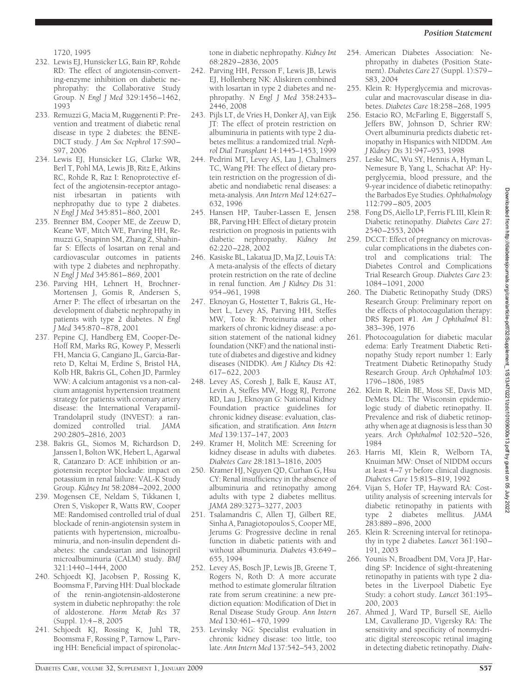1720, 1995

- 232. Lewis EJ, Hunsicker LG, Bain RP, Rohde RD: The effect of angiotensin-converting-enzyme inhibition on diabetic nephropathy: the Collaborative Study Group. *N Engl J Med* 329:1456 –1462, 1993
- 233. Remuzzi G, Macia M, Ruggenenti P: Prevention and treatment of diabetic renal disease in type 2 diabetes: the BENE-DICT study. *J Am Soc Nephrol* 17:S90 – S97, 2006
- 234. Lewis EJ, Hunsicker LG, Clarke WR, Berl T, Pohl MA, Lewis JB, Ritz E, Atkins RC, Rohde R, Raz I: Renoprotective effect of the angiotensin-receptor antagonist irbesartan in patients with nephropathy due to type 2 diabetes. *N Engl J Med* 345:851– 860, 2001
- 235. Brenner BM, Cooper ME, de Zeeuw D, Keane WF, Mitch WE, Parving HH, Remuzzi G, Snapinn SM, Zhang Z, Shahinfar S: Effects of losartan on renal and cardiovascular outcomes in patients with type 2 diabetes and nephropathy. *N Engl J Med* 345:861– 869, 2001
- 236. Parving HH, Lehnert H, Brochner-Mortensen J, Gomis R, Andersen S, Arner P: The effect of irbesartan on the development of diabetic nephropathy in patients with type 2 diabetes. *N Engl J Med* 345:870 – 878, 2001
- 237. Pepine CJ, Handberg EM, Cooper-De-Hoff RM, Marks RG, Kowey P, Messerli FH, Mancia G, Cangiano JL, Garcia-Barreto D, Keltai M, Erdine S, Bristol HA, Kolb HR, Bakris GL, Cohen JD, Parmley WW: A calcium antagonist vs a non-calcium antagonist hypertension treatment strategy for patients with coronary artery disease: the International Verapamil-Trandolapril study (INVEST): a randomized controlled trial. *JAMA* 290:2805–2816, 2003
- 238. Bakris GL, Siomos M, Richardson D, Janssen I, Bolton WK, Hebert L, Agarwal R, Catanzaro D: ACE inhibition or angiotensin receptor blockade: impact on potassium in renal failure: VAL-K Study Group. *Kidney Int* 58:2084 –2092, 2000
- 239. Mogensen CE, Neldam S, Tikkanen I, Oren S, Viskoper R, Watts RW, Cooper ME: Randomised controlled trial of dual blockade of renin-angiotensin system in patients with hypertension, microalbuminuria, and non-insulin dependent diabetes: the candesartan and lisinopril microalbuminuria (CALM) study. *BMJ* 321:1440 –1444, 2000
- 240. Schjoedt KJ, Jacobsen P, Rossing K, Boomsma F, Parving HH: Dual blockade of the renin-angiotensin-aldosterone system in diabetic nephropathy: the role of aldosterone. *Horm Metab Res* 37 (Suppl. 1):4 – 8, 2005
- 241. Schjoedt KJ, Rossing K, Juhl TR, Boomsma F, Rossing P, Tarnow L, Parving HH: Beneficial impact of spironolac-

tone in diabetic nephropathy. *Kidney Int* 68:2829 –2836, 2005

- 242. Parving HH, Persson F, Lewis JB, Lewis EJ, Hollenberg NK: Aliskiren combined with losartan in type 2 diabetes and nephropathy. *N Engl J Med* 358:2433– 2446, 2008
- 243. Pijls LT, de Vries H, Donker AJ, van Eijk JT: The effect of protein restriction on albuminuria in patients with type 2 diabetes mellitus: a randomized trial. *Nephrol Dial Transplant* 14:1445–1453, 1999
- 244. Pedrini MT, Levey AS, Lau J, Chalmers TC, Wang PH: The effect of dietary protein restriction on the progression of diabetic and nondiabetic renal diseases: a meta-analysis. *Ann Intern Med* 124:627– 632, 1996
- 245. Hansen HP, Tauber-Lassen E, Jensen BR, Parving HH: Effect of dietary protein restriction on prognosis in patients with diabetic nephropathy. *Kidney Int* 62:220 –228, 2002
- 246. Kasiske BL, Lakatua JD, Ma JZ, Louis TA: A meta-analysis of the effects of dietary protein restriction on the rate of decline in renal function. *Am J Kidney Dis* 31: 954 –961, 1998
- 247. Eknoyan G, Hostetter T, Bakris GL, Hebert L, Levey AS, Parving HH, Steffes MW, Toto R: Proteinuria and other markers of chronic kidney disease: a position statement of the national kidney foundation (NKF) and the national institute of diabetes and digestive and kidney diseases (NIDDK). *Am J Kidney Dis* 42: 617– 622, 2003
- 248. Levey AS, Coresh J, Balk E, Kausz AT, Levin A, Steffes MW, Hogg RJ, Perrone RD, Lau J, Eknoyan G: National Kidney Foundation practice guidelines for chronic kidney disease: evaluation, classification, and stratification. *Ann Intern Med* 139:137–147, 2003
- 249. Kramer H, Molitch ME: Screening for kidney disease in adults with diabetes. *Diabetes Care* 28:1813–1816, 2005
- 250. Kramer HJ, Nguyen QD, Curhan G, Hsu CY: Renal insufficiency in the absence of albuminuria and retinopathy among adults with type 2 diabetes mellitus. *JAMA* 289:3273–3277, 2003
- 251. Tsalamandris C, Allen TJ, Gilbert RE, Sinha A, Panagiotopoulos S, Cooper ME, Jerums G: Progressive decline in renal function in diabetic patients with and without albuminuria. *Diabetes* 43:649 – 655, 1994
- 252. Levey AS, Bosch JP, Lewis JB, Greene T, Rogers N, Roth D: A more accurate method to estimate glomerular filtration rate from serum creatinine: a new prediction equation: Modification of Diet in Renal Disease Study Group. *Ann Intern Med* 130:461– 470, 1999
- 253. Levinsky NG: Specialist evaluation in chronic kidney disease: too little, too late. *Ann Intern Med* 137:542–543, 2002
- 254. American Diabetes Association: Nephropathy in diabetes (Position Statement). *Diabetes Care* 27 (Suppl. 1):S79 – S83, 2004
- 255. Klein R: Hyperglycemia and microvascular and macrovascular disease in diabetes. *Diabetes Care* 18:258 –268, 1995
- 256. Estacio RO, McFarling E, Biggerstaff S, Jeffers BW, Johnson D, Schrier RW: Overt albuminuria predicts diabetic retinopathy in Hispanics with NIDDM. *Am J Kidney Dis* 31:947–953, 1998
- 257. Leske MC, Wu SY, Hennis A, Hyman L, Nemesure B, Yang L, Schachat AP: Hyperglycemia, blood pressure, and the 9-year incidence of diabetic retinopathy: the Barbados Eye Studies.*Ophthalmology* 112:799 – 805, 2005
- 258. Fong DS, Aiello LP, Ferris FL III, Klein R: Diabetic retinopathy. *Diabetes Care* 27: 2540 –2553, 2004
- 259. DCCT: Effect of pregnancy on microvascular complications in the diabetes control and complications trial: The Diabetes Control and Complications Trial Research Group. *Diabetes Care* 23: 1084 –1091, 2000
- 260. The Diabetic Retinopathy Study (DRS) Research Group: Preliminary report on the effects of photocoagulation therapy: DRS Report #1. *Am J Ophthalmol* 81: 383–396, 1976
- 261. Photocoagulation for diabetic macular edema: Early Treatment Diabetic Retinopathy Study report number 1: Early Treatment Diabetic Retinopathy Study Research Group. *Arch Ophthalmol* 103: 1796 –1806, 1985
- 262. Klein R, Klein BE, Moss SE, Davis MD, DeMets DL: The Wisconsin epidemiologic study of diabetic retinopathy. II. Prevalence and risk of diabetic retinopathy when age at diagnosis is less than 30 years. *Arch Ophthalmol* 102:520 –526, 1984
- 263. Harris MI, Klein R, Welborn TA, Knuiman MW: Onset of NIDDM occurs at least 4 –7 yr before clinical diagnosis. *Diabetes Care* 15:815– 819, 1992
- 264. Vijan S, Hofer TP, Hayward RA: Costutility analysis of screening intervals for diabetic retinopathy in patients with type 2 diabetes mellitus. *JAMA* 283:889 – 896, 2000
- 265. Klein R: Screening interval for retinopathy in type 2 diabetes. *Lancet* 361:190 – 191, 2003
- 266. Younis N, Broadbent DM, Vora JP, Harding SP: Incidence of sight-threatening retinopathy in patients with type 2 diabetes in the Liverpool Diabetic Eye Study: a cohort study. *Lancet* 361:195– 200, 2003
- 267. Ahmed J, Ward TP, Bursell SE, Aiello LM, Cavallerano JD, Vigersky RA: The sensitivity and specificity of nonmydriatic digital stereoscopic retinal imaging in detecting diabetic retinopathy. *Diabe-*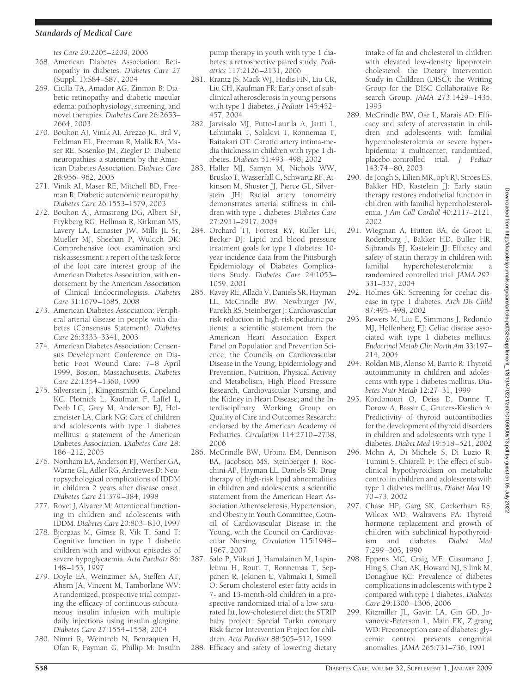*tes Care* 29:2205–2209, 2006

- 268. American Diabetes Association: Retinopathy in diabetes. *Diabetes Care* 27 (Suppl. 1):S84 –S87, 2004
- 269. Ciulla TA, Amador AG, Zinman B: Diabetic retinopathy and diabetic macular edema: pathophysiology, screening, and novel therapies. *Diabetes Care* 26:2653– 2664, 2003
- 270. Boulton AJ, Vinik AI, Arezzo JC, Bril V, Feldman EL, Freeman R, Malik RA, Maser RE, Sosenko JM, Ziegler D: Diabetic neuropathies: a statement by the American Diabetes Association. *Diabetes Care* 28:956 –962, 2005
- 271. Vinik AI, Maser RE, Mitchell BD, Freeman R: Diabetic autonomic neuropathy. *Diabetes Care* 26:1553–1579, 2003
- 272. Boulton AJ, Armstrong DG, Albert SF, Frykberg RG, Hellman R, Kirkman MS, Lavery LA, Lemaster JW, Mills JL Sr, Mueller MJ, Sheehan P, Wukich DK: Comprehensive foot examination and risk assessment: a report of the task force of the foot care interest group of the American Diabetes Association, with endorsement by the American Association of Clinical Endocrinologists. *Diabetes Care* 31:1679 –1685, 2008
- 273. American Diabetes Association: Peripheral arterial disease in people with diabetes (Consensus Statement). *Diabetes Care* 26:3333–3341, 2003
- 274. American Diabetes Association: Consensus Development Conference on Diabetic Foot Wound Care: 7-8 April 1999, Boston, Massachusetts. *Diabetes Care* 22:1354 –1360, 1999
- 275. Silverstein J, Klingensmith G, Copeland KC, Plotnick L, Kaufman F, Laffel L, Deeb LC, Grey M, Anderson BJ, Holzmeister LA, Clark NG: Care of children and adolescents with type 1 diabetes mellitus: a statement of the American Diabetes Association. *Diabetes Care* 28: 186 –212, 2005
- 276. Northam EA, Anderson PJ, Werther GA, Warne GL, Adler RG, Andrewes D: Neuropsychological complications of IDDM in children 2 years after disease onset. *Diabetes Care* 21:379 –384, 1998
- 277. Rovet J, Alvarez M: Attentional functioning in children and adolescents with IDDM. *Diabetes Care* 20:803– 810, 1997
- 278. Bjorgaas M, Gimse R, Vik T, Sand T: Cognitive function in type 1 diabetic children with and without episodes of severe hypoglycaemia. *Acta Paediatr* 86: 148 –153, 1997
- 279. Doyle EA, Weinzimer SA, Steffen AT, Ahern JA, Vincent M, Tamborlane WV: A randomized, prospective trial comparing the efficacy of continuous subcutaneous insulin infusion with multiple daily injections using insulin glargine. *Diabetes Care* 27:1554 –1558, 2004
- 280. Nimri R, Weintrob N, Benzaquen H, Ofan R, Fayman G, Phillip M: Insulin

pump therapy in youth with type 1 diabetes: a retrospective paired study. *Pediatrics* 117:2126 –2131, 2006

- 281. Krantz JS, Mack WJ, Hodis HN, Liu CR, Liu CH, Kaufman FR: Early onset of subclinical atherosclerosis in young persons with type 1 diabetes. *J Pediatr* 145:452– 457, 2004
- 282. Jarvisalo MJ, Putto-Laurila A, Jartti L, Lehtimaki T, Solakivi T, Ronnemaa T, Raitakari OT: Carotid artery intima-media thickness in children with type 1 diabetes. *Diabetes* 51:493– 498, 2002
- 283. Haller MJ, Samyn M, Nichols WW, Brusko T, Wasserfall C, Schwartz RF, Atkinson M, Shuster JJ, Pierce GL, Silverstein JH: Radial artery tonometry demonstrates arterial stiffness in children with type 1 diabetes. *Diabetes Care* 27:2911–2917, 2004
- 284. Orchard TJ, Forrest KY, Kuller LH, Becker DJ: Lipid and blood pressure treatment goals for type 1 diabetes: 10 year incidence data from the Pittsburgh Epidemiology of Diabetes Complications Study. *Diabetes Care* 24:1053– 1059, 2001
- 285. Kavey RE, Allada V, Daniels SR, Hayman LL, McCrindle BW, Newburger JW, Parekh RS, Steinberger J: Cardiovascular risk reduction in high-risk pediatric patients: a scientific statement from the American Heart Association Expert Panel on Population and Prevention Science; the Councils on Cardiovascular Disease in the Young, Epidemiology and Prevention, Nutrition, Physical Activity and Metabolism, High Blood Pressure Research, Cardiovascular Nursing, and the Kidney in Heart Disease; and the Interdisciplinary Working Group on Quality of Care and Outcomes Research: endorsed by the American Academy of Pediatrics. *Circulation* 114:2710 –2738, 2006
- 286. McCrindle BW, Urbina EM, Dennison BA, Jacobson MS, Steinberger J, Rocchini AP, Hayman LL, Daniels SR: Drug therapy of high-risk lipid abnormalities in children and adolescents: a scientific statement from the American Heart Association Atherosclerosis, Hypertension, and Obesity in Youth Committee, Council of Cardiovascular Disease in the Young, with the Council on Cardiovascular Nursing. *Circulation* 115:1948 – 1967, 2007
- 287. Salo P, Viikari J, Hamalainen M, Lapinleimu H, Routi T, Ronnemaa T, Seppanen R, Jokinen E, Valimaki I, Simell O: Serum cholesterol ester fatty acids in 7- and 13-month-old children in a prospective randomized trial of a low-saturated fat, low-cholesterol diet: the STRIP baby project: Special Turku coronary Risk factor Intervention Project for children. *Acta Paediatr* 88:505–512, 1999
- 288. Efficacy and safety of lowering dietary

intake of fat and cholesterol in children with elevated low-density lipoprotein cholesterol: the Dietary Intervention Study in Children (DISC): the Writing Group for the DISC Collaborative Research Group. *JAMA* 273:1429 –1435, 1995

- 289. McCrindle BW, Ose L, Marais AD: Efficacy and safety of atorvastatin in children and adolescents with familial hypercholesterolemia or severe hyperlipidemia: a multicenter, randomized, placebo-controlled trial. *J Pediatr* 143:74 – 80, 2003
- 290. de Jongh S, Lilien MR, op't RJ, Stroes ES, Bakker HD, Kastelein JJ: Early statin therapy restores endothelial function in children with familial hypercholesterolemia. *J Am Coll Cardiol* 40:2117–2121, 2002
- 291. Wiegman A, Hutten BA, de Groot E, Rodenburg J, Bakker HD, Buller HR, Sijbrands EJ, Kastelein JJ: Efficacy and safety of statin therapy in children with<br>familial hypercholesterolemia: a hypercholesterolemia: randomized controlled trial. *JAMA* 292: 331–337, 2004
- 292. Holmes GK: Screening for coeliac disease in type 1 diabetes. *Arch Dis Child* 87:495– 498, 2002
- 293. Rewers M, Liu E, Simmons J, Redondo MJ, Hoffenberg EJ: Celiac disease associated with type 1 diabetes mellitus. *Endocrinol Metab Clin North Am* 33:197– 214, 2004
- 294. Roldan MB, Alonso M, Barrio R: Thyroid autoimmunity in children and adolescents with type 1 diabetes mellitus. *Diabetes Nutr Metab* 12:27–31, 1999
- 295. Kordonouri O, Deiss D, Danne T, Dorow A, Bassir C, Gruters-Kieslich A: Predictivity of thyroid autoantibodies for the development of thyroid disorders in children and adolescents with type 1 diabetes. *Diabet Med* 19:518 –521, 2002
- 296. Mohn A, Di Michele S, Di Luzio R, Tumini S, Chiarelli F: The effect of subclinical hypothyroidism on metabolic control in children and adolescents with type 1 diabetes mellitus. *Diabet Med* 19:  $70 - 73, 2002$
- 297. Chase HP, Garg SK, Cockerham RS, Wilcox WD, Walravens PA: Thyroid hormone replacement and growth of children with subclinical hypothyroid-<br>ism and diabetes. Diabet Med ism and diabetes. 7:299 –303, 1990
- 298. Eppens MC, Craig ME, Cusumano J, Hing S, Chan AK, Howard NJ, Silink M, Donaghue KC: Prevalence of diabetes complications in adolescents with type 2 compared with type 1 diabetes. *Diabetes Care* 29:1300 –1306, 2006
- 299. Kitzmiller JL, Gavin LA, Gin GD, Jovanovic-Peterson L, Main EK, Zigrang WD: Preconception care of diabetes: glycemic control prevents congenital anomalies. *JAMA* 265:731–736, 1991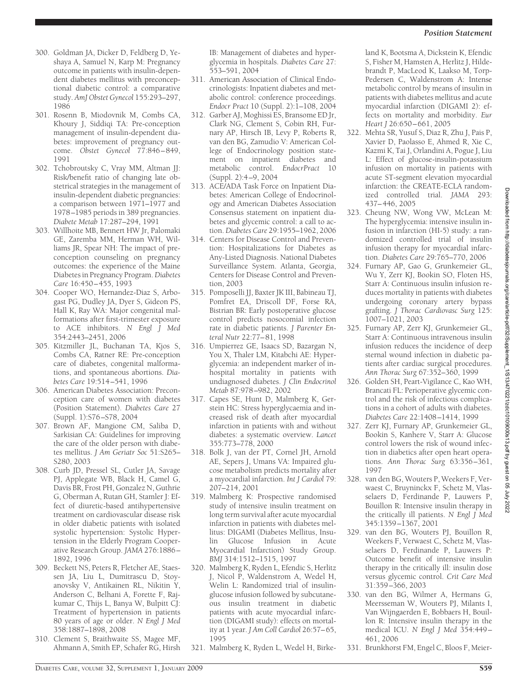- 300. Goldman JA, Dicker D, Feldberg D, Yeshaya A, Samuel N, Karp M: Pregnancy outcome in patients with insulin-dependent diabetes mellitus with preconceptional diabetic control: a comparative study. *AmJ Obstet Gynecol* 155:293–297, 1986
- 301. Rosenn B, Miodovnik M, Combs CA, Khoury J, Siddiqi TA: Pre-conception management of insulin-dependent diabetes: improvement of pregnancy outcome. *Obstet Gynecol* 77:846 – 849, 1991
- 302. Tchobroutsky C, Vray MM, Altman JJ: Risk/benefit ratio of changing late obstetrical strategies in the management of insulin-dependent diabetic pregnancies: a comparison between 1971–1977 and 1978 –1985 periods in 389 pregnancies. *Diabete Metab* 17:287–294, 1991
- 303. Willhoite MB, Bennert HW Jr, Palomaki GE, Zaremba MM, Herman WH, Williams JR, Spear NH: The impact of preconception counseling on pregnancy outcomes: the experience of the Maine Diabetes in Pregnancy Program.*Diabetes Care* 16:450 – 455, 1993
- 304. Cooper WO, Hernandez-Diaz S, Arbogast PG, Dudley JA, Dyer S, Gideon PS, Hall K, Ray WA: Major congenital malformations after first-trimester exposure to ACE inhibitors. *N Engl J Med* 354:2443–2451, 2006
- 305. Kitzmiller JL, Buchanan TA, Kjos S, Combs CA, Ratner RE: Pre-conception care of diabetes, congenital malformations, and spontaneous abortions. *Diabetes Care* 19:514 –541, 1996
- 306. American Diabetes Association: Preconception care of women with diabetes (Position Statement). *Diabetes Care* 27 (Suppl. 1):S76 –S78, 2004
- 307. Brown AF, Mangione CM, Saliba D, Sarkisian CA: Guidelines for improving the care of the older person with diabetes mellitus. *J Am Geriatr Soc* 51:S265– S280, 2003
- 308. Curb JD, Pressel SL, Cutler JA, Savage PJ, Applegate WB, Black H, Camel G, Davis BR, Frost PH, Gonzalez N, Guthrie G, Oberman A, Rutan GH, Stamler J: Effect of diuretic-based antihypertensive treatment on cardiovascular disease risk in older diabetic patients with isolated systolic hypertension: Systolic Hypertension in the Elderly Program Cooperative Research Group. *JAMA* 276:1886 – 1892, 1996
- 309. Beckett NS, Peters R, Fletcher AE, Staessen JA, Liu L, Dumitrascu D, Stoyanovsky V, Antikainen RL, Nikitin Y, Anderson C, Belhani A, Forette F, Rajkumar C, Thijs L, Banya W, Bulpitt CJ: Treatment of hypertension in patients 80 years of age or older. *N Engl J Med* 358:1887–1898, 2008
- 310. Clement S, Braithwaite SS, Magee MF, Ahmann A, Smith EP, Schafer RG, Hirsh

IB: Management of diabetes and hyperglycemia in hospitals. *Diabetes Care* 27: 553–591, 2004

- 311. American Association of Clinical Endocrinologists: Inpatient diabetes and metabolic control: conference proceedings. *Endocr Pract* 10 (Suppl. 2):1–108, 2004
- 312. Garber AJ, Moghissi ES, Bransome ED Jr, Clark NG, Clement S, Cobin RH, Furnary AP, Hirsch IB, Levy P, Roberts R, van den BG, Zamudio V: American College of Endocrinology position statement on inpatient diabetes and metabolic control. *EndocrPract* 10 (Suppl. 2):4 –9, 2004
- 313. ACE/ADA Task Force on Inpatient Diabetes: American College of Endocrinology and American Diabetes Association Consensus statement on inpatient diabetes and glycemic control: a call to action. *Diabetes Care* 29:1955–1962, 2006
- 314. Centers for Disease Control and Prevention: Hospitalizations for Diabetes as Any-Listed Diagnosis. National Diabetes Surveillance System. Atlanta, Georgia, Centers for Disease Control and Prevention, 2003
- 315. Pomposelli JJ, Baxter JK III, Babineau TJ, Pomfret EA, Driscoll DF, Forse RA, Bistrian BR: Early postoperative glucose control predicts nosocomial infection rate in diabetic patients. *J Parenter Enteral Nutr* 22:77– 81, 1998
- 316. Umpierrez GE, Isaacs SD, Bazargan N, You X, Thaler LM, Kitabchi AE: Hyperglycemia: an independent marker of inhospital mortality in patients with undiagnosed diabetes. *J Clin Endocrinol Metab* 87:978 –982, 2002
- 317. Capes SE, Hunt D, Malmberg K, Gerstein HC: Stress hyperglycaemia and increased risk of death after myocardial infarction in patients with and without diabetes: a systematic overview. *Lancet* 355:773–778, 2000
- 318. Bolk J, van der PT, Cornel JH, Arnold AE, Sepers J, Umans VA: Impaired glucose metabolism predicts mortality after a myocardial infarction. *Int J Cardiol* 79: 207–214, 2001
- 319. Malmberg K: Prospective randomised study of intensive insulin treatment on long term survival after acute myocardial infarction in patients with diabetes mellitus: DIGAMI (Diabetes Mellitus, Insulin Glucose Infusion in Acute Myocardial Infarction) Study Group. *BMJ* 314:1512–1515, 1997
- 320. Malmberg K, Ryden L, Efendic S, Herlitz J, Nicol P, Waldenstrom A, Wedel H, Welin L: Randomized trial of insulinglucose infusion followed by subcutaneous insulin treatment in diabetic patients with acute myocardial infarction (DIGAMI study): effects on mortality at 1 year. *J Am Coll Cardiol* 26:57– 65, 1995
- 321. Malmberg K, Ryden L, Wedel H, Birke-

land K, Bootsma A, Dickstein K, Efendic S, Fisher M, Hamsten A, Herlitz J, Hildebrandt P, MacLeod K, Laakso M, Torp-Pedersen C, Waldenstrom A: Intense metabolic control by means of insulin in patients with diabetes mellitus and acute myocardial infarction (DIGAMI 2): effects on mortality and morbidity. *Eur Heart J* 26:650 – 661, 2005

- 322. Mehta SR, Yusuf S, Diaz R, Zhu J, Pais P, Xavier D, Paolasso E, Ahmed R, Xie C, Kazmi K, Tai J, Orlandini A, Pogue J, Liu L: Effect of glucose-insulin-potassium infusion on mortality in patients with acute ST-segment elevation myocardial infarction: the CREATE-ECLA randomized controlled trial. *JAMA* 293: 437– 446, 2005
- 323. Cheung NW, Wong VW, McLean M: The hyperglycemia: intensive insulin infusion in infarction (HI-5) study: a randomized controlled trial of insulin infusion therapy for myocardial infarction. *Diabetes Care* 29:765–770, 2006
- 324. Furnary AP, Gao G, Grunkemeier GL, Wu Y, Zerr KJ, Bookin SO, Floten HS, Starr A: Continuous insulin infusion reduces mortality in patients with diabetes undergoing coronary artery bypass grafting. *J Thorac Cardiovasc Surg* 125: 1007–1021, 2003
- 325. Furnary AP, Zerr KJ, Grunkemeier GL, Starr A: Continuous intravenous insulin infusion reduces the incidence of deep sternal wound infection in diabetic patients after cardiac surgical procedures. *Ann Thorac Surg* 67:352–360, 1999
- 326. Golden SH, Peart-Vigilance C, Kao WH, Brancati FL: Perioperative glycemic control and the risk of infectious complications in a cohort of adults with diabetes. *Diabetes Care* 22:1408 –1414, 1999
- 327. Zerr KJ, Furnary AP, Grunkemeier GL, Bookin S, Kanhere V, Starr A: Glucose control lowers the risk of wound infection in diabetics after open heart operations. *Ann Thorac Surg* 63:356 –361, 1997
- 328. van den BG, Wouters P, Weekers F, Verwaest C, Bruyninckx F, Schetz M, Vlasselaers D, Ferdinande P, Lauwers P, Bouillon R: Intensive insulin therapy in the critically ill patients. *N Engl J Med* 345:1359 –1367, 2001
- 329. van den BG, Wouters PJ, Bouillon R, Weekers F, Verwaest C, Schetz M, Vlasselaers D, Ferdinande P, Lauwers P: Outcome benefit of intensive insulin therapy in the critically ill: insulin dose versus glycemic control. *Crit Care Med* 31:359 –366, 2003
- 330. van den BG, Wilmer A, Hermans G, Meersseman W, Wouters PJ, Milants I, Van Wijngaerden E, Bobbaers H, Bouillon R: Intensive insulin therapy in the medical ICU. *N Engl J Med* 354:449 – 461, 2006
- 331. Brunkhorst FM, Engel C, Bloos F, Meier-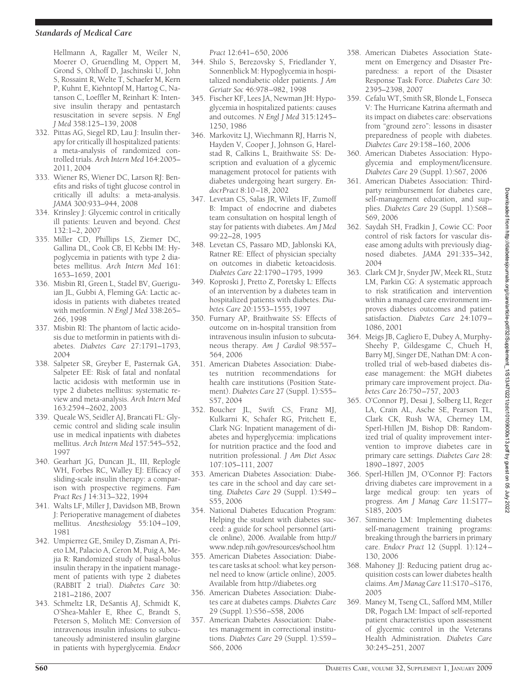Hellmann A, Ragaller M, Weiler N, Moerer O, Gruendling M, Oppert M, Grond S, Olthoff D, Jaschinski U, John S, Rossaint R, Welte T, Schaefer M, Kern P, Kuhnt E, Kiehntopf M, Hartog C, Natanson C, Loeffler M, Reinhart K: Intensive insulin therapy and pentastarch resuscitation in severe sepsis. *N Engl J Med* 358:125–139, 2008

- 332. Pittas AG, Siegel RD, Lau J: Insulin therapy for critically ill hospitalized patients: a meta-analysis of randomized controlled trials. *Arch Intern Med* 164:2005– 2011, 2004
- 333. Wiener RS, Wiener DC, Larson RJ: Benefits and risks of tight glucose control in critically ill adults: a meta-analysis. *JAMA* 300:933–944, 2008
- 334. Krinsley J: Glycemic control in critically ill patients: Leuven and beyond. *Chest* 132:1–2, 2007
- 335. Miller CD, Phillips LS, Ziemer DC, Gallina DL, Cook CB, El Kebbi IM: Hypoglycemia in patients with type 2 diabetes mellitus. *Arch Intern Med* 161: 1653–1659, 2001
- 336. Misbin RI, Green L, Stadel BV, Gueriguian JL, Gubbi A, Fleming GA: Lactic acidosis in patients with diabetes treated with metformin. *N Engl J Med* 338:265– 266, 1998
- 337. Misbin RI: The phantom of lactic acidosis due to metformin in patients with diabetes. *Diabetes Care* 27:1791–1793, 2004
- 338. Salpeter SR, Greyber E, Pasternak GA, Salpeter EE: Risk of fatal and nonfatal lactic acidosis with metformin use in type 2 diabetes mellitus: systematic review and meta-analysis. *Arch Intern Med* 163:2594 –2602, 2003
- 339. Queale WS, Seidler AJ, Brancati FL: Glycemic control and sliding scale insulin use in medical inpatients with diabetes mellitus. *Arch Intern Med* 157:545–552, 1997
- 340. Gearhart JG, Duncan JL, III, Replogle WH, Forbes RC, Walley EJ: Efficacy of sliding-scale insulin therapy: a comparison with prospective regimens. *Fam Pract Res J* 14:313–322, 1994
- 341. Walts LF, Miller J, Davidson MB, Brown J: Perioperative management of diabetes mellitus. *Anesthesiology* 55:104 –109, 1981
- 342. Umpierrez GE, Smiley D, Zisman A, Prieto LM, Palacio A, Ceron M, Puig A, Mejia R: Randomized study of basal-bolus insulin therapy in the inpatient management of patients with type 2 diabetes (RABBIT 2 trial). *Diabetes Care* 30: 2181–2186, 2007
- 343. Schmeltz LR, DeSantis AJ, Schmidt K, O'Shea-Mahler E, Rhee C, Brandt S, Peterson S, Molitch ME: Conversion of intravenous insulin infusions to subcutaneously administered insulin glargine in patients with hyperglycemia. *Endocr*

*Pract* 12:641– 650, 2006

- 344. Shilo S, Berezovsky S, Friedlander Y, Sonnenblick M: Hypoglycemia in hospitalized nondiabetic older patients. *J Am Geriatr Soc* 46:978 –982, 1998
- 345. Fischer KF, Lees JA, Newman JH: Hypoglycemia in hospitalized patients: causes and outcomes. *N Engl J Med* 315:1245– 1250, 1986
- 346. Markovitz LJ, Wiechmann RJ, Harris N, Hayden V, Cooper J, Johnson G, Harelstad R, Calkins L, Braithwaite SS: Description and evaluation of a glycemic management protocol for patients with diabetes undergoing heart surgery. *EndocrPract* 8:10 –18, 2002
- 347. Levetan CS, Salas JR, Wilets IF, Zumoff B: Impact of endocrine and diabetes team consultation on hospital length of stay for patients with diabetes. *Am J Med* 99:22–28, 1995
- 348. Levetan CS, Passaro MD, Jablonski KA, Ratner RE: Effect of physician specialty on outcomes in diabetic ketoacidosis. *Diabetes Care* 22:1790 –1795, 1999
- 349. Koproski J, Pretto Z, Poretsky L: Effects of an intervention by a diabetes team in hospitalized patients with diabetes. *Diabetes Care* 20:1553–1555, 1997
- 350. Furnary AP, Braithwaite SS: Effects of outcome on in-hospital transition from intravenous insulin infusion to subcutaneous therapy. *Am J Cardiol* 98:557– 564, 2006
- 351. American Diabetes Association: Diabetes nutrition recommendations for health care institutions (Position Statement). *Diabetes Care* 27 (Suppl. 1):S55– S57, 2004
- 352. Boucher JL, Swift CS, Franz MJ, Kulkarni K, Schafer RG, Pritchett E, Clark NG: Inpatient management of diabetes and hyperglycemia: implications for nutrition practice and the food and nutrition professional. *J Am Diet Assoc* 107:105–111, 2007
- 353. American Diabetes Association: Diabetes care in the school and day care setting. *Diabetes Care* 29 (Suppl. 1):S49 – S55, 2006
- 354. National Diabetes Education Program: Helping the student with diabetes succeed: a guide for school personnel (article online), 2006. Available from http:// www.ndep.nih.gov/resources/school.htm
- 355. American Diabetes Association: Diabetes care tasks at school: what key personnel need to know (article online), 2005. Available from http://diabetes.org
- 356. American Diabetes Association: Diabetes care at diabetes camps. *Diabetes Care* 29 (Suppl. 1):S56 –S58, 2006
- 357. American Diabetes Association: Diabetes management in correctional institutions. *Diabetes Care* 29 (Suppl. 1):S59 – S66, 2006
- 358. American Diabetes Association Statement on Emergency and Disaster Preparedness: a report of the Disaster Response Task Force. *Diabetes Care* 30: 2395–2398, 2007
- 359. Cefalu WT, Smith SR, Blonde L, Fonseca V: The Hurricane Katrina aftermath and its impact on diabetes care: observations from "ground zero": lessons in disaster preparedness of people with diabetes. *Diabetes Care* 29:158 –160, 2006
- 360. American Diabetes Association: Hypoglycemia and employment/licensure. *Diabetes Care* 29 (Suppl. 1):S67, 2006
- 361. American Diabetes Association: Thirdparty reimbursement for diabetes care, self-management education, and supplies. *Diabetes Care* 29 (Suppl. 1):S68 – S69, 2006
- 362. Saydah SH, Fradkin J, Cowie CC: Poor control of risk factors for vascular disease among adults with previously diagnosed diabetes. *JAMA* 291:335–342, 2004
- 363. Clark CM Jr, Snyder JW, Meek RL, Stutz LM, Parkin CG: A systematic approach to risk stratification and intervention within a managed care environment improves diabetes outcomes and patient satisfaction. *Diabetes Care* 24:1079 – 1086, 2001
- 364. Meigs JB, Cagliero E, Dubey A, Murphy-Sheehy P, Gildesgame C, Chueh H, Barry MJ, Singer DE, Nathan DM: A controlled trial of web-based diabetes disease management: the MGH diabetes primary care improvement project. *Diabetes Care* 26:750 –757, 2003
- 365. O'Connor PJ, Desai J, Solberg LI, Reger LA, Crain AL, Asche SE, Pearson TL, Clark CK, Rush WA, Cherney LM, Sperl-Hillen JM, Bishop DB: Randomized trial of quality improvement intervention to improve diabetes care in primary care settings. *Diabetes Care* 28: 1890 –1897, 2005
- 366. Sperl-Hillen JM, O'Connor PJ: Factors driving diabetes care improvement in a large medical group: ten years of progress. *Am J Manag Care* 11:S177– S185, 2005
- 367. Siminerio LM: Implementing diabetes self-management training programs: breaking through the barriers in primary care. *Endocr Pract* 12 (Suppl. 1):124 – 130, 2006
- 368. Mahoney JJ: Reducing patient drug acquisition costs can lower diabetes health claims. *Am J Manag Care* 11:S170 –S176, 2005
- 369. Maney M, Tseng CL, Safford MM, Miller DR, Pogach LM: Impact of self-reported patient characteristics upon assessment of glycemic control in the Veterans Health Administration. *Diabetes Care* 30:245–251, 2007